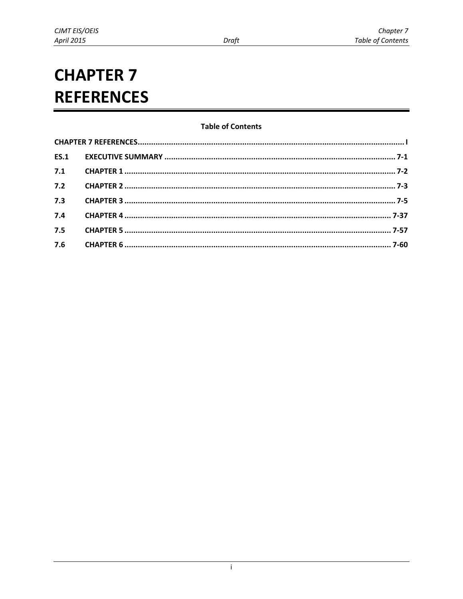# <span id="page-0-0"></span>**CHAPTER 7 REFERENCES**

#### **Table of Contents**

| 7.1   |  |
|-------|--|
| $7.2$ |  |
| 7.3   |  |
| 7.4   |  |
| 7.5   |  |
| 7.6   |  |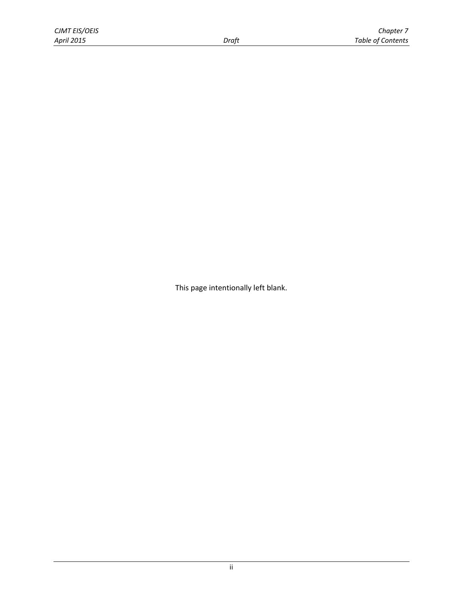This page intentionally left blank.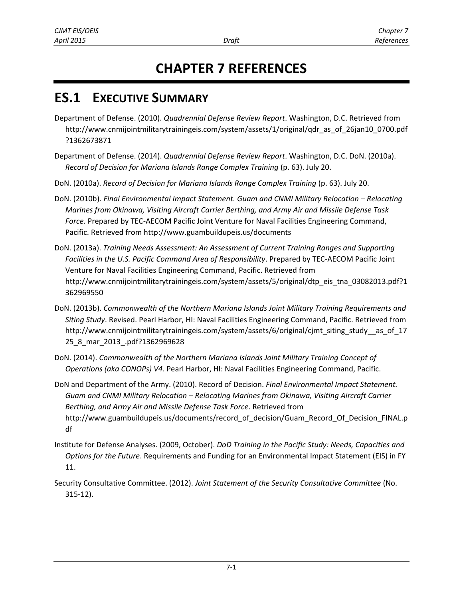### **CHAPTER 7 REFERENCES**

### <span id="page-2-0"></span>**ES.1 EXECUTIVE SUMMARY**

- Department of Defense. (2010). *Quadrennial Defense Review Report*. Washington, D.C. Retrieved from http://www.cnmijointmilitarytrainingeis.com/system/assets/1/original/qdr\_as\_of\_26jan10\_0700.pdf ?1362673871
- Department of Defense. (2014). *Quadrennial Defense Review Report*. Washington, D.C. DoN. (2010a). *Record of Decision for Mariana Islands Range Complex Training* (p. 63). July 20.
- DoN. (2010a). *Record of Decision for Mariana Islands Range Complex Training* (p. 63). July 20.
- DoN. (2010b). *Final Environmental Impact Statement. Guam and CNMI Military Relocation – Relocating Marines from Okinawa, Visiting Aircraft Carrier Berthing, and Army Air and Missile Defense Task Force*. Prepared by TEC-AECOM Pacific Joint Venture for Naval Facilities Engineering Command, Pacific. Retrieved from http://www.guambuildupeis.us/documents
- DoN. (2013a). *Training Needs Assessment: An Assessment of Current Training Ranges and Supporting Facilities in the U.S. Pacific Command Area of Responsibility*. Prepared by TEC-AECOM Pacific Joint Venture for Naval Facilities Engineering Command, Pacific. Retrieved from http://www.cnmijointmilitarytrainingeis.com/system/assets/5/original/dtp\_eis\_tna\_03082013.pdf?1 362969550
- DoN. (2013b). *Commonwealth of the Northern Mariana Islands Joint Military Training Requirements and Siting Study*. Revised. Pearl Harbor, HI: Naval Facilities Engineering Command, Pacific. Retrieved from http://www.cnmijointmilitarytrainingeis.com/system/assets/6/original/cjmt\_siting\_study\_\_as\_of\_17 25\_8\_mar\_2013\_.pdf?1362969628
- DoN. (2014). *Commonwealth of the Northern Mariana Islands Joint Military Training Concept of Operations (aka CONOPs) V4*. Pearl Harbor, HI: Naval Facilities Engineering Command, Pacific.
- DoN and Department of the Army. (2010). Record of Decision. *Final Environmental Impact Statement. Guam and CNMI Military Relocation – Relocating Marines from Okinawa, Visiting Aircraft Carrier Berthing, and Army Air and Missile Defense Task Force*. Retrieved from http://www.guambuildupeis.us/documents/record\_of\_decision/Guam\_Record\_Of\_Decision\_FINAL.p df
- Institute for Defense Analyses. (2009, October). *DoD Training in the Pacific Study: Needs, Capacities and Options for the Future*. Requirements and Funding for an Environmental Impact Statement (EIS) in FY 11.
- Security Consultative Committee. (2012). *Joint Statement of the Security Consultative Committee* (No. 315-12).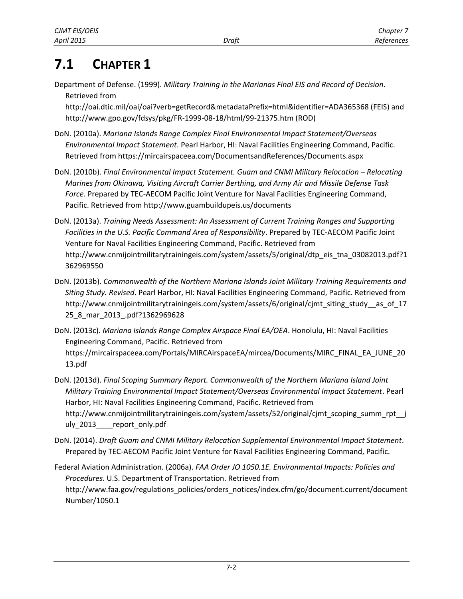### <span id="page-3-0"></span>**7.1 CHAPTER 1**

Department of Defense. (1999). *Military Training in the Marianas Final EIS and Record of Decision*. Retrieved from

http://oai.dtic.mil/oai/oai?verb=getRecord&metadataPrefix=html&identifier=ADA365368 (FEIS) and http://www.gpo.gov/fdsys/pkg/FR-1999-08-18/html/99-21375.htm (ROD)

- DoN. (2010a). *Mariana Islands Range Complex Final Environmental Impact Statement/Overseas Environmental Impact Statement*. Pearl Harbor, HI: Naval Facilities Engineering Command, Pacific. Retrieved from https://mircairspaceea.com/DocumentsandReferences/Documents.aspx
- DoN. (2010b). *Final Environmental Impact Statement. Guam and CNMI Military Relocation Relocating Marines from Okinawa, Visiting Aircraft Carrier Berthing, and Army Air and Missile Defense Task Force*. Prepared by TEC-AECOM Pacific Joint Venture for Naval Facilities Engineering Command, Pacific. Retrieved from http://www.guambuildupeis.us/documents
- DoN. (2013a). *Training Needs Assessment: An Assessment of Current Training Ranges and Supporting Facilities in the U.S. Pacific Command Area of Responsibility*. Prepared by TEC-AECOM Pacific Joint Venture for Naval Facilities Engineering Command, Pacific. Retrieved from http://www.cnmijointmilitarytrainingeis.com/system/assets/5/original/dtp\_eis\_tna\_03082013.pdf?1 362969550
- DoN. (2013b). *Commonwealth of the Northern Mariana Islands Joint Military Training Requirements and Siting Study. Revised*. Pearl Harbor, HI: Naval Facilities Engineering Command, Pacific. Retrieved from http://www.cnmijointmilitarytrainingeis.com/system/assets/6/original/cjmt\_siting\_study\_\_as\_of\_17 25\_8\_mar\_2013\_.pdf?1362969628
- DoN. (2013c). *Mariana Islands Range Complex Airspace Final EA/OEA*. Honolulu, HI: Naval Facilities Engineering Command, Pacific. Retrieved from https://mircairspaceea.com/Portals/MIRCAirspaceEA/mircea/Documents/MIRC\_FINAL\_EA\_JUNE\_20 13.pdf
- DoN. (2013d). *Final Scoping Summary Report. Commonwealth of the Northern Mariana Island Joint Military Training Environmental Impact Statement/Overseas Environmental Impact Statement*. Pearl Harbor, HI: Naval Facilities Engineering Command, Pacific. Retrieved from http://www.cnmijointmilitarytrainingeis.com/system/assets/52/original/cjmt\_scoping\_summ\_rpt\_\_j uly 2013 report only.pdf
- DoN. (2014). *Draft Guam and CNMI Military Relocation Supplemental Environmental Impact Statement*. Prepared by TEC-AECOM Pacific Joint Venture for Naval Facilities Engineering Command, Pacific.
- Federal Aviation Administration. (2006a). *FAA Order JO 1050.1E. Environmental Impacts: Policies and Procedures*. U.S. Department of Transportation. Retrieved from http://www.faa.gov/regulations\_policies/orders\_notices/index.cfm/go/document.current/document Number/1050.1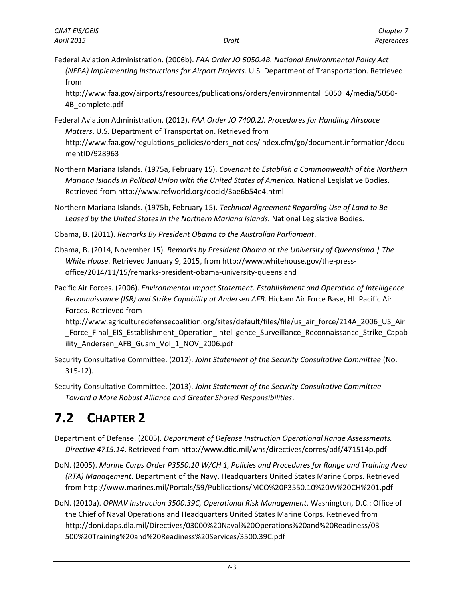| CJMT EIS/OEIS   |                                                                                                     | Chapter 7  |
|-----------------|-----------------------------------------------------------------------------------------------------|------------|
| April 2015      | Draft                                                                                               | References |
|                 | Federal Aviation Administration. (2006b). FAA Order JO 5050.4B. National Environmental Policy Act   |            |
| from            | (NEPA) Implementing Instructions for Airport Projects. U.S. Department of Transportation. Retrieved |            |
| 4B complete.pdf | http://www.faa.gov/airports/resources/publications/orders/environmental 5050 4/media/5050-          |            |
|                 | Federal Aviation Administration. (2012). FAA Order JO 7400.2J. Procedures for Handling Airspace     |            |
|                 | Matters. U.S. Department of Transportation. Retrieved from                                          |            |
|                 | http://www.faa.gov/regulations_policies/orders_notices/index.cfm/go/document.information/docu       |            |

- mentID/928963
- Northern Mariana Islands. (1975a, February 15). *Covenant to Establish a Commonwealth of the Northern Mariana Islands in Political Union with the United States of America. National Legislative Bodies.* Retrieved from http://www.refworld.org/docid/3ae6b54e4.html
- Northern Mariana Islands. (1975b, February 15). *Technical Agreement Regarding Use of Land to Be Leased by the United States in the Northern Mariana Islands.* National Legislative Bodies.
- Obama, B. (2011). *Remarks By President Obama to the Australian Parliament*.
- Obama, B. (2014, November 15). *Remarks by President Obama at the University of Queensland | The White House.* Retrieved January 9, 2015, from http://www.whitehouse.gov/the-pressoffice/2014/11/15/remarks-president-obama-university-queensland
- Pacific Air Forces. (2006). *Environmental Impact Statement. Establishment and Operation of Intelligence Reconnaissance (ISR) and Strike Capability at Andersen AFB*. Hickam Air Force Base, HI: Pacific Air Forces. Retrieved from

http://www.agriculturedefensecoalition.org/sites/default/files/file/us\_air\_force/214A\_2006\_US\_Air Force Final EIS Establishment Operation Intelligence Surveillance Reconnaissance Strike Capab ility\_Andersen\_AFB\_Guam\_Vol\_1\_NOV\_2006.pdf

- Security Consultative Committee. (2012). *Joint Statement of the Security Consultative Committee* (No. 315-12).
- Security Consultative Committee. (2013). *Joint Statement of the Security Consultative Committee Toward a More Robust Alliance and Greater Shared Responsibilities*.

### <span id="page-4-0"></span>**7.2 CHAPTER 2**

- Department of Defense. (2005). *Department of Defense Instruction Operational Range Assessments. Directive 4715.14*. Retrieved from http://www.dtic.mil/whs/directives/corres/pdf/471514p.pdf
- DoN. (2005). *Marine Corps Order P3550.10 W/CH 1, Policies and Procedures for Range and Training Area (RTA) Management*. Department of the Navy, Headquarters United States Marine Corps. Retrieved from http://www.marines.mil/Portals/59/Publications/MCO%20P3550.10%20W%20CH%201.pdf
- DoN. (2010a). *OPNAV Instruction 3500.39C, Operational Risk Management*. Washington, D.C.: Office of the Chief of Naval Operations and Headquarters United States Marine Corps. Retrieved from http://doni.daps.dla.mil/Directives/03000%20Naval%20Operations%20and%20Readiness/03- 500%20Training%20and%20Readiness%20Services/3500.39C.pdf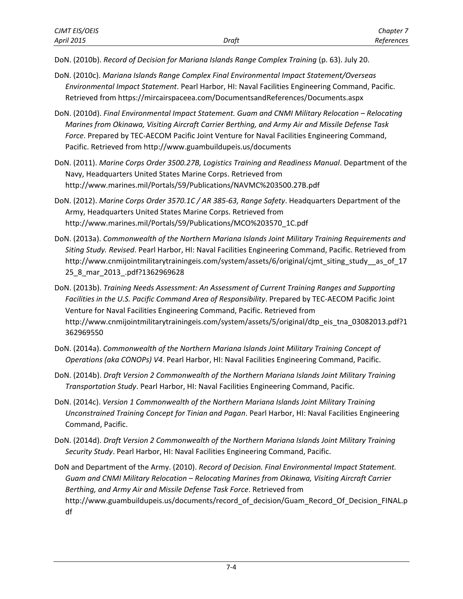DoN. (2010b). *Record of Decision for Mariana Islands Range Complex Training* (p. 63). July 20.

- DoN. (2010c). *Mariana Islands Range Complex Final Environmental Impact Statement/Overseas Environmental Impact Statement*. Pearl Harbor, HI: Naval Facilities Engineering Command, Pacific. Retrieved from https://mircairspaceea.com/DocumentsandReferences/Documents.aspx
- DoN. (2010d). *Final Environmental Impact Statement. Guam and CNMI Military Relocation Relocating Marines from Okinawa, Visiting Aircraft Carrier Berthing, and Army Air and Missile Defense Task Force*. Prepared by TEC-AECOM Pacific Joint Venture for Naval Facilities Engineering Command, Pacific. Retrieved from http://www.guambuildupeis.us/documents
- DoN. (2011). *Marine Corps Order 3500.27B, Logistics Training and Readiness Manual*. Department of the Navy, Headquarters United States Marine Corps. Retrieved from http://www.marines.mil/Portals/59/Publications/NAVMC%203500.27B.pdf
- DoN. (2012). *Marine Corps Order 3570.1C / AR 385-63, Range Safety*. Headquarters Department of the Army, Headquarters United States Marine Corps. Retrieved from http://www.marines.mil/Portals/59/Publications/MCO%203570\_1C.pdf
- DoN. (2013a). *Commonwealth of the Northern Mariana Islands Joint Military Training Requirements and Siting Study. Revised*. Pearl Harbor, HI: Naval Facilities Engineering Command, Pacific. Retrieved from http://www.cnmijointmilitarytrainingeis.com/system/assets/6/original/cjmt\_siting\_study\_\_as\_of\_17 25\_8\_mar\_2013\_.pdf?1362969628
- DoN. (2013b). *Training Needs Assessment: An Assessment of Current Training Ranges and Supporting Facilities in the U.S. Pacific Command Area of Responsibility*. Prepared by TEC-AECOM Pacific Joint Venture for Naval Facilities Engineering Command, Pacific. Retrieved from http://www.cnmijointmilitarytrainingeis.com/system/assets/5/original/dtp\_eis\_tna\_03082013.pdf?1 362969550
- DoN. (2014a). *Commonwealth of the Northern Mariana Islands Joint Military Training Concept of Operations (aka CONOPs) V4*. Pearl Harbor, HI: Naval Facilities Engineering Command, Pacific.
- DoN. (2014b). *Draft Version 2 Commonwealth of the Northern Mariana Islands Joint Military Training Transportation Study*. Pearl Harbor, HI: Naval Facilities Engineering Command, Pacific.
- DoN. (2014c). *Version 1 Commonwealth of the Northern Mariana Islands Joint Military Training Unconstrained Training Concept for Tinian and Pagan*. Pearl Harbor, HI: Naval Facilities Engineering Command, Pacific.
- DoN. (2014d). *Draft Version 2 Commonwealth of the Northern Mariana Islands Joint Military Training Security Study*. Pearl Harbor, HI: Naval Facilities Engineering Command, Pacific.
- DoN and Department of the Army. (2010). *Record of Decision. Final Environmental Impact Statement. Guam and CNMI Military Relocation – Relocating Marines from Okinawa, Visiting Aircraft Carrier Berthing, and Army Air and Missile Defense Task Force*. Retrieved from http://www.guambuildupeis.us/documents/record\_of\_decision/Guam\_Record\_Of\_Decision\_FINAL.p df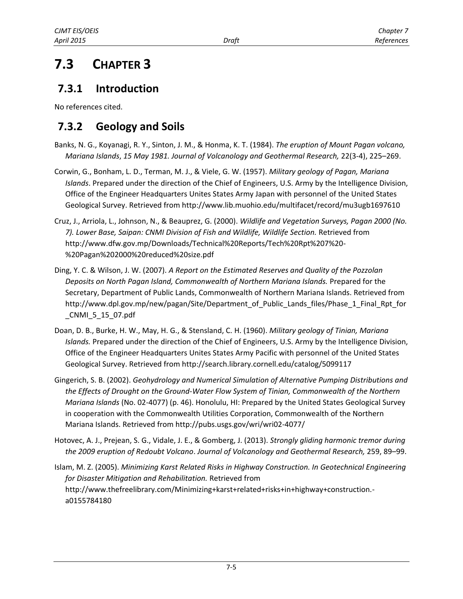### <span id="page-6-0"></span>**7.3 CHAPTER 3**

#### **7.3.1 Introduction**

No references cited.

#### **7.3.2 Geology and Soils**

- Banks, N. G., Koyanagi, R. Y., Sinton, J. M., & Honma, K. T. (1984). *The eruption of Mount Pagan volcano, Mariana Islands*, *15 May 1981. Journal of Volcanology and Geothermal Research,* 22(3-4), 225–269.
- Corwin, G., Bonham, L. D., Terman, M. J., & Viele, G. W. (1957). *Military geology of Pagan, Mariana Islands*. Prepared under the direction of the Chief of Engineers, U.S. Army by the Intelligence Division, Office of the Engineer Headquarters Unites States Army Japan with personnel of the United States Geological Survey. Retrieved from http://www.lib.muohio.edu/multifacet/record/mu3ugb1697610
- Cruz, J., Arriola, L., Johnson, N., & Beauprez, G. (2000). *Wildlife and Vegetation Surveys, Pagan 2000 (No. 7). Lower Base, Saipan: CNMI Division of Fish and Wildlife, Wildlife Section.* Retrieved from http://www.dfw.gov.mp/Downloads/Technical%20Reports/Tech%20Rpt%207%20- %20Pagan%202000%20reduced%20size.pdf
- Ding, Y. C. & Wilson, J. W. (2007). *A Report on the Estimated Reserves and Quality of the Pozzolan Deposits on North Pagan Island, Commonwealth of Northern Mariana Islands.* Prepared for the Secretary, Department of Public Lands, Commonwealth of Northern Mariana Islands. Retrieved from http://www.dpl.gov.mp/new/pagan/Site/Department\_of\_Public\_Lands\_files/Phase\_1\_Final\_Rpt\_for \_CNMI\_5\_15\_07.pdf
- Doan, D. B., Burke, H. W., May, H. G., & Stensland, C. H. (1960). *Military geology of Tinian, Mariana Islands.* Prepared under the direction of the Chief of Engineers, U.S. Army by the Intelligence Division, Office of the Engineer Headquarters Unites States Army Pacific with personnel of the United States Geological Survey. Retrieved from http://search.library.cornell.edu/catalog/5099117
- Gingerich, S. B. (2002). *Geohydrology and Numerical Simulation of Alternative Pumping Distributions and the Effects of Drought on the Ground-Water Flow System of Tinian, Commonwealth of the Northern Mariana Islands* (No. 02-4077) (p. 46). Honolulu, HI: Prepared by the United States Geological Survey in cooperation with the Commonwealth Utilities Corporation, Commonwealth of the Northern Mariana Islands. Retrieved from http://pubs.usgs.gov/wri/wri02-4077/
- Hotovec, A. J., Prejean, S. G., Vidale, J. E., & Gomberg, J. (2013). *Strongly gliding harmonic tremor during the 2009 eruption of Redoubt Volcano*. *Journal of Volcanology and Geothermal Research,* 259, 89–99.
- Islam, M. Z. (2005). *Minimizing Karst Related Risks in Highway Construction. In Geotechnical Engineering for Disaster Mitigation and Rehabilitation.* Retrieved from http://www.thefreelibrary.com/Minimizing+karst+related+risks+in+highway+construction. a0155784180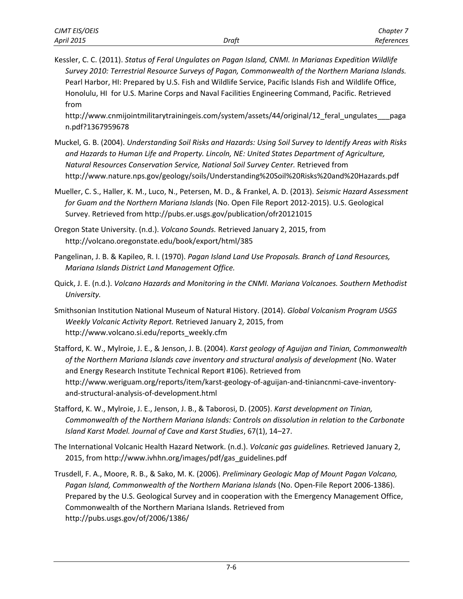| CJMT EIS/OEIS |       | Chapter 7  |
|---------------|-------|------------|
| April 2015    | Draft | References |

Kessler, C. C. (2011). *Status of Feral Ungulates on Pagan Island, CNMI. In Marianas Expedition Wildlife Survey 2010: Terrestrial Resource Surveys of Pagan, Commonwealth of the Northern Mariana Islands.*  Pearl Harbor, HI: Prepared by U.S. Fish and Wildlife Service, Pacific Islands Fish and Wildlife Office, Honolulu, HI for U.S. Marine Corps and Naval Facilities Engineering Command, Pacific. Retrieved from

http://www.cnmijointmilitarytrainingeis.com/system/assets/44/original/12\_feral\_ungulates\_\_\_paga n.pdf?1367959678

- Muckel, G. B. (2004). *Understanding Soil Risks and Hazards: Using Soil Survey to Identify Areas with Risks and Hazards to Human Life and Property. Lincoln, NE: United States Department of Agriculture, Natural Resources Conservation Service, National Soil Survey Center.* Retrieved from http://www.nature.nps.gov/geology/soils/Understanding%20Soil%20Risks%20and%20Hazards.pdf
- Mueller, C. S., Haller, K. M., Luco, N., Petersen, M. D., & Frankel, A. D. (2013). *Seismic Hazard Assessment for Guam and the Northern Mariana Islands* (No. Open File Report 2012-2015). U.S. Geological Survey. Retrieved from http://pubs.er.usgs.gov/publication/ofr20121015
- Oregon State University. (n.d.). *Volcano Sounds.* Retrieved January 2, 2015, from http://volcano.oregonstate.edu/book/export/html/385
- Pangelinan, J. B. & Kapileo, R. I. (1970). *Pagan Island Land Use Proposals. Branch of Land Resources, Mariana Islands District Land Management Office.*
- Quick, J. E. (n.d.). *Volcano Hazards and Monitoring in the CNMI. Mariana Volcanoes. Southern Methodist University.*
- Smithsonian Institution National Museum of Natural History. (2014). *Global Volcanism Program USGS Weekly Volcanic Activity Report.* Retrieved January 2, 2015, from http://www.volcano.si.edu/reports\_weekly.cfm
- Stafford, K. W., Mylroie, J. E., & Jenson, J. B. (2004). *Karst geology of Aguijan and Tinian, Commonwealth of the Northern Mariana Islands cave inventory and structural analysis of development* (No. Water and Energy Research Institute Technical Report #106). Retrieved from http://www.weriguam.org/reports/item/karst-geology-of-aguijan-and-tiniancnmi-cave-inventoryand-structural-analysis-of-development.html
- Stafford, K. W., Mylroie, J. E., Jenson, J. B., & Taborosi, D. (2005). *Karst development on Tinian, Commonwealth of the Northern Mariana Islands: Controls on dissolution in relation to the Carbonate Island Karst Model. Journal of Cave and Karst Studies*, 67(1), 14–27.
- The International Volcanic Health Hazard Network. (n.d.). *Volcanic gas guidelines.* Retrieved January 2, 2015, from http://www.ivhhn.org/images/pdf/gas\_guidelines.pdf
- Trusdell, F. A., Moore, R. B., & Sako, M. K. (2006). *Preliminary Geologic Map of Mount Pagan Volcano, Pagan Island, Commonwealth of the Northern Mariana Islands* (No. Open-File Report 2006-1386). Prepared by the U.S. Geological Survey and in cooperation with the Emergency Management Office, Commonwealth of the Northern Mariana Islands. Retrieved from http://pubs.usgs.gov/of/2006/1386/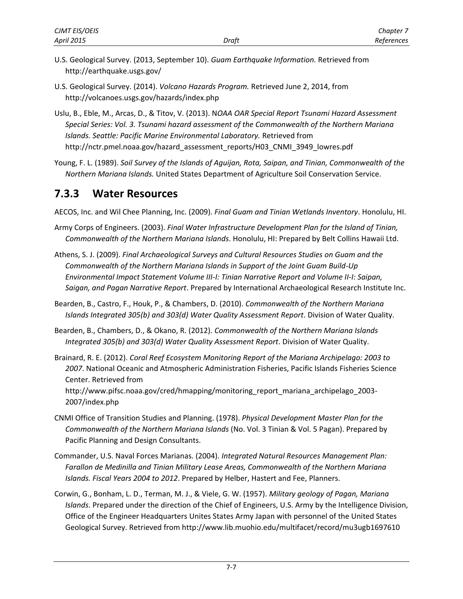- U.S. Geological Survey. (2013, September 10). *Guam Earthquake Information.* Retrieved from http://earthquake.usgs.gov/
- U.S. Geological Survey. (2014). *Volcano Hazards Program.* Retrieved June 2, 2014, from http://volcanoes.usgs.gov/hazards/index.php
- Uslu, B., Eble, M., Arcas, D., & Titov, V. (2013). N*OAA OAR Special Report Tsunami Hazard Assessment Special Series: Vol. 3. Tsunami hazard assessment of the Commonwealth of the Northern Mariana Islands. Seattle: Pacific Marine Environmental Laboratory.* Retrieved from http://nctr.pmel.noaa.gov/hazard\_assessment\_reports/H03\_CNMI\_3949\_lowres.pdf
- Young, F. L. (1989). *Soil Survey of the Islands of Aguijan, Rota, Saipan, and Tinian, Commonwealth of the Northern Mariana Islands.* United States Department of Agriculture Soil Conservation Service.

#### **7.3.3 Water Resources**

AECOS, Inc. and Wil Chee Planning, Inc. (2009). *Final Guam and Tinian Wetlands Inventory*. Honolulu, HI.

- Army Corps of Engineers. (2003). *Final Water Infrastructure Development Plan for the Island of Tinian, Commonwealth of the Northern Mariana Islands*. Honolulu, HI: Prepared by Belt Collins Hawaii Ltd.
- Athens, S. J. (2009). *Final Archaeological Surveys and Cultural Resources Studies on Guam and the Commonwealth of the Northern Mariana Islands in Support of the Joint Guam Build-Up Environmental Impact Statement Volume III-I: Tinian Narrative Report and Volume II-I: Saipan, Saigan, and Pagan Narrative Report*. Prepared by International Archaeological Research Institute Inc.
- Bearden, B., Castro, F., Houk, P., & Chambers, D. (2010). *Commonwealth of the Northern Mariana Islands Integrated 305(b) and 303(d) Water Quality Assessment Report*. Division of Water Quality.
- Bearden, B., Chambers, D., & Okano, R. (2012). *Commonwealth of the Northern Mariana Islands Integrated 305(b) and 303(d) Water Quality Assessment Report*. Division of Water Quality.
- Brainard, R. E. (2012). *Coral Reef Ecosystem Monitoring Report of the Mariana Archipelago: 2003 to 2007*. National Oceanic and Atmospheric Administration Fisheries, Pacific Islands Fisheries Science Center. Retrieved from http://www.pifsc.noaa.gov/cred/hmapping/monitoring\_report\_mariana\_archipelago\_2003- 2007/index.php
- CNMI Office of Transition Studies and Planning. (1978). *Physical Development Master Plan for the Commonwealth of the Northern Mariana Islands* (No. Vol. 3 Tinian & Vol. 5 Pagan). Prepared by Pacific Planning and Design Consultants.
- Commander, U.S. Naval Forces Marianas. (2004). *Integrated Natural Resources Management Plan: Farallon de Medinilla and Tinian Military Lease Areas, Commonwealth of the Northern Mariana Islands. Fiscal Years 2004 to 2012*. Prepared by Helber, Hastert and Fee, Planners.
- Corwin, G., Bonham, L. D., Terman, M. J., & Viele, G. W. (1957). *Military geology of Pagan, Mariana Islands*. Prepared under the direction of the Chief of Engineers, U.S. Army by the Intelligence Division, Office of the Engineer Headquarters Unites States Army Japan with personnel of the United States Geological Survey. Retrieved from http://www.lib.muohio.edu/multifacet/record/mu3ugb1697610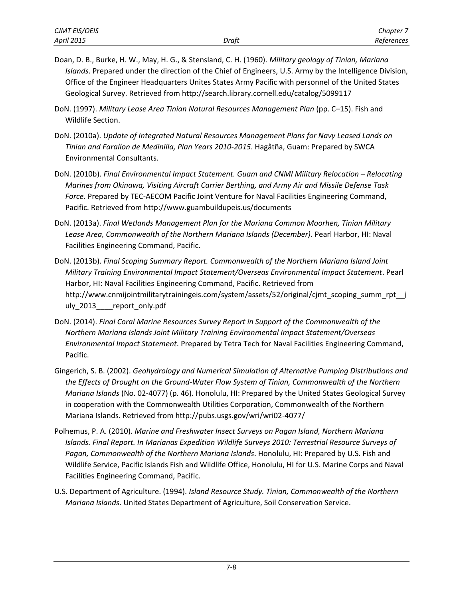- Doan, D. B., Burke, H. W., May, H. G., & Stensland, C. H. (1960). *Military geology of Tinian, Mariana Islands*. Prepared under the direction of the Chief of Engineers, U.S. Army by the Intelligence Division, Office of the Engineer Headquarters Unites States Army Pacific with personnel of the United States Geological Survey. Retrieved from http://search.library.cornell.edu/catalog/5099117
- DoN. (1997). *Military Lease Area Tinian Natural Resources Management Plan* (pp. C–15). Fish and Wildlife Section.
- DoN. (2010a). *Update of Integrated Natural Resources Management Plans for Navy Leased Lands on Tinian and Farallon de Medinilla, Plan Years 2010-2015*. Hagåtña, Guam: Prepared by SWCA Environmental Consultants.
- DoN. (2010b). *Final Environmental Impact Statement. Guam and CNMI Military Relocation Relocating Marines from Okinawa, Visiting Aircraft Carrier Berthing, and Army Air and Missile Defense Task Force*. Prepared by TEC-AECOM Pacific Joint Venture for Naval Facilities Engineering Command, Pacific. Retrieved from http://www.guambuildupeis.us/documents
- DoN. (2013a). *Final Wetlands Management Plan for the Mariana Common Moorhen, Tinian Military Lease Area, Commonwealth of the Northern Mariana Islands (December)*. Pearl Harbor, HI: Naval Facilities Engineering Command, Pacific.
- DoN. (2013b). *Final Scoping Summary Report. Commonwealth of the Northern Mariana Island Joint Military Training Environmental Impact Statement/Overseas Environmental Impact Statement*. Pearl Harbor, HI: Naval Facilities Engineering Command, Pacific. Retrieved from http://www.cnmijointmilitarytrainingeis.com/system/assets/52/original/cjmt\_scoping\_summ\_rpt\_j uly\_2013\_\_\_\_report\_only.pdf
- DoN. (2014). *Final Coral Marine Resources Survey Report in Support of the Commonwealth of the Northern Mariana Islands Joint Military Training Environmental Impact Statement/Overseas Environmental Impact Statement*. Prepared by Tetra Tech for Naval Facilities Engineering Command, Pacific.
- Gingerich, S. B. (2002). *Geohydrology and Numerical Simulation of Alternative Pumping Distributions and the Effects of Drought on the Ground-Water Flow System of Tinian, Commonwealth of the Northern Mariana Islands* (No. 02-4077) (p. 46). Honolulu, HI: Prepared by the United States Geological Survey in cooperation with the Commonwealth Utilities Corporation, Commonwealth of the Northern Mariana Islands. Retrieved from http://pubs.usgs.gov/wri/wri02-4077/
- Polhemus, P. A. (2010). *Marine and Freshwater Insect Surveys on Pagan Island, Northern Mariana Islands. Final Report. In Marianas Expedition Wildlife Surveys 2010: Terrestrial Resource Surveys of Pagan, Commonwealth of the Northern Mariana Islands*. Honolulu, HI: Prepared by U.S. Fish and Wildlife Service, Pacific Islands Fish and Wildlife Office, Honolulu, HI for U.S. Marine Corps and Naval Facilities Engineering Command, Pacific.
- U.S. Department of Agriculture. (1994). *Island Resource Study. Tinian, Commonwealth of the Northern Mariana Islands*. United States Department of Agriculture, Soil Conservation Service.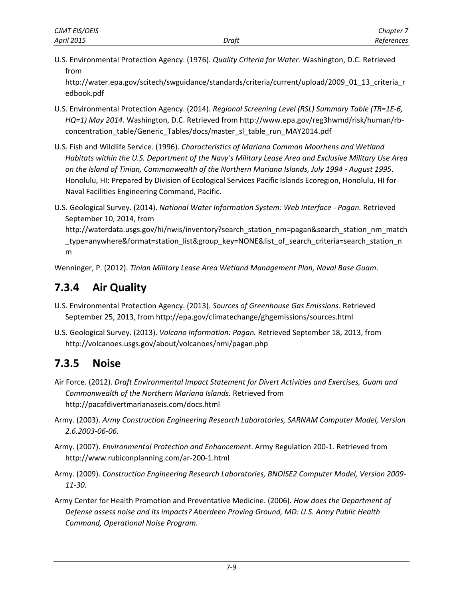U.S. Environmental Protection Agency. (1976). *Quality Criteria for Water*. Washington, D.C. Retrieved from

http://water.epa.gov/scitech/swguidance/standards/criteria/current/upload/2009\_01\_13\_criteria\_r edbook.pdf

- U.S. Environmental Protection Agency. (2014). *Regional Screening Level (RSL) Summary Table (TR=1E-6, HQ=1) May 2014*. Washington, D.C. Retrieved from http://www.epa.gov/reg3hwmd/risk/human/rbconcentration\_table/Generic\_Tables/docs/master\_sl\_table\_run\_MAY2014.pdf
- U.S. Fish and Wildlife Service. (1996). *Characteristics of Mariana Common Moorhens and Wetland Habitats within the U.S. Department of the Navy's Military Lease Area and Exclusive Military Use Area on the Island of Tinian, Commonwealth of the Northern Mariana Islands, July 1994 - August 1995*. Honolulu, HI: Prepared by Division of Ecological Services Pacific Islands Ecoregion, Honolulu, HI for Naval Facilities Engineering Command, Pacific.
- U.S. Geological Survey. (2014). *National Water Information System: Web Interface Pagan.* Retrieved September 10, 2014, from

http://waterdata.usgs.gov/hi/nwis/inventory?search\_station\_nm=pagan&search\_station\_nm\_match type=anywhere&format=station\_list&group\_key=NONE&list\_of\_search\_criteria=search\_station\_n m

Wenninger, P. (2012). *Tinian Military Lease Area Wetland Management Plan, Naval Base Guam*.

#### **7.3.4 Air Quality**

- U.S. Environmental Protection Agency. (2013). *Sources of Greenhouse Gas Emissions.* Retrieved September 25, 2013, from http://epa.gov/climatechange/ghgemissions/sources.html
- U.S. Geological Survey. (2013). *Volcano Information: Pagan.* Retrieved September 18, 2013, from http://volcanoes.usgs.gov/about/volcanoes/nmi/pagan.php

#### **7.3.5 Noise**

- Air Force. (2012). *Draft Environmental Impact Statement for Divert Activities and Exercises, Guam and Commonwealth of the Northern Mariana Islands.* Retrieved from http://pacafdivertmarianaseis.com/docs.html
- Army. (2003). *Army Construction Engineering Research Laboratories, SARNAM Computer Model, Version 2.6.2003-06-06.*
- Army. (2007). *Environmental Protection and Enhancement*. Army Regulation 200-1. Retrieved from http://www.rubiconplanning.com/ar-200-1.html
- Army. (2009). *Construction Engineering Research Laboratories, BNOISE2 Computer Model, Version 2009- 11-30.*
- Army Center for Health Promotion and Preventative Medicine. (2006). *How does the Department of Defense assess noise and its impacts? Aberdeen Proving Ground, MD: U.S. Army Public Health Command, Operational Noise Program.*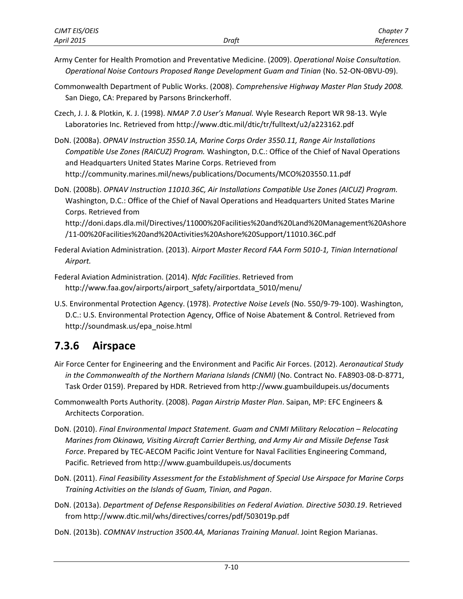- Army Center for Health Promotion and Preventative Medicine. (2009). *Operational Noise Consultation. Operational Noise Contours Proposed Range Development Guam and Tinian* (No. 52-ON-0BVU-09).
- Commonwealth Department of Public Works. (2008). *Comprehensive Highway Master Plan Study 2008.*  San Diego, CA: Prepared by Parsons Brinckerhoff.
- Czech, J. J. & Plotkin, K. J. (1998). *NMAP 7.0 User's Manual.* Wyle Research Report WR 98-13. Wyle Laboratories Inc. Retrieved from http://www.dtic.mil/dtic/tr/fulltext/u2/a223162.pdf
- DoN. (2008a). *OPNAV Instruction 3550.1A, Marine Corps Order 3550.11, Range Air Installations Compatible Use Zones (RAICUZ) Program.* Washington, D.C.: Office of the Chief of Naval Operations and Headquarters United States Marine Corps. Retrieved from http://community.marines.mil/news/publications/Documents/MCO%203550.11.pdf
- DoN. (2008b). *OPNAV Instruction 11010.36C, Air Installations Compatible Use Zones (AICUZ) Program.*  Washington, D.C.: Office of the Chief of Naval Operations and Headquarters United States Marine Corps. Retrieved from

http://doni.daps.dla.mil/Directives/11000%20Facilities%20and%20Land%20Management%20Ashore /11-00%20Facilities%20and%20Activities%20Ashore%20Support/11010.36C.pdf

- Federal Aviation Administration. (2013). A*irport Master Record FAA Form 5010-1, Tinian International Airport.*
- Federal Aviation Administration. (2014). *Nfdc Facilities*. Retrieved from http://www.faa.gov/airports/airport\_safety/airportdata\_5010/menu/
- U.S. Environmental Protection Agency. (1978). *Protective Noise Levels* (No. 550/9-79-100). Washington, D.C.: U.S. Environmental Protection Agency, Office of Noise Abatement & Control. Retrieved from http://soundmask.us/epa\_noise.html

#### **7.3.6 Airspace**

- Air Force Center for Engineering and the Environment and Pacific Air Forces. (2012). *Aeronautical Study in the Commonwealth of the Northern Mariana Islands (CNMI)* (No. Contract No. FA8903-08-D-8771, Task Order 0159). Prepared by HDR. Retrieved from http://www.guambuildupeis.us/documents
- Commonwealth Ports Authority. (2008). *Pagan Airstrip Master Plan*. Saipan, MP: EFC Engineers & Architects Corporation.
- DoN. (2010). *Final Environmental Impact Statement. Guam and CNMI Military Relocation Relocating Marines from Okinawa, Visiting Aircraft Carrier Berthing, and Army Air and Missile Defense Task Force*. Prepared by TEC-AECOM Pacific Joint Venture for Naval Facilities Engineering Command, Pacific. Retrieved from http://www.guambuildupeis.us/documents
- DoN. (2011). *Final Feasibility Assessment for the Establishment of Special Use Airspace for Marine Corps Training Activities on the Islands of Guam, Tinian, and Pagan*.
- DoN. (2013a). *Department of Defense Responsibilities on Federal Aviation. Directive 5030.19*. Retrieved from http://www.dtic.mil/whs/directives/corres/pdf/503019p.pdf
- DoN. (2013b). *COMNAV Instruction 3500.4A, Marianas Training Manual*. Joint Region Marianas.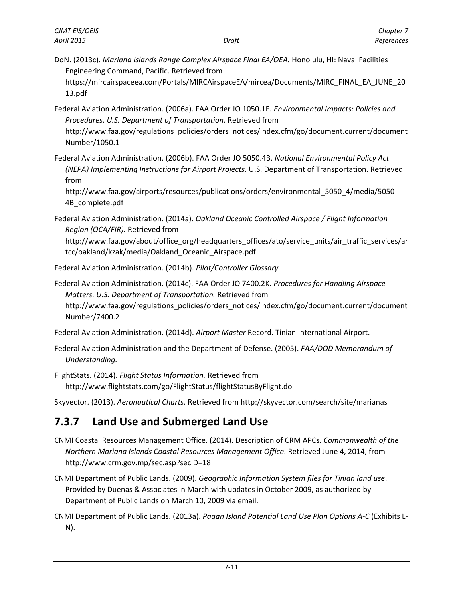| CJMT EIS/OEIS     |       | Chapter 7  |
|-------------------|-------|------------|
| <b>April 2015</b> | Draft | References |

DoN. (2013c). *Mariana Islands Range Complex Airspace Final EA/OEA.* Honolulu, HI: Naval Facilities Engineering Command, Pacific. Retrieved from https://mircairspaceea.com/Portals/MIRCAirspaceEA/mircea/Documents/MIRC\_FINAL\_EA\_JUNE\_20 13.pdf

Federal Aviation Administration. (2006a). FAA Order JO 1050.1E. *Environmental Impacts: Policies and Procedures. U.S. Department of Transportation.* Retrieved from http://www.faa.gov/regulations\_policies/orders\_notices/index.cfm/go/document.current/document Number/1050.1

Federal Aviation Administration. (2006b). FAA Order JO 5050.4B. *National Environmental Policy Act (NEPA) Implementing Instructions for Airport Projects.* U.S. Department of Transportation. Retrieved from

http://www.faa.gov/airports/resources/publications/orders/environmental\_5050\_4/media/5050- 4B\_complete.pdf

Federal Aviation Administration. (2014a). *Oakland Oceanic Controlled Airspace / Flight Information Region (OCA/FIR).* Retrieved from http://www.faa.gov/about/office\_org/headquarters\_offices/ato/service\_units/air\_traffic\_services/ar tcc/oakland/kzak/media/Oakland\_Oceanic\_Airspace.pdf

Federal Aviation Administration. (2014b). *Pilot/Controller Glossary.* 

Federal Aviation Administration. (2014c). FAA Order JO 7400.2K*. Procedures for Handling Airspace Matters. U.S. Department of Transportation.* Retrieved from http://www.faa.gov/regulations\_policies/orders\_notices/index.cfm/go/document.current/document Number/7400.2

Federal Aviation Administration. (2014d). *Airport Master* Record. Tinian International Airport.

Federal Aviation Administration and the Department of Defense. (2005). *FAA/DOD Memorandum of Understanding.* 

FlightStats. (2014). *Flight Status Information.* Retrieved from http://www.flightstats.com/go/FlightStatus/flightStatusByFlight.do

Skyvector. (2013). *Aeronautical Charts.* Retrieved from http://skyvector.com/search/site/marianas

#### **7.3.7 Land Use and Submerged Land Use**

- CNMI Coastal Resources Management Office. (2014). Description of CRM APCs. *Commonwealth of the Northern Mariana Islands Coastal Resources Management Office*. Retrieved June 4, 2014, from http://www.crm.gov.mp/sec.asp?secID=18
- CNMI Department of Public Lands. (2009). *Geographic Information System files for Tinian land use*. Provided by Duenas & Associates in March with updates in October 2009, as authorized by Department of Public Lands on March 10, 2009 via email.
- CNMI Department of Public Lands. (2013a). *Pagan Island Potential Land Use Plan Options A-C* (Exhibits L-N).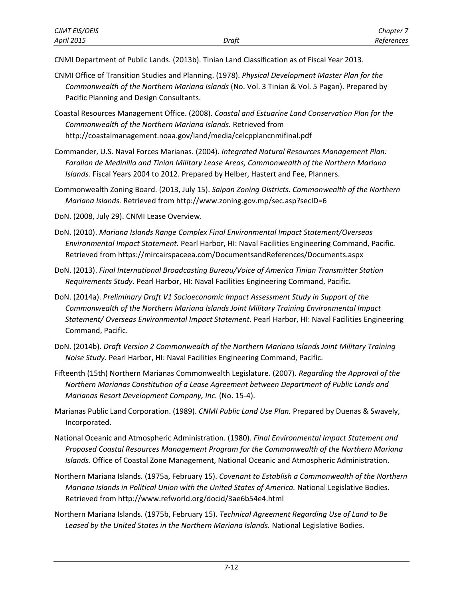CNMI Department of Public Lands. (2013b). Tinian Land Classification as of Fiscal Year 2013.

- CNMI Office of Transition Studies and Planning. (1978). *Physical Development Master Plan for the Commonwealth of the Northern Mariana Islands* (No. Vol. 3 Tinian & Vol. 5 Pagan). Prepared by Pacific Planning and Design Consultants.
- Coastal Resources Management Office. (2008). *Coastal and Estuarine Land Conservation Plan for the Commonwealth of the Northern Mariana Islands.* Retrieved from http://coastalmanagement.noaa.gov/land/media/celcpplancnmifinal.pdf
- Commander, U.S. Naval Forces Marianas. (2004). *Integrated Natural Resources Management Plan: Farallon de Medinilla and Tinian Military Lease Areas, Commonwealth of the Northern Mariana Islands.* Fiscal Years 2004 to 2012. Prepared by Helber, Hastert and Fee, Planners.
- Commonwealth Zoning Board. (2013, July 15). *Saipan Zoning Districts. Commonwealth of the Northern Mariana Islands.* Retrieved from http://www.zoning.gov.mp/sec.asp?secID=6
- DoN. (2008, July 29). CNMI Lease Overview.
- DoN. (2010). *Mariana Islands Range Complex Final Environmental Impact Statement/Overseas Environmental Impact Statement.* Pearl Harbor, HI: Naval Facilities Engineering Command, Pacific. Retrieved from https://mircairspaceea.com/DocumentsandReferences/Documents.aspx
- DoN. (2013). *Final International Broadcasting Bureau/Voice of America Tinian Transmitter Station Requirements Study.* Pearl Harbor, HI: Naval Facilities Engineering Command, Pacific.
- DoN. (2014a). *Preliminary Draft V1 Socioeconomic Impact Assessment Study in Support of the Commonwealth of the Northern Mariana Islands Joint Military Training Environmental Impact Statement/ Overseas Environmental Impact Statement.* Pearl Harbor, HI: Naval Facilities Engineering Command, Pacific.
- DoN. (2014b). *Draft Version 2 Commonwealth of the Northern Mariana Islands Joint Military Training Noise Study.* Pearl Harbor, HI: Naval Facilities Engineering Command, Pacific.
- Fifteenth (15th) Northern Marianas Commonwealth Legislature. (2007). *Regarding the Approval of the Northern Marianas Constitution of a Lease Agreement between Department of Public Lands and Marianas Resort Development Company, Inc.* (No. 15-4).
- Marianas Public Land Corporation. (1989). *CNMI Public Land Use Plan.* Prepared by Duenas & Swavely, Incorporated.
- National Oceanic and Atmospheric Administration. (1980). *Final Environmental Impact Statement and Proposed Coastal Resources Management Program for the Commonwealth of the Northern Mariana Islands.* Office of Coastal Zone Management, National Oceanic and Atmospheric Administration.
- Northern Mariana Islands. (1975a, February 15). *Covenant to Establish a Commonwealth of the Northern Mariana Islands in Political Union with the United States of America.* National Legislative Bodies. Retrieved from http://www.refworld.org/docid/3ae6b54e4.html
- Northern Mariana Islands. (1975b, February 15). *Technical Agreement Regarding Use of Land to Be Leased by the United States in the Northern Mariana Islands.* National Legislative Bodies.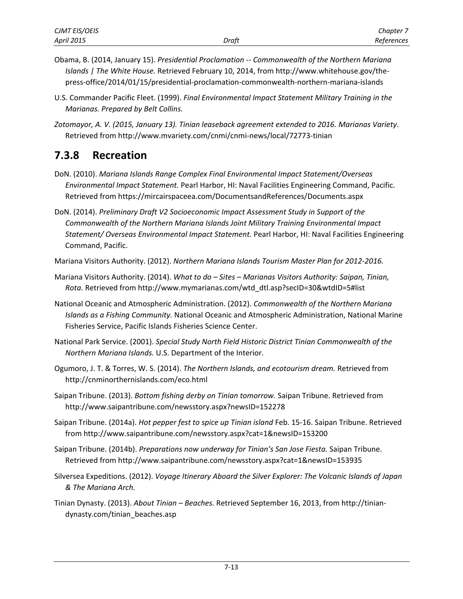- Obama, B. (2014, January 15). *Presidential Proclamation -- Commonwealth of the Northern Mariana Islands | The White House.* Retrieved February 10, 2014, from http://www.whitehouse.gov/thepress-office/2014/01/15/presidential-proclamation-commonwealth-northern-mariana-islands
- U.S. Commander Pacific Fleet. (1999). *Final Environmental Impact Statement Military Training in the Marianas. Prepared by Belt Collins.*
- *Zotomayor, A. V. (2015, January 13). Tinian leaseback agreement extended to 2016. Marianas Variety*. Retrieved from http://www.mvariety.com/cnmi/cnmi-news/local/72773-tinian

#### **7.3.8 Recreation**

- DoN. (2010). *Mariana Islands Range Complex Final Environmental Impact Statement/Overseas Environmental Impact Statement.* Pearl Harbor, HI: Naval Facilities Engineering Command, Pacific. Retrieved from https://mircairspaceea.com/DocumentsandReferences/Documents.aspx
- DoN. (2014). *Preliminary Draft V2 Socioeconomic Impact Assessment Study in Support of the Commonwealth of the Northern Mariana Islands Joint Military Training Environmental Impact Statement/ Overseas Environmental Impact Statement.* Pearl Harbor, HI: Naval Facilities Engineering Command, Pacific.
- Mariana Visitors Authority. (2012). *Northern Mariana Islands Tourism Master Plan for 2012-2016.*
- Mariana Visitors Authority. (2014). *What to do – Sites – Marianas Visitors Authority: Saipan, Tinian, Rota.* Retrieved from http://www.mymarianas.com/wtd\_dtl.asp?secID=30&wtdID=5#list
- National Oceanic and Atmospheric Administration. (2012). *Commonwealth of the Northern Mariana Islands as a Fishing Community.* National Oceanic and Atmospheric Administration, National Marine Fisheries Service, Pacific Islands Fisheries Science Center.
- National Park Service. (2001). *Special Study North Field Historic District Tinian Commonwealth of the Northern Mariana Islands.* U.S. Department of the Interior.
- Ogumoro, J. T. & Torres, W. S. (2014). *The Northern Islands, and ecotourism dream.* Retrieved from http://cnminorthernislands.com/eco.html
- Saipan Tribune. (2013). *Bottom fishing derby on Tinian tomorrow.* Saipan Tribune. Retrieved from http://www.saipantribune.com/newsstory.aspx?newsID=152278
- Saipan Tribune. (2014a). *Hot pepper fest to spice up Tinian island* Feb. 15-16. Saipan Tribune. Retrieved from http://www.saipantribune.com/newsstory.aspx?cat=1&newsID=153200
- Saipan Tribune. (2014b). *Preparations now underway for Tinian's San Jose Fiesta.* Saipan Tribune. Retrieved from http://www.saipantribune.com/newsstory.aspx?cat=1&newsID=153935
- Silversea Expeditions. (2012). *Voyage Itinerary Aboard the Silver Explorer: The Volcanic Islands of Japan & The Mariana Arch.*
- Tinian Dynasty. (2013). *About Tinian – Beaches.* Retrieved September 16, 2013, from http://tiniandynasty.com/tinian\_beaches.asp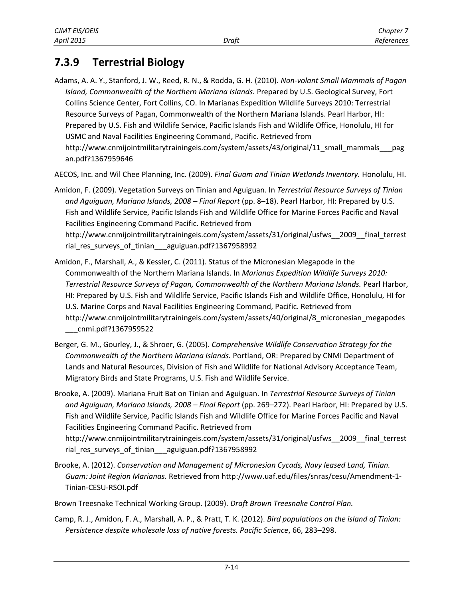#### **7.3.9 Terrestrial Biology**

Adams, A. A. Y., Stanford, J. W., Reed, R. N., & Rodda, G. H. (2010). *Non-volant Small Mammals of Pagan Island, Commonwealth of the Northern Mariana Islands.* Prepared by U.S. Geological Survey, Fort Collins Science Center, Fort Collins, CO. In Marianas Expedition Wildlife Surveys 2010: Terrestrial Resource Surveys of Pagan, Commonwealth of the Northern Mariana Islands. Pearl Harbor, HI: Prepared by U.S. Fish and Wildlife Service, Pacific Islands Fish and Wildlife Office, Honolulu, HI for USMC and Naval Facilities Engineering Command, Pacific. Retrieved from http://www.cnmijointmilitarytrainingeis.com/system/assets/43/original/11\_small\_mammals\_\_\_pag an.pdf?1367959646

AECOS, Inc. and Wil Chee Planning, Inc. (2009). *Final Guam and Tinian Wetlands Inventory.* Honolulu, HI.

Amidon, F. (2009). Vegetation Surveys on Tinian and Aguiguan. In *Terrestrial Resource Surveys of Tinian and Aguiguan, Mariana Islands, 2008 – Final Report* (pp. 8–18). Pearl Harbor, HI: Prepared by U.S. Fish and Wildlife Service, Pacific Islands Fish and Wildlife Office for Marine Forces Pacific and Naval Facilities Engineering Command Pacific. Retrieved from http://www.cnmijointmilitarytrainingeis.com/system/assets/31/original/usfws\_\_2009\_\_final\_terrest rial\_res\_surveys\_of\_tinian\_\_\_aguiguan.pdf?1367958992

- Amidon, F., Marshall, A., & Kessler, C. (2011). Status of the Micronesian Megapode in the Commonwealth of the Northern Mariana Islands. In *Marianas Expedition Wildlife Surveys 2010: Terrestrial Resource Surveys of Pagan, Commonwealth of the Northern Mariana Islands.* Pearl Harbor, HI: Prepared by U.S. Fish and Wildlife Service, Pacific Islands Fish and Wildlife Office, Honolulu, HI for U.S. Marine Corps and Naval Facilities Engineering Command, Pacific. Retrieved from http://www.cnmijointmilitarytrainingeis.com/system/assets/40/original/8\_micronesian\_megapodes \_\_\_cnmi.pdf?1367959522
- Berger, G. M., Gourley, J., & Shroer, G. (2005). *Comprehensive Wildlife Conservation Strategy for the Commonwealth of the Northern Mariana Islands.* Portland, OR: Prepared by CNMI Department of Lands and Natural Resources, Division of Fish and Wildlife for National Advisory Acceptance Team, Migratory Birds and State Programs, U.S. Fish and Wildlife Service.

Brooke, A. (2009). Mariana Fruit Bat on Tinian and Aguiguan*.* In *Terrestrial Resource Surveys of Tinian and Aguiguan, Mariana Islands, 2008 – Final Report* (pp. 269–272). Pearl Harbor, HI: Prepared by U.S. Fish and Wildlife Service, Pacific Islands Fish and Wildlife Office for Marine Forces Pacific and Naval Facilities Engineering Command Pacific. Retrieved from http://www.cnmijointmilitarytrainingeis.com/system/assets/31/original/usfws\_\_2009\_\_final\_terrest rial\_res\_surveys\_of\_tinian\_\_\_aguiguan.pdf?1367958992

Brooke, A. (2012). *Conservation and Management of Micronesian Cycads, Navy leased Land, Tinian. Guam: Joint Region Marianas.* Retrieved from http://www.uaf.edu/files/snras/cesu/Amendment-1- Tinian-CESU-RSOI.pdf

Brown Treesnake Technical Working Group. (2009). *Draft Brown Treesnake Control Plan.*

Camp, R. J., Amidon, F. A., Marshall, A. P., & Pratt, T. K. (2012). *Bird populations on the island of Tinian: Persistence despite wholesale loss of native forests. Pacific Science*, 66, 283–298.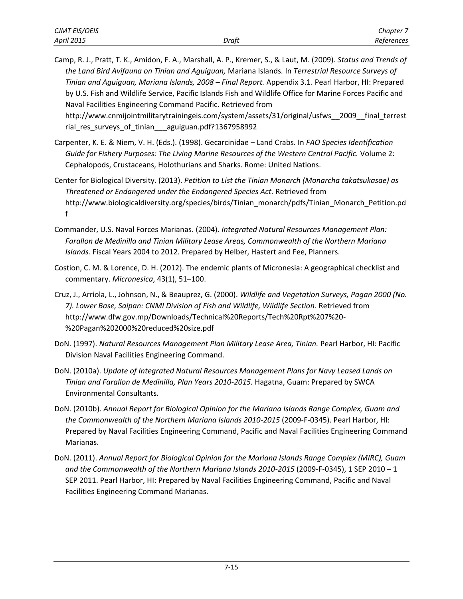- Camp, R. J., Pratt, T. K., Amidon, F. A., Marshall, A. P., Kremer, S., & Laut, M. (2009). *Status and Trends of the Land Bird Avifauna on Tinian and Aguiguan,* Mariana Islands*.* In *Terrestrial Resource Surveys of Tinian and Aguiguan, Mariana Islands, 2008 – Final Report.* Appendix 3.1. Pearl Harbor, HI: Prepared by U.S. Fish and Wildlife Service, Pacific Islands Fish and Wildlife Office for Marine Forces Pacific and Naval Facilities Engineering Command Pacific. Retrieved from http://www.cnmijointmilitarytrainingeis.com/system/assets/31/original/usfws\_\_2009\_\_final\_terrest rial\_res\_surveys\_of\_tinian\_\_\_aguiguan.pdf?1367958992
- Carpenter, K. E. & Niem, V. H. (Eds.). (1998). Gecarcinidae Land Crabs. In *FAO Species Identification Guide for Fishery Purposes: The Living Marine Resources of the Western Central Pacific.* Volume 2: Cephalopods, Crustaceans, Holothurians and Sharks. Rome: United Nations.
- Center for Biological Diversity. (2013). *Petition to List the Tinian Monarch (Monarcha takatsukasae) as Threatened or Endangered under the Endangered Species Act.* Retrieved from http://www.biologicaldiversity.org/species/birds/Tinian\_monarch/pdfs/Tinian\_Monarch\_Petition.pd f
- Commander, U.S. Naval Forces Marianas. (2004). *Integrated Natural Resources Management Plan: Farallon de Medinilla and Tinian Military Lease Areas, Commonwealth of the Northern Mariana Islands.* Fiscal Years 2004 to 2012. Prepared by Helber, Hastert and Fee, Planners.
- Costion, C. M. & Lorence, D. H. (2012). The endemic plants of Micronesia: A geographical checklist and commentary. *Micronesica*, 43(1), 51–100.
- Cruz, J., Arriola, L., Johnson, N., & Beauprez, G. (2000). *Wildlife and Vegetation Surveys, Pagan 2000 (No. 7). Lower Base, Saipan: CNMI Division of Fish and Wildlife, Wildlife Section.* Retrieved from http://www.dfw.gov.mp/Downloads/Technical%20Reports/Tech%20Rpt%207%20- %20Pagan%202000%20reduced%20size.pdf
- DoN. (1997). *Natural Resources Management Plan Military Lease Area, Tinian.* Pearl Harbor, HI: Pacific Division Naval Facilities Engineering Command.
- DoN. (2010a). *Update of Integrated Natural Resources Management Plans for Navy Leased Lands on Tinian and Farallon de Medinilla, Plan Years 2010-2015.* Hagatna, Guam: Prepared by SWCA Environmental Consultants.
- DoN. (2010b). *Annual Report for Biological Opinion for the Mariana Islands Range Complex, Guam and the Commonwealth of the Northern Mariana Islands 2010-2015* (2009-F-0345). Pearl Harbor, HI: Prepared by Naval Facilities Engineering Command, Pacific and Naval Facilities Engineering Command Marianas.
- DoN. (2011). *Annual Report for Biological Opinion for the Mariana Islands Range Complex (MIRC), Guam and the Commonwealth of the Northern Mariana Islands 2010-2015* (2009-F-0345), 1 SEP 2010 – 1 SEP 2011. Pearl Harbor, HI: Prepared by Naval Facilities Engineering Command, Pacific and Naval Facilities Engineering Command Marianas.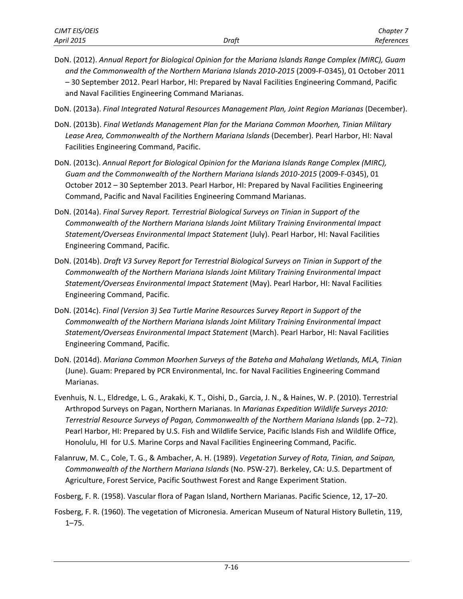- DoN. (2012). *Annual Report for Biological Opinion for the Mariana Islands Range Complex (MIRC), Guam and the Commonwealth of the Northern Mariana Islands 2010-2015* (2009-F-0345), 01 October 2011 – 30 September 2012. Pearl Harbor, HI: Prepared by Naval Facilities Engineering Command, Pacific and Naval Facilities Engineering Command Marianas.
- DoN. (2013a). *Final Integrated Natural Resources Management Plan, Joint Region Marianas* (December).
- DoN. (2013b). *Final Wetlands Management Plan for the Mariana Common Moorhen, Tinian Military Lease Area, Commonwealth of the Northern Mariana Islands* (December). Pearl Harbor, HI: Naval Facilities Engineering Command, Pacific.
- DoN. (2013c). *Annual Report for Biological Opinion for the Mariana Islands Range Complex (MIRC), Guam and the Commonwealth of the Northern Mariana Islands 2010-2015* (2009-F-0345), 01 October 2012 – 30 September 2013. Pearl Harbor, HI: Prepared by Naval Facilities Engineering Command, Pacific and Naval Facilities Engineering Command Marianas.
- DoN. (2014a). *Final Survey Report. Terrestrial Biological Surveys on Tinian in Support of the Commonwealth of the Northern Mariana Islands Joint Military Training Environmental Impact Statement/Overseas Environmental Impact Statement* (July). Pearl Harbor, HI: Naval Facilities Engineering Command, Pacific.
- DoN. (2014b). *Draft V3 Survey Report for Terrestrial Biological Surveys on Tinian in Support of the Commonwealth of the Northern Mariana Islands Joint Military Training Environmental Impact Statement/Overseas Environmental Impact Statement* (May). Pearl Harbor, HI: Naval Facilities Engineering Command, Pacific.
- DoN. (2014c). *Final (Version 3) Sea Turtle Marine Resources Survey Report in Support of the Commonwealth of the Northern Mariana Islands Joint Military Training Environmental Impact Statement/Overseas Environmental Impact Statement* (March). Pearl Harbor, HI: Naval Facilities Engineering Command, Pacific.
- DoN. (2014d). *Mariana Common Moorhen Surveys of the Bateha and Mahalang Wetlands, MLA, Tinian* (June). Guam: Prepared by PCR Environmental, Inc. for Naval Facilities Engineering Command Marianas.
- Evenhuis, N. L., Eldredge, L. G., Arakaki, K. T., Oishi, D., Garcia, J. N., & Haines, W. P. (2010). Terrestrial Arthropod Surveys on Pagan, Northern Marianas. In *Marianas Expedition Wildlife Surveys 2010: Terrestrial Resource Surveys of Pagan, Commonwealth of the Northern Mariana Islands* (pp. 2–72). Pearl Harbor, HI: Prepared by U.S. Fish and Wildlife Service, Pacific Islands Fish and Wildlife Office, Honolulu, HI for U.S. Marine Corps and Naval Facilities Engineering Command, Pacific.
- Falanruw, M. C., Cole, T. G., & Ambacher, A. H. (1989). *Vegetation Survey of Rota, Tinian, and Saipan, Commonwealth of the Northern Mariana Islands* (No. PSW-27). Berkeley, CA: U.S. Department of Agriculture, Forest Service, Pacific Southwest Forest and Range Experiment Station.
- Fosberg, F. R. (1958). Vascular flora of Pagan Island, Northern Marianas. Pacific Science, 12, 17–20.
- Fosberg, F. R. (1960). The vegetation of Micronesia. American Museum of Natural History Bulletin, 119, 1–75.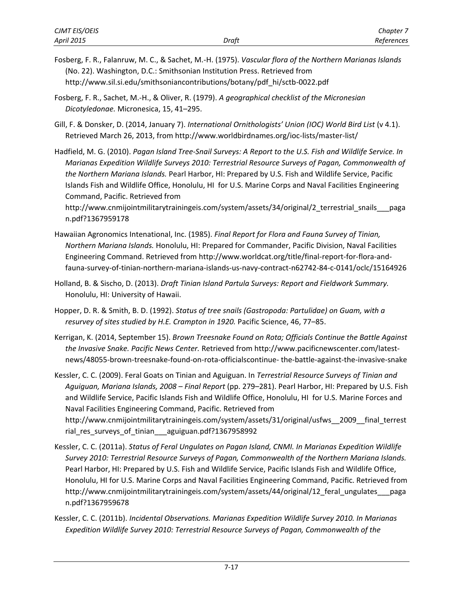- Fosberg, F. R., Falanruw, M. C., & Sachet, M.-H. (1975). *Vascular flora of the Northern Marianas Islands* (No. 22). Washington, D.C.: Smithsonian Institution Press. Retrieved from http://www.sil.si.edu/smithsoniancontributions/botany/pdf\_hi/sctb-0022.pdf
- Fosberg, F. R., Sachet, M.-H., & Oliver, R. (1979). *A geographical checklist of the Micronesian Dicotyledonae.* Micronesica, 15, 41–295.
- Gill, F. & Donsker, D. (2014, January 7). *International Ornithologists' Union (IOC) World Bird List* (v 4.1). Retrieved March 26, 2013, from http://www.worldbirdnames.org/ioc-lists/master-list/
- Hadfield, M. G. (2010). *Pagan Island Tree-Snail Surveys: A Report to the U.S. Fish and Wildlife Service. In Marianas Expedition Wildlife Surveys 2010: Terrestrial Resource Surveys of Pagan, Commonwealth of the Northern Mariana Islands.* Pearl Harbor, HI: Prepared by U.S. Fish and Wildlife Service, Pacific Islands Fish and Wildlife Office, Honolulu, HI for U.S. Marine Corps and Naval Facilities Engineering Command, Pacific. Retrieved from

http://www.cnmijointmilitarytrainingeis.com/system/assets/34/original/2\_terrestrial\_snails\_\_\_paga n.pdf?1367959178

- Hawaiian Agronomics Intenational, Inc. (1985). *Final Report for Flora and Fauna Survey of Tinian, Northern Mariana Islands.* Honolulu, HI: Prepared for Commander, Pacific Division, Naval Facilities Engineering Command. Retrieved from http://www.worldcat.org/title/final-report-for-flora-andfauna-survey-of-tinian-northern-mariana-islands-us-navy-contract-n62742-84-c-0141/oclc/15164926
- Holland, B. & Sischo, D. (2013). *Draft Tinian Island Partula Surveys: Report and Fieldwork Summary.* Honolulu, HI: University of Hawaii.
- Hopper, D. R. & Smith, B. D. (1992). *Status of tree snails (Gastropoda: Partulidae) on Guam, with a resurvey of sites studied by H.E. Crampton in 1920.* Pacific Science, 46, 77–85.
- Kerrigan, K. (2014, September 15). *Brown Treesnake Found on Rota; Officials Continue the Battle Against the Invasive Snake. Pacific News Center.* Retrieved from http://www.pacificnewscenter.com/latest‐ news/48055‐brown‐treesnake‐found‐on‐rota‐officialscontinue‐ the‐battle‐against‐the‐invasive‐snake
- Kessler, C. C. (2009). Feral Goats on Tinian and Aguiguan. In *Terrestrial Resource Surveys of Tinian and Aguiguan, Mariana Islands, 2008 – Final Report* (pp. 279–281). Pearl Harbor, HI: Prepared by U.S. Fish and Wildlife Service, Pacific Islands Fish and Wildlife Office, Honolulu, HI for U.S. Marine Forces and Naval Facilities Engineering Command, Pacific. Retrieved from http://www.cnmijointmilitarytrainingeis.com/system/assets/31/original/usfws\_\_2009\_\_final\_terrest rial\_res\_surveys\_of\_tinian\_\_\_aguiguan.pdf?1367958992
- Kessler, C. C. (2011a). *Status of Feral Ungulates on Pagan Island, CNMI. In Marianas Expedition Wildlife Survey 2010: Terrestrial Resource Surveys of Pagan, Commonwealth of the Northern Mariana Islands.* Pearl Harbor, HI: Prepared by U.S. Fish and Wildlife Service, Pacific Islands Fish and Wildlife Office, Honolulu, HI for U.S. Marine Corps and Naval Facilities Engineering Command, Pacific. Retrieved from http://www.cnmijointmilitarytrainingeis.com/system/assets/44/original/12\_feral\_ungulates\_\_\_paga n.pdf?1367959678
- Kessler, C. C. (2011b). *Incidental Observations. Marianas Expedition Wildlife Survey 2010. In Marianas Expedition Wildlife Survey 2010: Terrestrial Resource Surveys of Pagan, Commonwealth of the*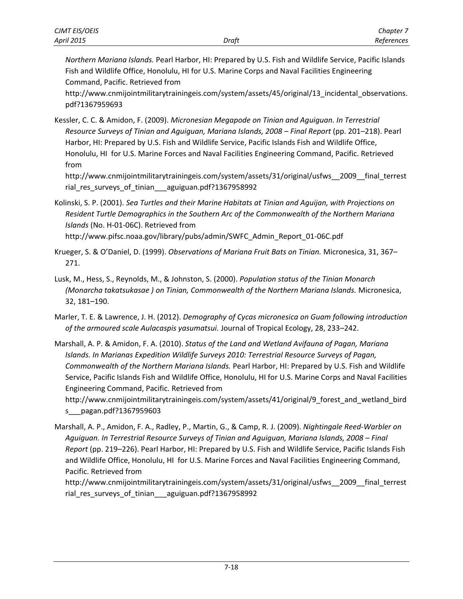*Northern Mariana Islands.* Pearl Harbor, HI: Prepared by U.S. Fish and Wildlife Service, Pacific Islands Fish and Wildlife Office, Honolulu, HI for U.S. Marine Corps and Naval Facilities Engineering Command, Pacific. Retrieved from

http://www.cnmijointmilitarytrainingeis.com/system/assets/45/original/13 incidental observations. pdf?1367959693

Kessler, C. C. & Amidon, F. (2009). *Micronesian Megapode on Tinian and Aguiguan. In Terrestrial Resource Surveys of Tinian and Aguiguan, Mariana Islands, 2008 – Final Report* (pp. 201–218). Pearl Harbor, HI: Prepared by U.S. Fish and Wildlife Service, Pacific Islands Fish and Wildlife Office, Honolulu, HI for U.S. Marine Forces and Naval Facilities Engineering Command, Pacific. Retrieved from

http://www.cnmijointmilitarytrainingeis.com/system/assets/31/original/usfws\_\_2009\_\_final\_terrest rial\_res\_surveys\_of\_tinian\_\_\_aguiguan.pdf?1367958992

Kolinski, S. P. (2001). *Sea Turtles and their Marine Habitats at Tinian and Aguijan, with Projections on Resident Turtle Demographics in the Southern Arc of the Commonwealth of the Northern Mariana Islands* (No. H-01-06C). Retrieved from http://www.pifsc.noaa.gov/library/pubs/admin/SWFC\_Admin\_Report\_01-06C.pdf

- Krueger, S. & O'Daniel, D. (1999). *Observations of Mariana Fruit Bats on Tinian.* Micronesica, 31, 367– 271.
- Lusk, M., Hess, S., Reynolds, M., & Johnston, S. (2000). *Population status of the Tinian Monarch (Monarcha takatsukasae ) on Tinian, Commonwealth of the Northern Mariana Islands.* Micronesica, 32, 181–190.
- Marler, T. E. & Lawrence, J. H. (2012). *Demography of Cycas micronesica on Guam following introduction of the armoured scale Aulacaspis yasumatsui.* Journal of Tropical Ecology, 28, 233–242.
- Marshall, A. P. & Amidon, F. A. (2010). *Status of the Land and Wetland Avifauna of Pagan, Mariana Islands. In Marianas Expedition Wildlife Surveys 2010: Terrestrial Resource Surveys of Pagan, Commonwealth of the Northern Mariana Islands.* Pearl Harbor, HI: Prepared by U.S. Fish and Wildlife Service, Pacific Islands Fish and Wildlife Office, Honolulu, HI for U.S. Marine Corps and Naval Facilities Engineering Command, Pacific. Retrieved from

http://www.cnmijointmilitarytrainingeis.com/system/assets/41/original/9\_forest\_and\_wetland\_bird s\_\_\_pagan.pdf?1367959603

Marshall, A. P., Amidon, F. A., Radley, P., Martin, G., & Camp, R. J. (2009). *Nightingale Reed-Warbler on*  Aguiguan. In Terrestrial Resource Surveys of Tinian and Aguiguan, Mariana Islands, 2008 – Final *Report* (pp. 219–226). Pearl Harbor, HI: Prepared by U.S. Fish and Wildlife Service, Pacific Islands Fish and Wildlife Office, Honolulu, HI for U.S. Marine Forces and Naval Facilities Engineering Command, Pacific. Retrieved from

http://www.cnmijointmilitarytrainingeis.com/system/assets/31/original/usfws\_\_2009\_\_final\_terrest rial\_res\_surveys\_of\_tinian\_\_\_aguiguan.pdf?1367958992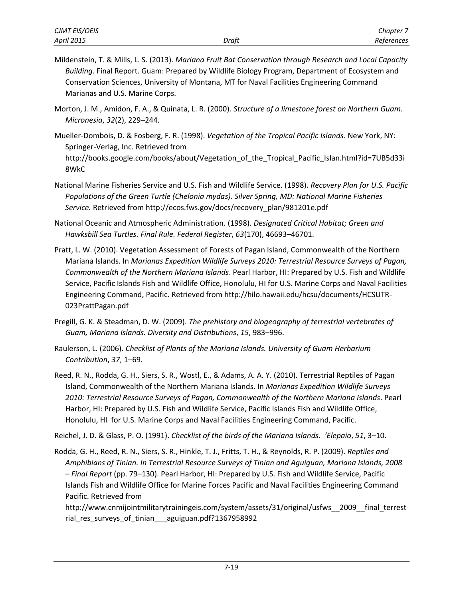- Mildenstein, T. & Mills, L. S. (2013). *Mariana Fruit Bat Conservation through Research and Local Capacity Building.* Final Report. Guam: Prepared by Wildlife Biology Program, Department of Ecosystem and Conservation Sciences, University of Montana, MT for Naval Facilities Engineering Command Marianas and U.S. Marine Corps.
- Morton, J. M., Amidon, F. A., & Quinata, L. R. (2000). *Structure of a limestone forest on Northern Guam. Micronesia*, *32*(2), 229–244.
- Mueller-Dombois, D. & Fosberg, F. R. (1998). *Vegetation of the Tropical Pacific Islands*. New York, NY: Springer-Verlag, Inc. Retrieved from http://books.google.com/books/about/Vegetation\_of\_the\_Tropical\_Pacific\_Islan.html?id=7UB5d33i 8WkC
- National Marine Fisheries Service and U.S. Fish and Wildlife Service. (1998). *Recovery Plan for U.S. Pacific Populations of the Green Turtle (Chelonia mydas). Silver Spring, MD: National Marine Fisheries Service.* Retrieved from http://ecos.fws.gov/docs/recovery\_plan/981201e.pdf
- National Oceanic and Atmospheric Administration. (1998). *Designated Critical Habitat; Green and Hawksbill Sea Turtles. Final Rule. Federal Register*, *63*(170), 46693–46701.
- Pratt, L. W. (2010). Vegetation Assessment of Forests of Pagan Island, Commonwealth of the Northern Mariana Islands. In *Marianas Expedition Wildlife Surveys 2010: Terrestrial Resource Surveys of Pagan, Commonwealth of the Northern Mariana Islands*. Pearl Harbor, HI: Prepared by U.S. Fish and Wildlife Service, Pacific Islands Fish and Wildlife Office, Honolulu, HI for U.S. Marine Corps and Naval Facilities Engineering Command, Pacific. Retrieved from http://hilo.hawaii.edu/hcsu/documents/HCSUTR-023PrattPagan.pdf
- Pregill, G. K. & Steadman, D. W. (2009). *The prehistory and biogeography of terrestrial vertebrates of Guam, Mariana Islands. Diversity and Distributions*, *15*, 983–996.
- Raulerson, L. (2006). *Checklist of Plants of the Mariana Islands. University of Guam Herbarium Contribution*, *37*, 1–69.
- Reed, R. N., Rodda, G. H., Siers, S. R., Wostl, E., & Adams, A. A. Y. (2010). Terrestrial Reptiles of Pagan Island, Commonwealth of the Northern Mariana Islands. In *Marianas Expedition Wildlife Surveys 2010: Terrestrial Resource Surveys of Pagan, Commonwealth of the Northern Mariana Islands*. Pearl Harbor, HI: Prepared by U.S. Fish and Wildlife Service, Pacific Islands Fish and Wildlife Office, Honolulu, HI for U.S. Marine Corps and Naval Facilities Engineering Command, Pacific.

Reichel, J. D. & Glass, P. O. (1991). *Checklist of the birds of the Mariana Islands. 'Elepaio*, *51*, 3–10.

Rodda, G. H., Reed, R. N., Siers, S. R., Hinkle, T. J., Fritts, T. H., & Reynolds, R. P. (2009). *Reptiles and Amphibians of Tinian. In Terrestrial Resource Surveys of Tinian and Aguiguan, Mariana Islands, 2008 – Final Report* (pp. 79–130). Pearl Harbor, HI: Prepared by U.S. Fish and Wildlife Service, Pacific Islands Fish and Wildlife Office for Marine Forces Pacific and Naval Facilities Engineering Command Pacific. Retrieved from

http://www.cnmijointmilitarytrainingeis.com/system/assets/31/original/usfws\_\_2009\_\_final\_terrest rial\_res\_surveys\_of\_tinian\_\_\_aguiguan.pdf?1367958992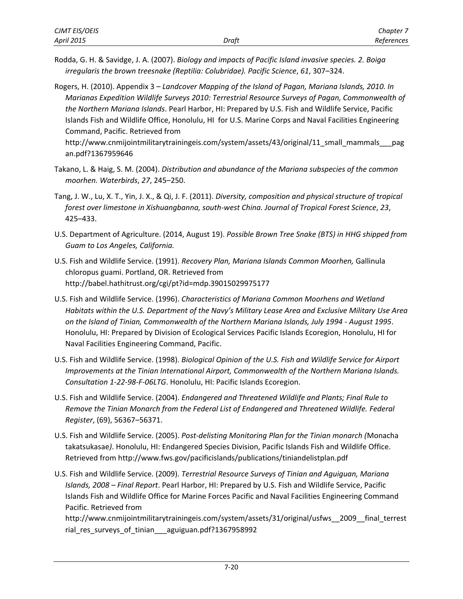Rodda, G. H. & Savidge, J. A. (2007). *Biology and impacts of Pacific Island invasive species. 2. Boiga irregularis the brown treesnake (Reptilia: Colubridae). Pacific Science*, *61*, 307–324.

Rogers, H. (2010). Appendix 3 – *Landcover Mapping of the Island of Pagan, Mariana Islands, 2010. In Marianas Expedition Wildlife Surveys 2010: Terrestrial Resource Surveys of Pagan, Commonwealth of the Northern Mariana Islands*. Pearl Harbor, HI: Prepared by U.S. Fish and Wildlife Service, Pacific Islands Fish and Wildlife Office, Honolulu, HI for U.S. Marine Corps and Naval Facilities Engineering Command, Pacific. Retrieved from

http://www.cnmijointmilitarytrainingeis.com/system/assets/43/original/11\_small\_mammals\_\_\_pag an.pdf?1367959646

- Takano, L. & Haig, S. M. (2004). *Distribution and abundance of the Mariana subspecies of the common moorhen. Waterbirds*, *27*, 245–250.
- Tang, J. W., Lu, X. T., Yin, J. X., & Qi, J. F. (2011). *Diversity, composition and physical structure of tropical forest over limestone in Xishuangbanna, south-west China. Journal of Tropical Forest Science*, *23*, 425–433.
- U.S. Department of Agriculture. (2014, August 19). *Possible Brown Tree Snake (BTS) in HHG shipped from Guam to Los Angeles, California.*
- U.S. Fish and Wildlife Service. (1991). *Recovery Plan, Mariana Islands Common Moorhen,* Gallinula chloropus guami. Portland, OR. Retrieved from http://babel.hathitrust.org/cgi/pt?id=mdp.39015029975177
- U.S. Fish and Wildlife Service. (1996). *Characteristics of Mariana Common Moorhens and Wetland Habitats within the U.S. Department of the Navy's Military Lease Area and Exclusive Military Use Area on the Island of Tinian, Commonwealth of the Northern Mariana Islands, July 1994 - August 1995*. Honolulu, HI: Prepared by Division of Ecological Services Pacific Islands Ecoregion, Honolulu, HI for Naval Facilities Engineering Command, Pacific.
- U.S. Fish and Wildlife Service. (1998). *Biological Opinion of the U.S. Fish and Wildlife Service for Airport Improvements at the Tinian International Airport, Commonwealth of the Northern Mariana Islands. Consultation 1-22-98-F-06LTG*. Honolulu, HI: Pacific Islands Ecoregion.
- U.S. Fish and Wildlife Service. (2004). *Endangered and Threatened Wildlife and Plants; Final Rule to Remove the Tinian Monarch from the Federal List of Endangered and Threatened Wildlife. Federal Register*, (69), 56367–56371.
- U.S. Fish and Wildlife Service. (2005). *Post-delisting Monitoring Plan for the Tinian monarch (*Monacha takatsukasae*)*. Honolulu, HI: Endangered Species Division, Pacific Islands Fish and Wildlife Office. Retrieved from http://www.fws.gov/pacificislands/publications/tiniandelistplan.pdf
- U.S. Fish and Wildlife Service. (2009). *Terrestrial Resource Surveys of Tinian and Aguiguan, Mariana Islands, 2008 – Final Report*. Pearl Harbor, HI: Prepared by U.S. Fish and Wildlife Service, Pacific Islands Fish and Wildlife Office for Marine Forces Pacific and Naval Facilities Engineering Command Pacific. Retrieved from

http://www.cnmijointmilitarytrainingeis.com/system/assets/31/original/usfws\_\_2009\_\_final\_terrest rial\_res\_surveys\_of\_tinian\_\_\_aguiguan.pdf?1367958992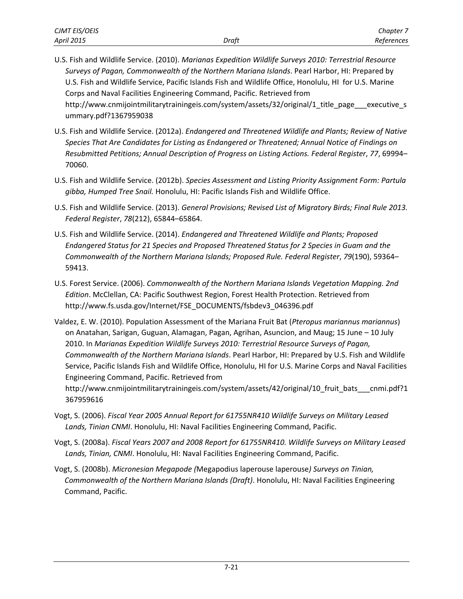- U.S. Fish and Wildlife Service. (2010). *Marianas Expedition Wildlife Surveys 2010: Terrestrial Resource Surveys of Pagan, Commonwealth of the Northern Mariana Islands*. Pearl Harbor, HI: Prepared by U.S. Fish and Wildlife Service, Pacific Islands Fish and Wildlife Office, Honolulu, HI for U.S. Marine Corps and Naval Facilities Engineering Command, Pacific. Retrieved from http://www.cnmijointmilitarytrainingeis.com/system/assets/32/original/1\_title\_page executive\_s ummary.pdf?1367959038
- U.S. Fish and Wildlife Service. (2012a). *Endangered and Threatened Wildlife and Plants; Review of Native Species That Are Candidates for Listing as Endangered or Threatened; Annual Notice of Findings on Resubmitted Petitions; Annual Description of Progress on Listing Actions. Federal Register*, *77*, 69994– 70060.
- U.S. Fish and Wildlife Service. (2012b). *Species Assessment and Listing Priority Assignment Form: Partula gibba, Humped Tree Snail.* Honolulu, HI: Pacific Islands Fish and Wildlife Office.
- U.S. Fish and Wildlife Service. (2013). *General Provisions; Revised List of Migratory Birds; Final Rule 2013. Federal Register*, *78*(212), 65844–65864.
- U.S. Fish and Wildlife Service. (2014). *Endangered and Threatened Wildlife and Plants; Proposed Endangered Status for 21 Species and Proposed Threatened Status for 2 Species in Guam and the Commonwealth of the Northern Mariana Islands; Proposed Rule. Federal Register*, *79*(190), 59364– 59413.
- U.S. Forest Service. (2006). *Commonwealth of the Northern Mariana Islands Vegetation Mapping. 2nd Edition*. McClellan, CA: Pacific Southwest Region, Forest Health Protection. Retrieved from http://www.fs.usda.gov/Internet/FSE\_DOCUMENTS/fsbdev3\_046396.pdf
- Valdez, E. W. (2010). Population Assessment of the Mariana Fruit Bat (*Pteropus mariannus mariannus*) on Anatahan, Sarigan, Guguan, Alamagan, Pagan, Agrihan, Asuncion, and Maug; 15 June – 10 July 2010. In *Marianas Expedition Wildlife Surveys 2010: Terrestrial Resource Surveys of Pagan, Commonwealth of the Northern Mariana Islands*. Pearl Harbor, HI: Prepared by U.S. Fish and Wildlife Service, Pacific Islands Fish and Wildlife Office, Honolulu, HI for U.S. Marine Corps and Naval Facilities Engineering Command, Pacific. Retrieved from

http://www.cnmijointmilitarytrainingeis.com/system/assets/42/original/10\_fruit\_bats\_\_\_cnmi.pdf?1 367959616

- Vogt, S. (2006). *Fiscal Year 2005 Annual Report for 61755NR410 Wildlife Surveys on Military Leased Lands, Tinian CNMI*. Honolulu, HI: Naval Facilities Engineering Command, Pacific.
- Vogt, S. (2008a). *Fiscal Years 2007 and 2008 Report for 61755NR410. Wildlife Surveys on Military Leased Lands, Tinian, CNMI*. Honolulu, HI: Naval Facilities Engineering Command, Pacific.
- Vogt, S. (2008b). *Micronesian Megapode (*Megapodius laperouse laperouse*) Surveys on Tinian, Commonwealth of the Northern Mariana Islands (Draft)*. Honolulu, HI: Naval Facilities Engineering Command, Pacific.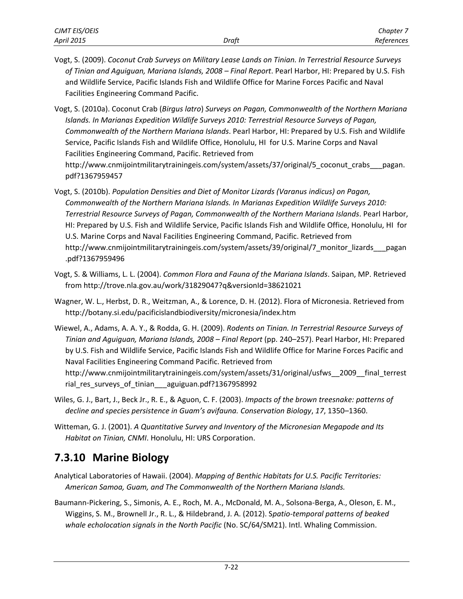| CJMT EIS/OEIS     |       | Chapter 7  |
|-------------------|-------|------------|
| <b>April 2015</b> | Draft | References |

Vogt, S. (2009). *Coconut Crab Surveys on Military Lease Lands on Tinian. In Terrestrial Resource Surveys of Tinian and Aguiguan, Mariana Islands, 2008 – Final Report*. Pearl Harbor, HI: Prepared by U.S. Fish and Wildlife Service, Pacific Islands Fish and Wildlife Office for Marine Forces Pacific and Naval Facilities Engineering Command Pacific.

Vogt, S. (2010a). Coconut Crab (*Birgus latro*) *Surveys on Pagan, Commonwealth of the Northern Mariana Islands. In Marianas Expedition Wildlife Surveys 2010: Terrestrial Resource Surveys of Pagan, Commonwealth of the Northern Mariana Islands*. Pearl Harbor, HI: Prepared by U.S. Fish and Wildlife Service, Pacific Islands Fish and Wildlife Office, Honolulu, HI for U.S. Marine Corps and Naval Facilities Engineering Command, Pacific. Retrieved from http://www.cnmijointmilitarytrainingeis.com/system/assets/37/original/5\_coconut\_crabs\_\_\_pagan. pdf?1367959457

- Vogt, S. (2010b). *Population Densities and Diet of Monitor Lizards (Varanus indicus) on Pagan, Commonwealth of the Northern Mariana Islands. In Marianas Expedition Wildlife Surveys 2010: Terrestrial Resource Surveys of Pagan, Commonwealth of the Northern Mariana Islands*. Pearl Harbor, HI: Prepared by U.S. Fish and Wildlife Service, Pacific Islands Fish and Wildlife Office, Honolulu, HI for U.S. Marine Corps and Naval Facilities Engineering Command, Pacific. Retrieved from http://www.cnmijointmilitarytrainingeis.com/system/assets/39/original/7\_monitor\_lizards\_\_\_pagan .pdf?1367959496
- Vogt, S. & Williams, L. L. (2004). *Common Flora and Fauna of the Mariana Islands*. Saipan, MP. Retrieved from http://trove.nla.gov.au/work/31829047?q&versionId=38621021
- Wagner, W. L., Herbst, D. R., Weitzman, A., & Lorence, D. H. (2012). Flora of Micronesia. Retrieved from http://botany.si.edu/pacificislandbiodiversity/micronesia/index.htm
- Wiewel, A., Adams, A. A. Y., & Rodda, G. H. (2009). *Rodents on Tinian. In Terrestrial Resource Surveys of Tinian and Aguiguan, Mariana Islands, 2008 – Final Report* (pp. 240–257). Pearl Harbor, HI: Prepared by U.S. Fish and Wildlife Service, Pacific Islands Fish and Wildlife Office for Marine Forces Pacific and Naval Facilities Engineering Command Pacific. Retrieved from

http://www.cnmijointmilitarytrainingeis.com/system/assets/31/original/usfws\_\_2009\_\_final\_terrest rial\_res\_surveys\_of\_tinian\_\_\_aguiguan.pdf?1367958992

- Wiles, G. J., Bart, J., Beck Jr., R. E., & Aguon, C. F. (2003). *Impacts of the brown treesnake: patterns of decline and species persistence in Guam's avifauna. Conservation Biology*, *17*, 1350–1360.
- Witteman, G. J. (2001). *A Quantitative Survey and Inventory of the Micronesian Megapode and Its Habitat on Tinian, CNMI*. Honolulu, HI: URS Corporation.

#### **7.3.10 Marine Biology**

- Analytical Laboratories of Hawaii. (2004). *Mapping of Benthic Habitats for U.S. Pacific Territories: American Samoa, Guam, and The Commonwealth of the Northern Mariana Islands.*
- Baumann-Pickering, S., Simonis, A. E., Roch, M. A., McDonald, M. A., Solsona-Berga, A., Oleson, E. M., Wiggins, S. M., Brownell Jr., R. L., & Hildebrand, J. A. (2012). S*patio-temporal patterns of beaked whale echolocation signals in the North Pacific* (No. SC/64/SM21). Intl. Whaling Commission.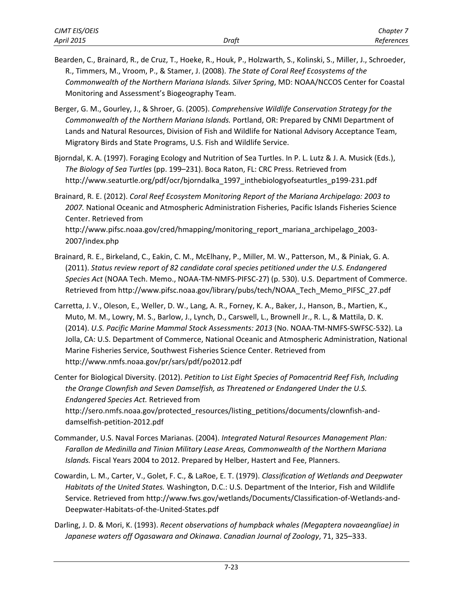- Bearden, C., Brainard, R., de Cruz, T., Hoeke, R., Houk, P., Holzwarth, S., Kolinski, S., Miller, J., Schroeder, R., Timmers, M., Vroom, P., & Stamer, J. (2008). *The State of Coral Reef Ecosystems of the Commonwealth of the Northern Mariana Islands. Silver Spring*, MD: NOAA/NCCOS Center for Coastal Monitoring and Assessment's Biogeography Team.
- Berger, G. M., Gourley, J., & Shroer, G. (2005). *Comprehensive Wildlife Conservation Strategy for the Commonwealth of the Northern Mariana Islands.* Portland, OR: Prepared by CNMI Department of Lands and Natural Resources, Division of Fish and Wildlife for National Advisory Acceptance Team, Migratory Birds and State Programs, U.S. Fish and Wildlife Service.
- Bjorndal, K. A. (1997). Foraging Ecology and Nutrition of Sea Turtles. In P. L. Lutz & J. A. Musick (Eds.), *The Biology of Sea Turtles* (pp. 199–231). Boca Raton, FL: CRC Press. Retrieved from http://www.seaturtle.org/pdf/ocr/bjorndalka\_1997\_inthebiologyofseaturtles\_p199-231.pdf
- Brainard, R. E. (2012). *Coral Reef Ecosystem Monitoring Report of the Mariana Archipelago: 2003 to 2007.* National Oceanic and Atmospheric Administration Fisheries, Pacific Islands Fisheries Science Center. Retrieved from http://www.pifsc.noaa.gov/cred/hmapping/monitoring\_report\_mariana\_archipelago\_2003- 2007/index.php
- Brainard, R. E., Birkeland, C., Eakin, C. M., McElhany, P., Miller, M. W., Patterson, M., & Piniak, G. A. (2011). *Status review report of 82 candidate coral species petitioned under the U.S. Endangered Species Act* (NOAA Tech. Memo., NOAA-TM-NMFS-PIFSC-27) (p. 530). U.S. Department of Commerce. Retrieved from http://www.pifsc.noaa.gov/library/pubs/tech/NOAA\_Tech\_Memo\_PIFSC\_27.pdf
- Carretta, J. V., Oleson, E., Weller, D. W., Lang, A. R., Forney, K. A., Baker, J., Hanson, B., Martien, K., Muto, M. M., Lowry, M. S., Barlow, J., Lynch, D., Carswell, L., Brownell Jr., R. L., & Mattila, D. K. (2014). *U.S. Pacific Marine Mammal Stock Assessments: 2013* (No. NOAA-TM-NMFS-SWFSC-532). La Jolla, CA: U.S. Department of Commerce, National Oceanic and Atmospheric Administration, National Marine Fisheries Service, Southwest Fisheries Science Center. Retrieved from http://www.nmfs.noaa.gov/pr/sars/pdf/po2012.pdf
- Center for Biological Diversity. (2012). *Petition to List Eight Species of Pomacentrid Reef Fish, Including the Orange Clownfish and Seven Damselfish, as Threatened or Endangered Under the U.S. Endangered Species Act.* Retrieved from http://sero.nmfs.noaa.gov/protected\_resources/listing\_petitions/documents/clownfish-anddamselfish-petition-2012.pdf
- Commander, U.S. Naval Forces Marianas. (2004). *Integrated Natural Resources Management Plan: Farallon de Medinilla and Tinian Military Lease Areas, Commonwealth of the Northern Mariana Islands.* Fiscal Years 2004 to 2012. Prepared by Helber, Hastert and Fee, Planners.
- Cowardin, L. M., Carter, V., Golet, F. C., & LaRoe, E. T. (1979). *Classification of Wetlands and Deepwater Habitats of the United States.* Washington, D.C.: U.S. Department of the Interior, Fish and Wildlife Service. Retrieved from http://www.fws.gov/wetlands/Documents/Classification-of-Wetlands-and-Deepwater-Habitats-of-the-United-States.pdf
- Darling, J. D. & Mori, K. (1993). *Recent observations of humpback whales (Megaptera novaeangliae) in Japanese waters off Ogasawara and Okinawa*. *Canadian Journal of Zoology*, 71, 325–333.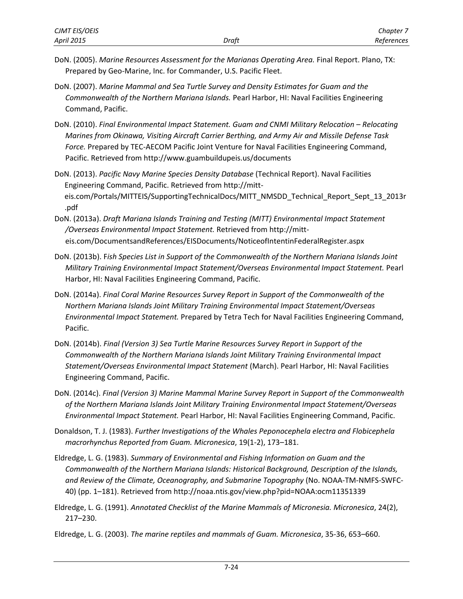- DoN. (2005). *Marine Resources Assessment for the Marianas Operating Area.* Final Report. Plano, TX: Prepared by Geo-Marine, Inc. for Commander, U.S. Pacific Fleet.
- DoN. (2007). *Marine Mammal and Sea Turtle Survey and Density Estimates for Guam and the Commonwealth of the Northern Mariana Islands.* Pearl Harbor, HI: Naval Facilities Engineering Command, Pacific.
- DoN. (2010). *Final Environmental Impact Statement. Guam and CNMI Military Relocation Relocating Marines from Okinawa, Visiting Aircraft Carrier Berthing, and Army Air and Missile Defense Task Force.* Prepared by TEC-AECOM Pacific Joint Venture for Naval Facilities Engineering Command, Pacific. Retrieved from http://www.guambuildupeis.us/documents
- DoN. (2013). *Pacific Navy Marine Species Density Database* (Technical Report). Naval Facilities Engineering Command, Pacific. Retrieved from http://mitteis.com/Portals/MITTEIS/SupportingTechnicalDocs/MITT\_NMSDD\_Technical\_Report\_Sept\_13\_2013r .pdf
- DoN. (2013a). *Draft Mariana Islands Training and Testing (MITT) Environmental Impact Statement /Overseas Environmental Impact Statement.* Retrieved from http://mitteis.com/DocumentsandReferences/EISDocuments/NoticeofIntentinFederalRegister.aspx
- DoN. (2013b). F*ish Species List in Support of the Commonwealth of the Northern Mariana Islands Joint Military Training Environmental Impact Statement/Overseas Environmental Impact Statement.* Pearl Harbor, HI: Naval Facilities Engineering Command, Pacific.
- DoN. (2014a). *Final Coral Marine Resources Survey Report in Support of the Commonwealth of the Northern Mariana Islands Joint Military Training Environmental Impact Statement/Overseas Environmental Impact Statement.* Prepared by Tetra Tech for Naval Facilities Engineering Command, Pacific.
- DoN. (2014b). *Final (Version 3) Sea Turtle Marine Resources Survey Report in Support of the Commonwealth of the Northern Mariana Islands Joint Military Training Environmental Impact Statement/Overseas Environmental Impact Statement* (March). Pearl Harbor, HI: Naval Facilities Engineering Command, Pacific.
- DoN. (2014c). *Final (Version 3) Marine Mammal Marine Survey Report in Support of the Commonwealth of the Northern Mariana Islands Joint Military Training Environmental Impact Statement/Overseas Environmental Impact Statement.* Pearl Harbor, HI: Naval Facilities Engineering Command, Pacific.
- Donaldson, T. J. (1983). *Further Investigations of the Whales Peponocephela electra and Flobicephela macrorhynchus Reported from Guam. Micronesica*, 19(1-2), 173–181.
- Eldredge, L. G. (1983). *Summary of Environmental and Fishing Information on Guam and the Commonwealth of the Northern Mariana Islands: Historical Background, Description of the Islands, and Review of the Climate, Oceanography, and Submarine Topography* (No. NOAA-TM-NMFS-SWFC-40) (pp. 1–181). Retrieved from http://noaa.ntis.gov/view.php?pid=NOAA:ocm11351339
- Eldredge, L. G. (1991). *Annotated Checklist of the Marine Mammals of Micronesia. Micronesica*, 24(2), 217–230.
- Eldredge, L. G. (2003). *The marine reptiles and mammals of Guam. Micronesica*, 35-36, 653–660.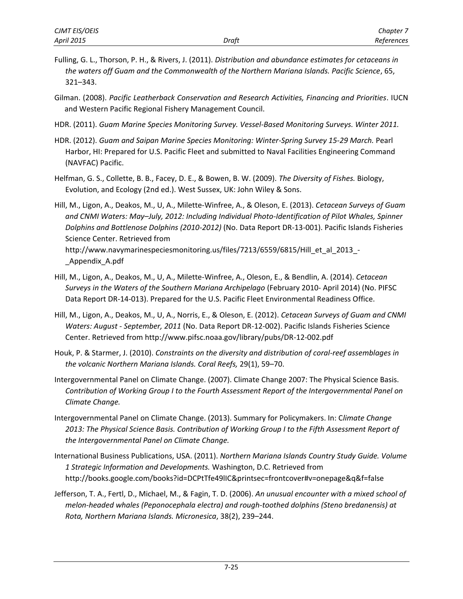- Fulling, G. L., Thorson, P. H., & Rivers, J. (2011). *Distribution and abundance estimates for cetaceans in the waters off Guam and the Commonwealth of the Northern Mariana Islands. Pacific Science*, 65, 321–343.
- Gilman. (2008). *Pacific Leatherback Conservation and Research Activities, Financing and Priorities*. IUCN and Western Pacific Regional Fishery Management Council.
- HDR. (2011). *Guam Marine Species Monitoring Survey. Vessel-Based Monitoring Surveys. Winter 2011.*
- HDR. (2012). *Guam and Saipan Marine Species Monitoring: Winter-Spring Survey 15-29 March.* Pearl Harbor, HI: Prepared for U.S. Pacific Fleet and submitted to Naval Facilities Engineering Command (NAVFAC) Pacific.
- Helfman, G. S., Collette, B. B., Facey, D. E., & Bowen, B. W. (2009). *The Diversity of Fishes.* Biology, Evolution, and Ecology (2nd ed.). West Sussex, UK: John Wiley & Sons.

Hill, M., Ligon, A., Deakos, M., U, A., Milette-Winfree, A., & Oleson, E. (2013). *Cetacean Surveys of Guam and CNMI Waters: May–July, 2012: Including Individual Photo-Identification of Pilot Whales, Spinner Dolphins and Bottlenose Dolphins (2010-2012)* (No. Data Report DR-13-001). Pacific Islands Fisheries Science Center. Retrieved from http://www.navymarinespeciesmonitoring.us/files/7213/6559/6815/Hill\_et\_al\_2013\_-\_Appendix\_A.pdf

- Hill, M., Ligon, A., Deakos, M., U, A., Milette-Winfree, A., Oleson, E., & Bendlin, A. (2014). *Cetacean Surveys in the Waters of the Southern Mariana Archipelago* (February 2010‐ April 2014) (No. PIFSC Data Report DR-14-013). Prepared for the U.S. Pacific Fleet Environmental Readiness Office.
- Hill, M., Ligon, A., Deakos, M., U, A., Norris, E., & Oleson, E. (2012). *Cetacean Surveys of Guam and CNMI Waters: August - September, 2011* (No. Data Report DR-12-002). Pacific Islands Fisheries Science Center. Retrieved from http://www.pifsc.noaa.gov/library/pubs/DR-12-002.pdf
- Houk, P. & Starmer, J. (2010). *Constraints on the diversity and distribution of coral-reef assemblages in the volcanic Northern Mariana Islands. Coral Reefs,* 29(1), 59–70.
- Intergovernmental Panel on Climate Change. (2007). Climate Change 2007: The Physical Science Basis. *Contribution of Working Group I to the Fourth Assessment Report of the Intergovernmental Panel on Climate Change.*
- Intergovernmental Panel on Climate Change. (2013). Summary for Policymakers. In: C*limate Change 2013: The Physical Science Basis. Contribution of Working Group I to the Fifth Assessment Report of the Intergovernmental Panel on Climate Change.*
- International Business Publications, USA. (2011). *Northern Mariana Islands Country Study Guide. Volume 1 Strategic Information and Developments.* Washington, D.C. Retrieved from http://books.google.com/books?id=DCPtTfe49lIC&printsec=frontcover#v=onepage&q&f=false
- Jefferson, T. A., Fertl, D., Michael, M., & Fagin, T. D. (2006). *An unusual encounter with a mixed school of melon-headed whales (Peponocephala electra) and rough-toothed dolphins (Steno bredanensis) at Rota, Northern Mariana Islands. Micronesica*, 38(2), 239–244.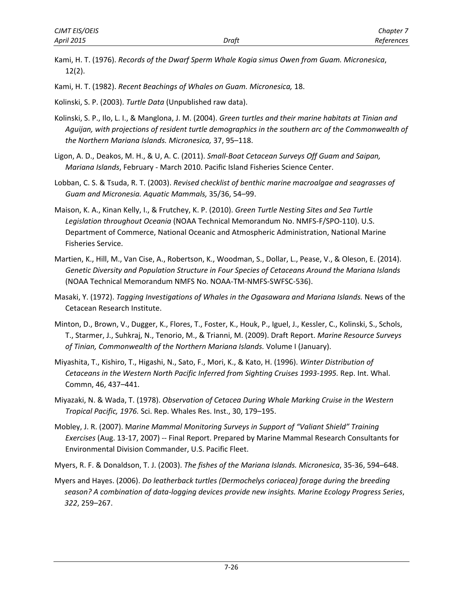Kami, H. T. (1976). *Records of the Dwarf Sperm Whale Kogia simus Owen from Guam. Micronesica*, 12(2).

Kami, H. T. (1982). *Recent Beachings of Whales on Guam. Micronesica,* 18.

Kolinski, S. P. (2003). *Turtle Data* (Unpublished raw data).

- Kolinski, S. P., Ilo, L. I., & Manglona, J. M. (2004). *Green turtles and their marine habitats at Tinian and Aguijan, with projections of resident turtle demographics in the southern arc of the Commonwealth of the Northern Mariana Islands. Micronesica,* 37, 95–118.
- Ligon, A. D., Deakos, M. H., & U, A. C. (2011). *Small-Boat Cetacean Surveys Off Guam and Saipan, Mariana Islands*, February - March 2010. Pacific Island Fisheries Science Center.
- Lobban, C. S. & Tsuda, R. T. (2003). *Revised checklist of benthic marine macroalgae and seagrasses of Guam and Micronesia. Aquatic Mammals,* 35/36, 54–99.
- Maison, K. A., Kinan Kelly, I., & Frutchey, K. P. (2010). *Green Turtle Nesting Sites and Sea Turtle Legislation throughout Oceania* (NOAA Technical Memorandum No. NMFS-F/SPO-110). U.S. Department of Commerce, National Oceanic and Atmospheric Administration, National Marine Fisheries Service.
- Martien, K., Hill, M., Van Cise, A., Robertson, K., Woodman, S., Dollar, L., Pease, V., & Oleson, E. (2014). *Genetic Diversity and Population Structure in Four Species of Cetaceans Around the Mariana Islands*  (NOAA Technical Memorandum NMFS No. NOAA-TM-NMFS-SWFSC-536).
- Masaki, Y. (1972). *Tagging Investigations of Whales in the Ogasawara and Mariana Islands.* News of the Cetacean Research Institute.
- Minton, D., Brown, V., Dugger, K., Flores, T., Foster, K., Houk, P., Iguel, J., Kessler, C., Kolinski, S., Schols, T., Starmer, J., Suhkraj, N., Tenorio, M., & Trianni, M. (2009). Draft Report. *Marine Resource Surveys of Tinian, Commonwealth of the Northern Mariana Islands.* Volume I (January).
- Miyashita, T., Kishiro, T., Higashi, N., Sato, F., Mori, K., & Kato, H. (1996). *Winter Distribution of Cetaceans in the Western North Pacific Inferred from Sighting Cruises 1993-1995.* Rep. Int. Whal. Commn, 46, 437–441.
- Miyazaki, N. & Wada, T. (1978). *Observation of Cetacea During Whale Marking Cruise in the Western Tropical Pacific, 1976.* Sci. Rep. Whales Res. Inst., 30, 179–195.
- Mobley, J. R. (2007). M*arine Mammal Monitoring Surveys in Support of "Valiant Shield" Training Exercises* (Aug. 13-17, 2007) -- Final Report. Prepared by Marine Mammal Research Consultants for Environmental Division Commander, U.S. Pacific Fleet.
- Myers, R. F. & Donaldson, T. J. (2003). *The fishes of the Mariana Islands. Micronesica*, 35-36, 594–648.
- Myers and Hayes. (2006). *Do leatherback turtles (Dermochelys coriacea) forage during the breeding season? A combination of data-logging devices provide new insights. Marine Ecology Progress Series*, *322*, 259–267.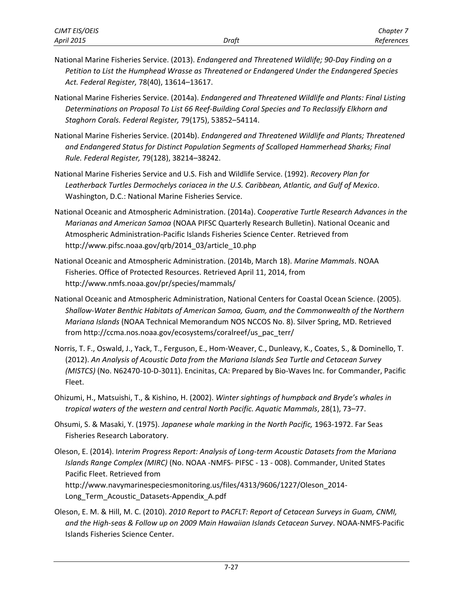- National Marine Fisheries Service. (2013). *Endangered and Threatened Wildlife; 90-Day Finding on a Petition to List the Humphead Wrasse as Threatened or Endangered Under the Endangered Species Act. Federal Register,* 78(40), 13614–13617.
- National Marine Fisheries Service. (2014a). *Endangered and Threatened Wildlife and Plants: Final Listing Determinations on Proposal To List 66 Reef-Building Coral Species and To Reclassify Elkhorn and Staghorn Corals. Federal Register,* 79(175), 53852–54114.
- National Marine Fisheries Service. (2014b). *Endangered and Threatened Wildlife and Plants; Threatened and Endangered Status for Distinct Population Segments of Scalloped Hammerhead Sharks; Final Rule. Federal Register,* 79(128), 38214–38242.
- National Marine Fisheries Service and U.S. Fish and Wildlife Service. (1992). *Recovery Plan for Leatherback Turtles Dermochelys coriacea in the U.S. Caribbean, Atlantic, and Gulf of Mexico*. Washington, D.C.: National Marine Fisheries Service.
- National Oceanic and Atmospheric Administration. (2014a). C*ooperative Turtle Research Advances in the Marianas and American Samoa* (NOAA PIFSC Quarterly Research Bulletin). National Oceanic and Atmospheric Administration-Pacific Islands Fisheries Science Center. Retrieved from http://www.pifsc.noaa.gov/qrb/2014\_03/article\_10.php
- National Oceanic and Atmospheric Administration. (2014b, March 18). *Marine Mammals*. NOAA Fisheries. Office of Protected Resources. Retrieved April 11, 2014, from http://www.nmfs.noaa.gov/pr/species/mammals/
- National Oceanic and Atmospheric Administration, National Centers for Coastal Ocean Science. (2005). *Shallow-Water Benthic Habitats of American Samoa, Guam, and the Commonwealth of the Northern Mariana Islands* (NOAA Technical Memorandum NOS NCCOS No. 8). Silver Spring, MD. Retrieved from http://ccma.nos.noaa.gov/ecosystems/coralreef/us\_pac\_terr/
- Norris, T. F., Oswald, J., Yack, T., Ferguson, E., Hom-Weaver, C., Dunleavy, K., Coates, S., & Dominello, T. (2012). *An Analysis of Acoustic Data from the Mariana Islands Sea Turtle and Cetacean Survey (MISTCS)* (No. N62470-10-D-3011). Encinitas, CA: Prepared by Bio-Waves Inc. for Commander, Pacific Fleet.
- Ohizumi, H., Matsuishi, T., & Kishino, H. (2002). *Winter sightings of humpback and Bryde's whales in tropical waters of the western and central North Pacific. Aquatic Mammals*, 28(1), 73–77.
- Ohsumi, S. & Masaki, Y. (1975). *Japanese whale marking in the North Pacific,* 1963-1972. Far Seas Fisheries Research Laboratory.
- Oleson, E. (2014). I*nterim Progress Report: Analysis of Long-term Acoustic Datasets from the Mariana Islands Range Complex (MIRC)* (No. NOAA -NMFS- PIFSC - 13 - 008). Commander, United States Pacific Fleet. Retrieved from http://www.navymarinespeciesmonitoring.us/files/4313/9606/1227/Oleson\_2014- Long Term Acoustic Datasets-Appendix A.pdf
- Oleson, E. M. & Hill, M. C. (2010). *2010 Report to PACFLT: Report of Cetacean Surveys in Guam, CNMI, and the High-seas & Follow up on 2009 Main Hawaiian Islands Cetacean Survey*. NOAA-NMFS-Pacific Islands Fisheries Science Center.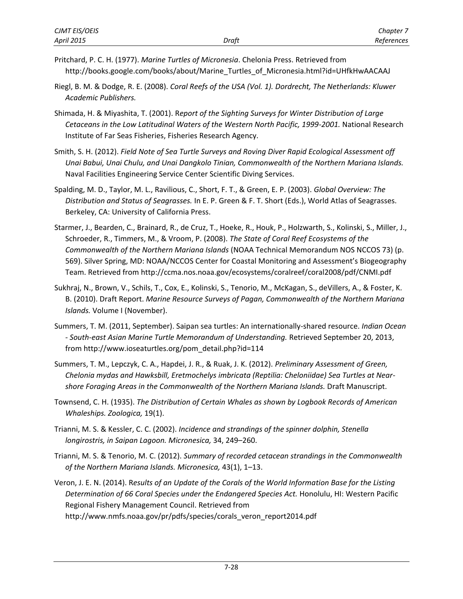- Pritchard, P. C. H. (1977). *Marine Turtles of Micronesia*. Chelonia Press. Retrieved from http://books.google.com/books/about/Marine\_Turtles\_of\_Micronesia.html?id=UHfkHwAACAAJ
- Riegl, B. M. & Dodge, R. E. (2008). *Coral Reefs of the USA (Vol. 1). Dordrecht, The Netherlands: Kluwer Academic Publishers.*
- Shimada, H. & Miyashita, T. (2001). R*eport of the Sighting Surveys for Winter Distribution of Large Cetaceans in the Low Latitudinal Waters of the Western North Pacific, 1999-2001.* National Research Institute of Far Seas Fisheries, Fisheries Research Agency.
- Smith, S. H. (2012). *Field Note of Sea Turtle Surveys and Roving Diver Rapid Ecological Assessment off Unai Babui, Unai Chulu, and Unai Dangkolo Tinian, Commonwealth of the Northern Mariana Islands.*  Naval Facilities Engineering Service Center Scientific Diving Services.
- Spalding, M. D., Taylor, M. L., Ravilious, C., Short, F. T., & Green, E. P. (2003). *Global Overview: The Distribution and Status of Seagrasses.* In E. P. Green & F. T. Short (Eds.), World Atlas of Seagrasses. Berkeley, CA: University of California Press.
- Starmer, J., Bearden, C., Brainard, R., de Cruz, T., Hoeke, R., Houk, P., Holzwarth, S., Kolinski, S., Miller, J., Schroeder, R., Timmers, M., & Vroom, P. (2008). *The State of Coral Reef Ecosystems of the Commonwealth of the Northern Mariana Islands* (NOAA Technical Memorandum NOS NCCOS 73) (p. 569). Silver Spring, MD: NOAA/NCCOS Center for Coastal Monitoring and Assessment's Biogeography Team. Retrieved from http://ccma.nos.noaa.gov/ecosystems/coralreef/coral2008/pdf/CNMI.pdf
- Sukhraj, N., Brown, V., Schils, T., Cox, E., Kolinski, S., Tenorio, M., McKagan, S., deVillers, A., & Foster, K. B. (2010). Draft Report. *Marine Resource Surveys of Pagan, Commonwealth of the Northern Mariana Islands.* Volume I (November).
- Summers, T. M. (2011, September). Saipan sea turtles: An internationally-shared resource. *Indian Ocean - South-east Asian Marine Turtle Memorandum of Understanding.* Retrieved September 20, 2013, from http://www.ioseaturtles.org/pom\_detail.php?id=114
- Summers, T. M., Lepczyk, C. A., Hapdei, J. R., & Ruak, J. K. (2012). *Preliminary Assessment of Green, Chelonia mydas and Hawksbill, Eretmochelys imbricata (Reptilia: Cheloniidae) Sea Turtles at Near*shore Foraging Areas in the Commonwealth of the Northern Mariana Islands. Draft Manuscript.
- Townsend, C. H. (1935). *The Distribution of Certain Whales as shown by Logbook Records of American Whaleships. Zoologica,* 19(1).
- Trianni, M. S. & Kessler, C. C. (2002). *Incidence and strandings of the spinner dolphin, Stenella longirostris, in Saipan Lagoon. Micronesica,* 34, 249–260.
- Trianni, M. S. & Tenorio, M. C. (2012). *Summary of recorded cetacean strandings in the Commonwealth of the Northern Mariana Islands. Micronesica,* 43(1), 1–13.

Veron, J. E. N. (2014). R*esults of an Update of the Corals of the World Information Base for the Listing Determination of 66 Coral Species under the Endangered Species Act.* Honolulu, HI: Western Pacific Regional Fishery Management Council. Retrieved from http://www.nmfs.noaa.gov/pr/pdfs/species/corals\_veron\_report2014.pdf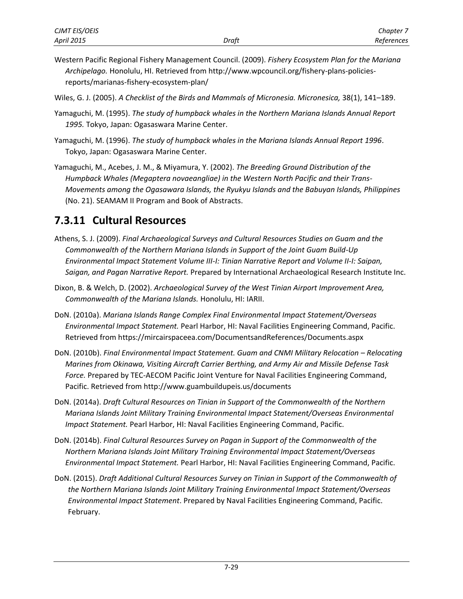- Western Pacific Regional Fishery Management Council. (2009). *Fishery Ecosystem Plan for the Mariana Archipelago.* Honolulu, HI. Retrieved from http://www.wpcouncil.org/fishery-plans-policiesreports/marianas-fishery-ecosystem-plan/
- Wiles, G. J. (2005). *A Checklist of the Birds and Mammals of Micronesia. Micronesica,* 38(1), 141–189.
- Yamaguchi, M. (1995). *The study of humpback whales in the Northern Mariana Islands Annual Report 1995.* Tokyo, Japan: Ogasaswara Marine Center.
- Yamaguchi, M. (1996). *The study of humpback whales in the Mariana Islands Annual Report 1996*. Tokyo, Japan: Ogasaswara Marine Center.
- Yamaguchi, M., Acebes, J. M., & Miyamura, Y. (2002). *The Breeding Ground Distribution of the Humpback Whales (Megaptera novaeangliae) in the Western North Pacific and their Trans-Movements among the Ogasawara Islands, the Ryukyu Islands and the Babuyan Islands, Philippines*  (No. 21). SEAMAM II Program and Book of Abstracts.

#### **7.3.11 Cultural Resources**

- Athens, S. J. (2009). *Final Archaeological Surveys and Cultural Resources Studies on Guam and the Commonwealth of the Northern Mariana Islands in Support of the Joint Guam Build-Up Environmental Impact Statement Volume III-I: Tinian Narrative Report and Volume II-I: Saipan, Saigan, and Pagan Narrative Report.* Prepared by International Archaeological Research Institute Inc.
- Dixon, B. & Welch, D. (2002). *Archaeological Survey of the West Tinian Airport Improvement Area, Commonwealth of the Mariana Islands.* Honolulu, HI: IARII.
- DoN. (2010a). *Mariana Islands Range Complex Final Environmental Impact Statement/Overseas Environmental Impact Statement.* Pearl Harbor, HI: Naval Facilities Engineering Command, Pacific. Retrieved from https://mircairspaceea.com/DocumentsandReferences/Documents.aspx
- DoN. (2010b). *Final Environmental Impact Statement. Guam and CNMI Military Relocation Relocating Marines from Okinawa, Visiting Aircraft Carrier Berthing, and Army Air and Missile Defense Task Force.* Prepared by TEC-AECOM Pacific Joint Venture for Naval Facilities Engineering Command, Pacific. Retrieved from http://www.guambuildupeis.us/documents
- DoN. (2014a). *Draft Cultural Resources on Tinian in Support of the Commonwealth of the Northern Mariana Islands Joint Military Training Environmental Impact Statement/Overseas Environmental Impact Statement.* Pearl Harbor, HI: Naval Facilities Engineering Command, Pacific.
- DoN. (2014b). *Final Cultural Resources Survey on Pagan in Support of the Commonwealth of the Northern Mariana Islands Joint Military Training Environmental Impact Statement/Overseas Environmental Impact Statement.* Pearl Harbor, HI: Naval Facilities Engineering Command, Pacific.
- DoN. (2015). *Draft Additional Cultural Resources Survey on Tinian in Support of the Commonwealth of the Northern Mariana Islands Joint Military Training Environmental Impact Statement/Overseas Environmental Impact Statement*. Prepared by Naval Facilities Engineering Command, Pacific. February.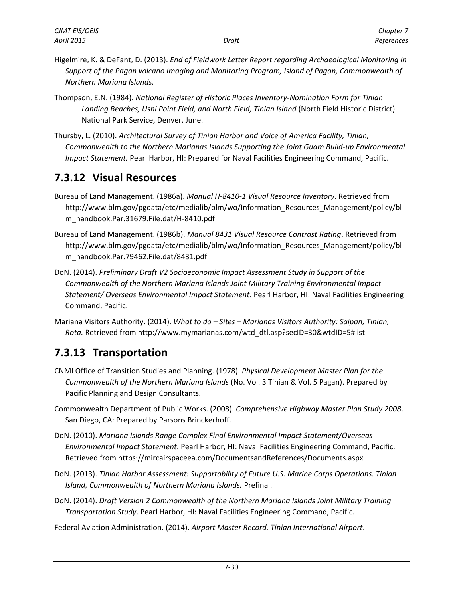- Higelmire, K. & DeFant, D. (2013). *End of Fieldwork Letter Report regarding Archaeological Monitoring in Support of the Pagan volcano Imaging and Monitoring Program, Island of Pagan, Commonwealth of Northern Mariana Islands.*
- Thompson, E.N. (1984). *National Register of Historic Places Inventory-Nomination Form for Tinian Landing Beaches, Ushi Point Field, and North Field, Tinian Island* (North Field Historic District). National Park Service, Denver, June.
- Thursby, L. (2010). *Architectural Survey of Tinian Harbor and Voice of America Facility, Tinian, Commonwealth to the Northern Marianas Islands Supporting the Joint Guam Build-up Environmental Impact Statement.* Pearl Harbor, HI: Prepared for Naval Facilities Engineering Command, Pacific.

#### **7.3.12 Visual Resources**

- Bureau of Land Management. (1986a). *Manual H-8410-1 Visual Resource Inventory*. Retrieved from http://www.blm.gov/pgdata/etc/medialib/blm/wo/Information\_Resources\_Management/policy/bl m\_handbook.Par.31679.File.dat/H-8410.pdf
- Bureau of Land Management. (1986b). *Manual 8431 Visual Resource Contrast Rating*. Retrieved from http://www.blm.gov/pgdata/etc/medialib/blm/wo/Information\_Resources\_Management/policy/bl m\_handbook.Par.79462.File.dat/8431.pdf
- DoN. (2014). *Preliminary Draft V2 Socioeconomic Impact Assessment Study in Support of the Commonwealth of the Northern Mariana Islands Joint Military Training Environmental Impact Statement/ Overseas Environmental Impact Statement*. Pearl Harbor, HI: Naval Facilities Engineering Command, Pacific.
- Mariana Visitors Authority. (2014). *What to do – Sites – Marianas Visitors Authority: Saipan, Tinian, Rota.* Retrieved from http://www.mymarianas.com/wtd\_dtl.asp?secID=30&wtdID=5#list

#### **7.3.13 Transportation**

- CNMI Office of Transition Studies and Planning. (1978). *Physical Development Master Plan for the Commonwealth of the Northern Mariana Islands* (No. Vol. 3 Tinian & Vol. 5 Pagan). Prepared by Pacific Planning and Design Consultants.
- Commonwealth Department of Public Works. (2008). *Comprehensive Highway Master Plan Study 2008*. San Diego, CA: Prepared by Parsons Brinckerhoff.
- DoN. (2010). *Mariana Islands Range Complex Final Environmental Impact Statement/Overseas Environmental Impact Statement*. Pearl Harbor, HI: Naval Facilities Engineering Command, Pacific. Retrieved from https://mircairspaceea.com/DocumentsandReferences/Documents.aspx
- DoN. (2013). *Tinian Harbor Assessment: Supportability of Future U.S. Marine Corps Operations. Tinian Island, Commonwealth of Northern Mariana Islands.* Prefinal.
- DoN. (2014). *Draft Version 2 Commonwealth of the Northern Mariana Islands Joint Military Training Transportation Study*. Pearl Harbor, HI: Naval Facilities Engineering Command, Pacific.
- Federal Aviation Administration. (2014). *Airport Master Record. Tinian International Airport*.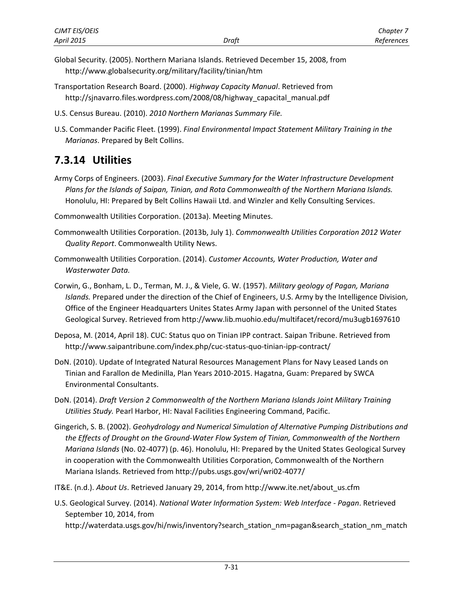- Global Security. (2005). Northern Mariana Islands. Retrieved December 15, 2008, from http://www.globalsecurity.org/military/facility/tinian/htm
- Transportation Research Board. (2000). *Highway Capacity Manual*. Retrieved from http://sjnavarro.files.wordpress.com/2008/08/highway\_capacital\_manual.pdf
- U.S. Census Bureau. (2010). *2010 Northern Marianas Summary File.*
- U.S. Commander Pacific Fleet. (1999). *Final Environmental Impact Statement Military Training in the Marianas*. Prepared by Belt Collins.

#### **7.3.14 Utilities**

- Army Corps of Engineers. (2003). *Final Executive Summary for the Water Infrastructure Development Plans for the Islands of Saipan, Tinian, and Rota Commonwealth of the Northern Mariana Islands.*  Honolulu, HI: Prepared by Belt Collins Hawaii Ltd. and Winzler and Kelly Consulting Services.
- Commonwealth Utilities Corporation. (2013a). Meeting Minutes.
- Commonwealth Utilities Corporation. (2013b, July 1). *Commonwealth Utilities Corporation 2012 Water Quality Report*. Commonwealth Utility News.
- Commonwealth Utilities Corporation. (2014). *Customer Accounts, Water Production, Water and Wasterwater Data.*
- Corwin, G., Bonham, L. D., Terman, M. J., & Viele, G. W. (1957). *Military geology of Pagan, Mariana Islands.* Prepared under the direction of the Chief of Engineers, U.S. Army by the Intelligence Division, Office of the Engineer Headquarters Unites States Army Japan with personnel of the United States Geological Survey. Retrieved from http://www.lib.muohio.edu/multifacet/record/mu3ugb1697610
- Deposa, M. (2014, April 18). CUC: Status quo on Tinian IPP contract. Saipan Tribune. Retrieved from http://www.saipantribune.com/index.php/cuc-status-quo-tinian-ipp-contract/
- DoN. (2010). Update of Integrated Natural Resources Management Plans for Navy Leased Lands on Tinian and Farallon de Medinilla, Plan Years 2010-2015. Hagatna, Guam: Prepared by SWCA Environmental Consultants.
- DoN. (2014). *Draft Version 2 Commonwealth of the Northern Mariana Islands Joint Military Training Utilities Study.* Pearl Harbor, HI: Naval Facilities Engineering Command, Pacific.
- Gingerich, S. B. (2002). *Geohydrology and Numerical Simulation of Alternative Pumping Distributions and the Effects of Drought on the Ground-Water Flow System of Tinian, Commonwealth of the Northern Mariana Islands* (No. 02-4077) (p. 46). Honolulu, HI: Prepared by the United States Geological Survey in cooperation with the Commonwealth Utilities Corporation, Commonwealth of the Northern Mariana Islands. Retrieved from http://pubs.usgs.gov/wri/wri02-4077/
- IT&E. (n.d.). *About Us*. Retrieved January 29, 2014, from http://www.ite.net/about\_us.cfm
- U.S. Geological Survey. (2014). *National Water Information System: Web Interface Pagan*. Retrieved September 10, 2014, from http://waterdata.usgs.gov/hi/nwis/inventory?search\_station\_nm=pagan&search\_station\_nm\_match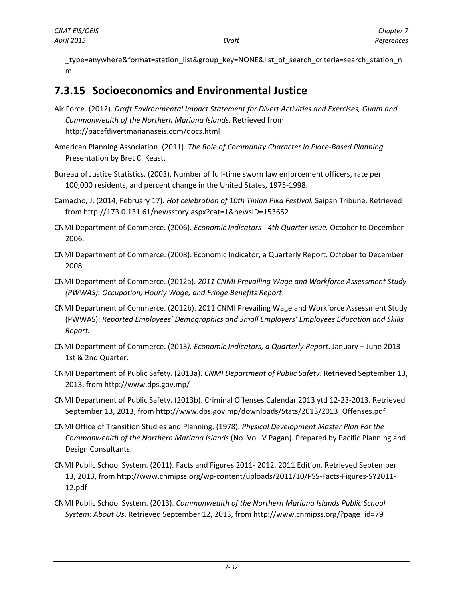\_type=anywhere&format=station\_list&group\_key=NONE&list\_of\_search\_criteria=search\_station\_n m

#### **7.3.15 Socioeconomics and Environmental Justice**

- Air Force. (2012). *Draft Environmental Impact Statement for Divert Activities and Exercises, Guam and Commonwealth of the Northern Mariana Islands.* Retrieved from http://pacafdivertmarianaseis.com/docs.html
- American Planning Association. (2011). *The Role of Community Character in Place-Based Planning.* Presentation by Bret C. Keast.
- Bureau of Justice Statistics. (2003). Number of full-time sworn law enforcement officers, rate per 100,000 residents, and percent change in the United States, 1975-1998.
- Camacho, J. (2014, February 17). *Hot celebration of 10th Tinian Pika Festival.* Saipan Tribune. Retrieved from http://173.0.131.61/newsstory.aspx?cat=1&newsID=153652
- CNMI Department of Commerce. (2006). *Economic Indicators 4th Quarter Issue.* October to December 2006.
- CNMI Department of Commerce. (2008). Economic Indicator, a Quarterly Report. October to December 2008.
- CNMI Department of Commerce. (2012a). *2011 CNMI Prevailing Wage and Workforce Assessment Study (PWWAS): Occupation, Hourly Wage, and Fringe Benefits Report*.
- CNMI Department of Commerce. (2012b). 2011 CNMI Prevailing Wage and Workforce Assessment Study (PWWAS): *Reported Employees' Demographics and Small Employers' Employees Education and Skills Report.*
- CNMI Department of Commerce. (2013*). Economic Indicators, a Quarterly Report*. January June 2013 1st & 2nd Quarter.
- CNMI Department of Public Safety. (2013a). *CNMI Department of Public Safety*. Retrieved September 13, 2013, from http://www.dps.gov.mp/
- CNMI Department of Public Safety. (2013b). Criminal Offenses Calendar 2013 ytd 12-23-2013. Retrieved September 13, 2013, from http://www.dps.gov.mp/downloads/Stats/2013/2013\_Offenses.pdf
- CNMI Office of Transition Studies and Planning. (1978). *Physical Development Master Plan For the Commonwealth of the Northern Mariana Islands* (No. Vol. V Pagan). Prepared by Pacific Planning and Design Consultants.
- CNMI Public School System. (2011). Facts and Figures 2011- 2012. 2011 Edition. Retrieved September 13, 2013, from http://www.cnmipss.org/wp-content/uploads/2011/10/PSS-Facts-Figures-SY2011- 12.pdf
- CNMI Public School System. (2013). *Commonwealth of the Northern Mariana Islands Public School System: About Us*. Retrieved September 12, 2013, from http://www.cnmipss.org/?page\_id=79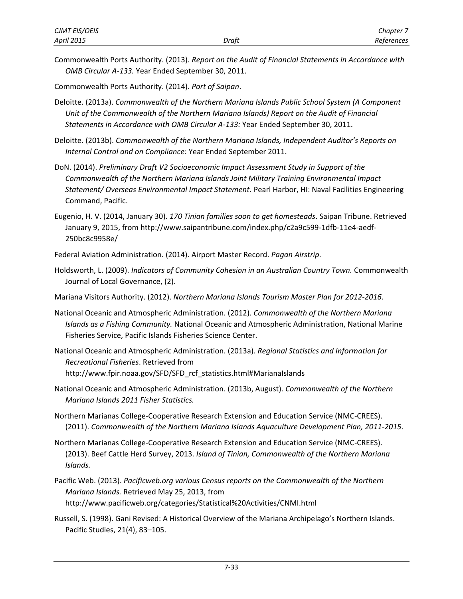Commonwealth Ports Authority. (2013). *Report on the Audit of Financial Statements in Accordance with OMB Circular A-133.* Year Ended September 30, 2011.

Commonwealth Ports Authority. (2014). *Port of Saipan*.

- Deloitte. (2013a). *Commonwealth of the Northern Mariana Islands Public School System (A Component Unit of the Commonwealth of the Northern Mariana Islands) Report on the Audit of Financial Statements in Accordance with OMB Circular A-133:* Year Ended September 30, 2011.
- Deloitte. (2013b). *Commonwealth of the Northern Mariana Islands, Independent Auditor's Reports on Internal Control and on Compliance*: Year Ended September 2011.
- DoN. (2014). *Preliminary Draft V2 Socioeconomic Impact Assessment Study in Support of the Commonwealth of the Northern Mariana Islands Joint Military Training Environmental Impact Statement/ Overseas Environmental Impact Statement.* Pearl Harbor, HI: Naval Facilities Engineering Command, Pacific.
- Eugenio, H. V. (2014, January 30). *170 Tinian families soon to get homesteads*. Saipan Tribune. Retrieved January 9, 2015, from http://www.saipantribune.com/index.php/c2a9c599-1dfb-11e4-aedf-250bc8c9958e/
- Federal Aviation Administration. (2014). Airport Master Record. *Pagan Airstrip*.
- Holdsworth, L. (2009). *Indicators of Community Cohesion in an Australian Country Town.* Commonwealth Journal of Local Governance, (2).
- Mariana Visitors Authority. (2012). *Northern Mariana Islands Tourism Master Plan for 2012-2016*.
- National Oceanic and Atmospheric Administration. (2012). *Commonwealth of the Northern Mariana Islands as a Fishing Community.* National Oceanic and Atmospheric Administration, National Marine Fisheries Service, Pacific Islands Fisheries Science Center.
- National Oceanic and Atmospheric Administration. (2013a). *Regional Statistics and Information for Recreational Fisheries*. Retrieved from http://www.fpir.noaa.gov/SFD/SFD\_rcf\_statistics.html#MarianaIslands
- National Oceanic and Atmospheric Administration. (2013b, August). *Commonwealth of the Northern Mariana Islands 2011 Fisher Statistics.*
- Northern Marianas College-Cooperative Research Extension and Education Service (NMC-CREES). (2011). *Commonwealth of the Northern Mariana Islands Aquaculture Development Plan, 2011-2015*.
- Northern Marianas College-Cooperative Research Extension and Education Service (NMC-CREES). (2013). Beef Cattle Herd Survey, 2013. *Island of Tinian, Commonwealth of the Northern Mariana Islands.*
- Pacific Web. (2013). *Pacificweb.org various Census reports on the Commonwealth of the Northern Mariana Islands.* Retrieved May 25, 2013, from http://www.pacificweb.org/categories/Statistical%20Activities/CNMI.html
- Russell, S. (1998). Gani Revised: A Historical Overview of the Mariana Archipelago's Northern Islands. Pacific Studies, 21(4), 83–105.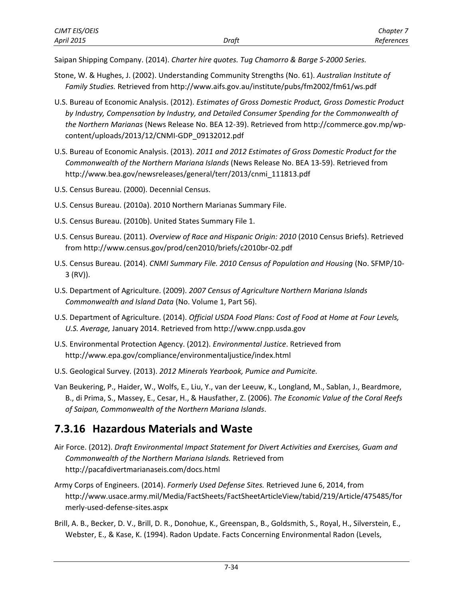Saipan Shipping Company. (2014). *Charter hire quotes. Tug Chamorro & Barge S-2000 Series.*

- Stone, W. & Hughes, J. (2002). Understanding Community Strengths (No. 61). *Australian Institute of Family Studies.* Retrieved from http://www.aifs.gov.au/institute/pubs/fm2002/fm61/ws.pdf
- U.S. Bureau of Economic Analysis. (2012). *Estimates of Gross Domestic Product, Gross Domestic Product by Industry, Compensation by Industry, and Detailed Consumer Spending for the Commonwealth of the Northern Marianas* (News Release No. BEA 12-39). Retrieved from http://commerce.gov.mp/wpcontent/uploads/2013/12/CNMI-GDP\_09132012.pdf
- U.S. Bureau of Economic Analysis. (2013). *2011 and 2012 Estimates of Gross Domestic Product for the Commonwealth of the Northern Mariana Islands* (News Release No. BEA 13-59). Retrieved from http://www.bea.gov/newsreleases/general/terr/2013/cnmi\_111813.pdf
- U.S. Census Bureau. (2000). Decennial Census.
- U.S. Census Bureau. (2010a). 2010 Northern Marianas Summary File.
- U.S. Census Bureau. (2010b). United States Summary File 1.
- U.S. Census Bureau. (2011). *Overview of Race and Hispanic Origin: 2010* (2010 Census Briefs). Retrieved from http://www.census.gov/prod/cen2010/briefs/c2010br-02.pdf
- U.S. Census Bureau. (2014). *CNMI Summary File. 2010 Census of Population and Housing* (No. SFMP/10- 3 (RV)).
- U.S. Department of Agriculture. (2009). *2007 Census of Agriculture Northern Mariana Islands Commonwealth and Island Data* (No. Volume 1, Part 56).
- U.S. Department of Agriculture. (2014). *Official USDA Food Plans: Cost of Food at Home at Four Levels, U.S. Average,* January 2014. Retrieved from http://www.cnpp.usda.gov
- U.S. Environmental Protection Agency. (2012). *Environmental Justice*. Retrieved from http://www.epa.gov/compliance/environmentaljustice/index.html
- U.S. Geological Survey. (2013). *2012 Minerals Yearbook, Pumice and Pumicite.*
- Van Beukering, P., Haider, W., Wolfs, E., Liu, Y., van der Leeuw, K., Longland, M., Sablan, J., Beardmore, B., di Prima, S., Massey, E., Cesar, H., & Hausfather, Z. (2006). *The Economic Value of the Coral Reefs of Saipan, Commonwealth of the Northern Mariana Islands*.

#### **7.3.16 Hazardous Materials and Waste**

- Air Force. (2012). *Draft Environmental Impact Statement for Divert Activities and Exercises, Guam and Commonwealth of the Northern Mariana Islands.* Retrieved from http://pacafdivertmarianaseis.com/docs.html
- Army Corps of Engineers. (2014). *Formerly Used Defense Sites.* Retrieved June 6, 2014, from http://www.usace.army.mil/Media/FactSheets/FactSheetArticleView/tabid/219/Article/475485/for merly-used-defense-sites.aspx
- Brill, A. B., Becker, D. V., Brill, D. R., Donohue, K., Greenspan, B., Goldsmith, S., Royal, H., Silverstein, E., Webster, E., & Kase, K. (1994). Radon Update. Facts Concerning Environmental Radon (Levels,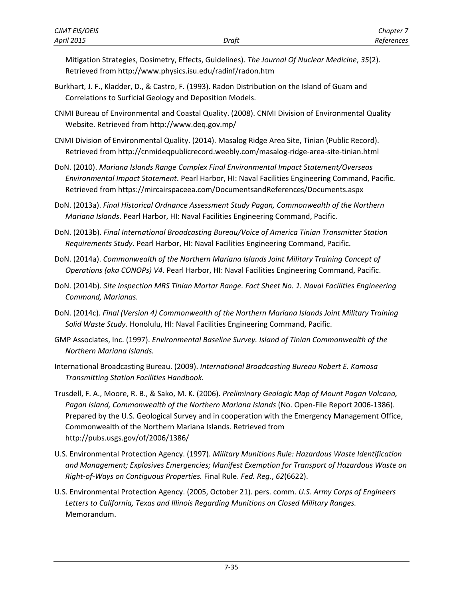Mitigation Strategies, Dosimetry, Effects, Guidelines). *The Journal Of Nuclear Medicine*, *35*(2). Retrieved from http://www.physics.isu.edu/radinf/radon.htm

- Burkhart, J. F., Kladder, D., & Castro, F. (1993). Radon Distribution on the Island of Guam and Correlations to Surficial Geology and Deposition Models.
- CNMI Bureau of Environmental and Coastal Quality. (2008). CNMI Division of Environmental Quality Website. Retrieved from http://www.deq.gov.mp/
- CNMI Division of Environmental Quality. (2014). Masalog Ridge Area Site, Tinian (Public Record). Retrieved from http://cnmideqpublicrecord.weebly.com/masalog-ridge-area-site-tinian.html
- DoN. (2010). *Mariana Islands Range Complex Final Environmental Impact Statement/Overseas Environmental Impact Statement*. Pearl Harbor, HI: Naval Facilities Engineering Command, Pacific. Retrieved from https://mircairspaceea.com/DocumentsandReferences/Documents.aspx
- DoN. (2013a). *Final Historical Ordnance Assessment Study Pagan, Commonwealth of the Northern Mariana Islands*. Pearl Harbor, HI: Naval Facilities Engineering Command, Pacific.
- DoN. (2013b). *Final International Broadcasting Bureau/Voice of America Tinian Transmitter Station Requirements Study.* Pearl Harbor, HI: Naval Facilities Engineering Command, Pacific.
- DoN. (2014a). *Commonwealth of the Northern Mariana Islands Joint Military Training Concept of Operations (aka CONOPs) V4*. Pearl Harbor, HI: Naval Facilities Engineering Command, Pacific.
- DoN. (2014b). *Site Inspection MRS Tinian Mortar Range. Fact Sheet No. 1. Naval Facilities Engineering Command, Marianas.*
- DoN. (2014c). *Final (Version 4) Commonwealth of the Northern Mariana Islands Joint Military Training Solid Waste Study.* Honolulu, HI: Naval Facilities Engineering Command, Pacific.
- GMP Associates, Inc. (1997). *Environmental Baseline Survey. Island of Tinian Commonwealth of the Northern Mariana Islands.*
- International Broadcasting Bureau. (2009). *International Broadcasting Bureau Robert E. Kamosa Transmitting Station Facilities Handbook.*
- Trusdell, F. A., Moore, R. B., & Sako, M. K. (2006). *Preliminary Geologic Map of Mount Pagan Volcano, Pagan Island, Commonwealth of the Northern Mariana Islands* (No. Open-File Report 2006-1386). Prepared by the U.S. Geological Survey and in cooperation with the Emergency Management Office, Commonwealth of the Northern Mariana Islands. Retrieved from http://pubs.usgs.gov/of/2006/1386/
- U.S. Environmental Protection Agency. (1997). *Military Munitions Rule: Hazardous Waste Identification and Management; Explosives Emergencies; Manifest Exemption for Transport of Hazardous Waste on Right-of-Ways on Contiguous Properties.* Final Rule. *Fed. Reg.*, *62*(6622).
- U.S. Environmental Protection Agency. (2005, October 21). pers. comm. *U.S. Army Corps of Engineers Letters to California, Texas and Illinois Regarding Munitions on Closed Military Ranges.*  Memorandum.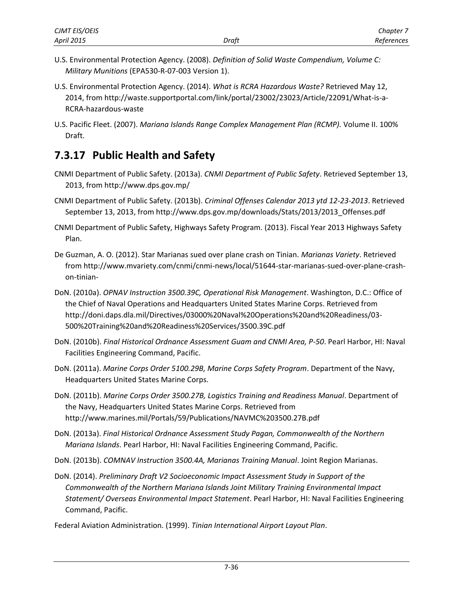- U.S. Environmental Protection Agency. (2008). *Definition of Solid Waste Compendium, Volume C: Military Munitions* (EPA530-R-07-003 Version 1).
- U.S. Environmental Protection Agency. (2014). *What is RCRA Hazardous Waste?* Retrieved May 12, 2014, from http://waste.supportportal.com/link/portal/23002/23023/Article/22091/What-is-a-RCRA-hazardous-waste
- U.S. Pacific Fleet. (2007). *Mariana Islands Range Complex Management Plan (RCMP).* Volume II. 100% Draft.

#### **7.3.17 Public Health and Safety**

- CNMI Department of Public Safety. (2013a). *CNMI Department of Public Safety*. Retrieved September 13, 2013, from http://www.dps.gov.mp/
- CNMI Department of Public Safety. (2013b). *Criminal Offenses Calendar 2013 ytd 12-23-2013*. Retrieved September 13, 2013, from http://www.dps.gov.mp/downloads/Stats/2013/2013\_Offenses.pdf
- CNMI Department of Public Safety, Highways Safety Program. (2013). Fiscal Year 2013 Highways Safety Plan.
- De Guzman, A. O. (2012). Star Marianas sued over plane crash on Tinian. *Marianas Variety*. Retrieved from http://www.mvariety.com/cnmi/cnmi-news/local/51644-star-marianas-sued-over-plane-crashon-tinian-
- DoN. (2010a). *OPNAV Instruction 3500.39C, Operational Risk Management*. Washington, D.C.: Office of the Chief of Naval Operations and Headquarters United States Marine Corps. Retrieved from http://doni.daps.dla.mil/Directives/03000%20Naval%20Operations%20and%20Readiness/03- 500%20Training%20and%20Readiness%20Services/3500.39C.pdf
- DoN. (2010b). *Final Historical Ordnance Assessment Guam and CNMI Area, P-50*. Pearl Harbor, HI: Naval Facilities Engineering Command, Pacific.
- DoN. (2011a). *Marine Corps Order 5100.29B, Marine Corps Safety Program*. Department of the Navy, Headquarters United States Marine Corps.
- DoN. (2011b). *Marine Corps Order 3500.27B, Logistics Training and Readiness Manual*. Department of the Navy, Headquarters United States Marine Corps. Retrieved from http://www.marines.mil/Portals/59/Publications/NAVMC%203500.27B.pdf
- DoN. (2013a). *Final Historical Ordnance Assessment Study Pagan, Commonwealth of the Northern Mariana Islands*. Pearl Harbor, HI: Naval Facilities Engineering Command, Pacific.
- DoN. (2013b). *COMNAV Instruction 3500.4A, Marianas Training Manual*. Joint Region Marianas.
- DoN. (2014). *Preliminary Draft V2 Socioeconomic Impact Assessment Study in Support of the Commonwealth of the Northern Mariana Islands Joint Military Training Environmental Impact Statement/ Overseas Environmental Impact Statement*. Pearl Harbor, HI: Naval Facilities Engineering Command, Pacific.

Federal Aviation Administration. (1999). *Tinian International Airport Layout Plan*.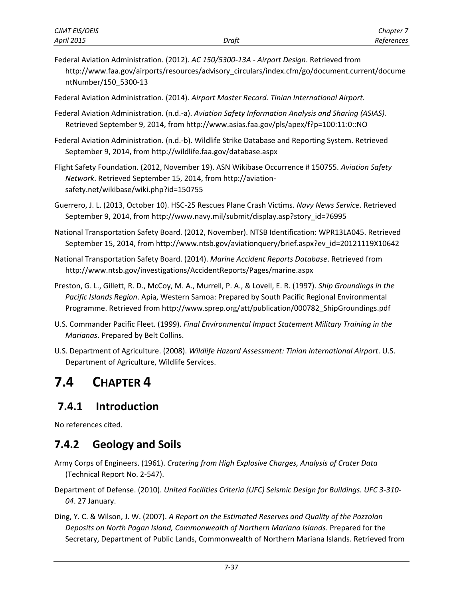Federal Aviation Administration. (2012). *AC 150/5300-13A - Airport Design*. Retrieved from http://www.faa.gov/airports/resources/advisory\_circulars/index.cfm/go/document.current/docume ntNumber/150\_5300-13

Federal Aviation Administration. (2014). *Airport Master Record. Tinian International Airport.* 

- Federal Aviation Administration. (n.d.-a). *Aviation Safety Information Analysis and Sharing (ASIAS).* Retrieved September 9, 2014, from http://www.asias.faa.gov/pls/apex/f?p=100:11:0::NO
- Federal Aviation Administration. (n.d.-b). Wildlife Strike Database and Reporting System. Retrieved September 9, 2014, from http://wildlife.faa.gov/database.aspx
- Flight Safety Foundation. (2012, November 19). ASN Wikibase Occurrence # 150755. *Aviation Safety Network*. Retrieved September 15, 2014, from http://aviationsafety.net/wikibase/wiki.php?id=150755
- Guerrero, J. L. (2013, October 10). HSC-25 Rescues Plane Crash Victims. *Navy News Service*. Retrieved September 9, 2014, from http://www.navy.mil/submit/display.asp?story\_id=76995
- National Transportation Safety Board. (2012, November). NTSB Identification: WPR13LA045. Retrieved September 15, 2014, from http://www.ntsb.gov/aviationquery/brief.aspx?ev\_id=20121119X10642
- National Transportation Safety Board. (2014). *Marine Accident Reports Database*. Retrieved from http://www.ntsb.gov/investigations/AccidentReports/Pages/marine.aspx
- Preston, G. L., Gillett, R. D., McCoy, M. A., Murrell, P. A., & Lovell, E. R. (1997). *Ship Groundings in the Pacific Islands Region*. Apia, Western Samoa: Prepared by South Pacific Regional Environmental Programme. Retrieved from http://www.sprep.org/att/publication/000782\_ShipGroundings.pdf
- U.S. Commander Pacific Fleet. (1999). *Final Environmental Impact Statement Military Training in the Marianas*. Prepared by Belt Collins.
- U.S. Department of Agriculture. (2008). *Wildlife Hazard Assessment: Tinian International Airport*. U.S. Department of Agriculture, Wildlife Services.

### <span id="page-38-0"></span>**7.4 CHAPTER 4**

#### **7.4.1 Introduction**

No references cited.

#### **7.4.2 Geology and Soils**

- Army Corps of Engineers. (1961). *Cratering from High Explosive Charges, Analysis of Crater Data* (Technical Report No. 2-547).
- Department of Defense. (2010). *United Facilities Criteria (UFC) Seismic Design for Buildings. UFC 3-310- 04*. 27 January.
- Ding, Y. C. & Wilson, J. W. (2007). *A Report on the Estimated Reserves and Quality of the Pozzolan Deposits on North Pagan Island, Commonwealth of Northern Mariana Islands*. Prepared for the Secretary, Department of Public Lands, Commonwealth of Northern Mariana Islands. Retrieved from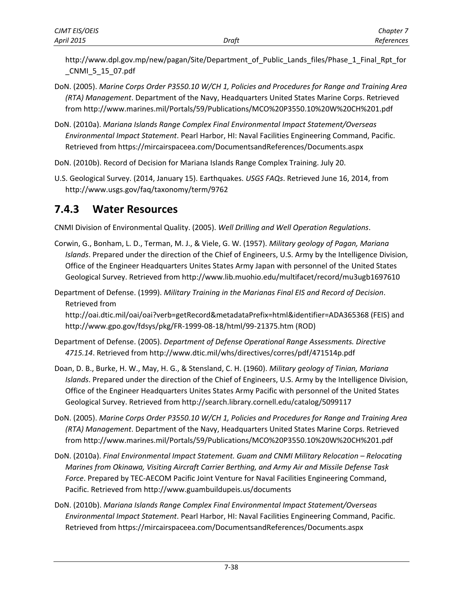http://www.dpl.gov.mp/new/pagan/Site/Department\_of\_Public\_Lands\_files/Phase\_1\_Final\_Rpt\_for \_CNMI\_5\_15\_07.pdf

- DoN. (2005). *Marine Corps Order P3550.10 W/CH 1, Policies and Procedures for Range and Training Area (RTA) Management*. Department of the Navy, Headquarters United States Marine Corps. Retrieved from http://www.marines.mil/Portals/59/Publications/MCO%20P3550.10%20W%20CH%201.pdf
- DoN. (2010a). *Mariana Islands Range Complex Final Environmental Impact Statement/Overseas Environmental Impact Statement*. Pearl Harbor, HI: Naval Facilities Engineering Command, Pacific. Retrieved from https://mircairspaceea.com/DocumentsandReferences/Documents.aspx
- DoN. (2010b). Record of Decision for Mariana Islands Range Complex Training. July 20.
- U.S. Geological Survey. (2014, January 15). Earthquakes. *USGS FAQs*. Retrieved June 16, 2014, from http://www.usgs.gov/faq/taxonomy/term/9762

#### **7.4.3 Water Resources**

CNMI Division of Environmental Quality. (2005). *Well Drilling and Well Operation Regulations*.

Corwin, G., Bonham, L. D., Terman, M. J., & Viele, G. W. (1957). *Military geology of Pagan, Mariana Islands*. Prepared under the direction of the Chief of Engineers, U.S. Army by the Intelligence Division, Office of the Engineer Headquarters Unites States Army Japan with personnel of the United States Geological Survey. Retrieved from http://www.lib.muohio.edu/multifacet/record/mu3ugb1697610

Department of Defense. (1999). *Military Training in the Marianas Final EIS and Record of Decision*. Retrieved from

http://oai.dtic.mil/oai/oai?verb=getRecord&metadataPrefix=html&identifier=ADA365368 (FEIS) and http://www.gpo.gov/fdsys/pkg/FR-1999-08-18/html/99-21375.htm (ROD)

- Department of Defense. (2005). *Department of Defense Operational Range Assessments. Directive 4715.14*. Retrieved from http://www.dtic.mil/whs/directives/corres/pdf/471514p.pdf
- Doan, D. B., Burke, H. W., May, H. G., & Stensland, C. H. (1960). *Military geology of Tinian, Mariana Islands*. Prepared under the direction of the Chief of Engineers, U.S. Army by the Intelligence Division, Office of the Engineer Headquarters Unites States Army Pacific with personnel of the United States Geological Survey. Retrieved from http://search.library.cornell.edu/catalog/5099117
- DoN. (2005). *Marine Corps Order P3550.10 W/CH 1, Policies and Procedures for Range and Training Area (RTA) Management*. Department of the Navy, Headquarters United States Marine Corps. Retrieved from http://www.marines.mil/Portals/59/Publications/MCO%20P3550.10%20W%20CH%201.pdf
- DoN. (2010a). *Final Environmental Impact Statement. Guam and CNMI Military Relocation Relocating Marines from Okinawa, Visiting Aircraft Carrier Berthing, and Army Air and Missile Defense Task Force*. Prepared by TEC-AECOM Pacific Joint Venture for Naval Facilities Engineering Command, Pacific. Retrieved from http://www.guambuildupeis.us/documents
- DoN. (2010b). *Mariana Islands Range Complex Final Environmental Impact Statement/Overseas Environmental Impact Statement*. Pearl Harbor, HI: Naval Facilities Engineering Command, Pacific. Retrieved from https://mircairspaceea.com/DocumentsandReferences/Documents.aspx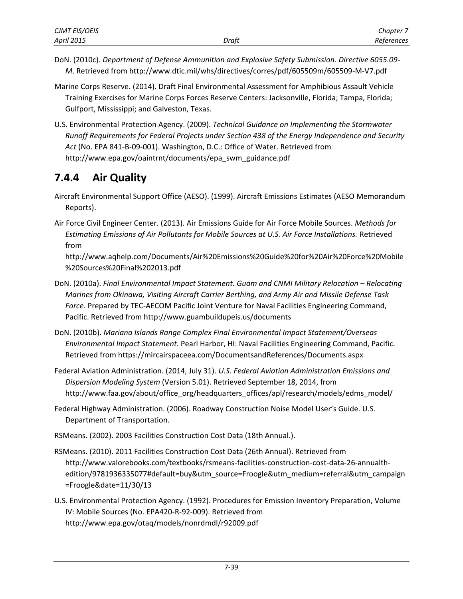- DoN. (2010c). *Department of Defense Ammunition and Explosive Safety Submission. Directive 6055.09- M*. Retrieved from http://www.dtic.mil/whs/directives/corres/pdf/605509m/605509-M-V7.pdf
- Marine Corps Reserve. (2014). Draft Final Environmental Assessment for Amphibious Assault Vehicle Training Exercises for Marine Corps Forces Reserve Centers: Jacksonville, Florida; Tampa, Florida; Gulfport, Mississippi; and Galveston, Texas.
- U.S. Environmental Protection Agency. (2009). *Technical Guidance on Implementing the Stormwater Runoff Requirements for Federal Projects under Section 438 of the Energy Independence and Security Act* (No. EPA 841-B-09-001). Washington, D.C.: Office of Water. Retrieved from http://www.epa.gov/oaintrnt/documents/epa\_swm\_guidance.pdf

#### **7.4.4 Air Quality**

- Aircraft Environmental Support Office (AESO). (1999). Aircraft Emissions Estimates (AESO Memorandum Reports).
- Air Force Civil Engineer Center. (2013). Air Emissions Guide for Air Force Mobile Sources. *Methods for Estimating Emissions of Air Pollutants for Mobile Sources at U.S. Air Force Installations.* Retrieved from

http://www.aqhelp.com/Documents/Air%20Emissions%20Guide%20for%20Air%20Force%20Mobile %20Sources%20Final%202013.pdf

- DoN. (2010a). *Final Environmental Impact Statement. Guam and CNMI Military Relocation Relocating Marines from Okinawa, Visiting Aircraft Carrier Berthing, and Army Air and Missile Defense Task Force.* Prepared by TEC-AECOM Pacific Joint Venture for Naval Facilities Engineering Command, Pacific. Retrieved from http://www.guambuildupeis.us/documents
- DoN. (2010b). *Mariana Islands Range Complex Final Environmental Impact Statement/Overseas Environmental Impact Statement.* Pearl Harbor, HI: Naval Facilities Engineering Command, Pacific. Retrieved from https://mircairspaceea.com/DocumentsandReferences/Documents.aspx
- Federal Aviation Administration. (2014, July 31). *U.S. Federal Aviation Administration Emissions and Dispersion Modeling System* (Version 5.01). Retrieved September 18, 2014, from http://www.faa.gov/about/office\_org/headquarters\_offices/apl/research/models/edms\_model/
- Federal Highway Administration. (2006). Roadway Construction Noise Model User's Guide. U.S. Department of Transportation.
- RSMeans. (2002). 2003 Facilities Construction Cost Data (18th Annual.).
- RSMeans. (2010). 2011 Facilities Construction Cost Data (26th Annual). Retrieved from http://www.valorebooks.com/textbooks/rsmeans-facilities-construction-cost-data-26-annualthedition/9781936335077#default=buy&utm\_source=Froogle&utm\_medium=referral&utm\_campaign =Froogle&date=11/30/13
- U.S. Environmental Protection Agency. (1992). Procedures for Emission Inventory Preparation, Volume IV: Mobile Sources (No. EPA420-R-92-009). Retrieved from http://www.epa.gov/otaq/models/nonrdmdl/r92009.pdf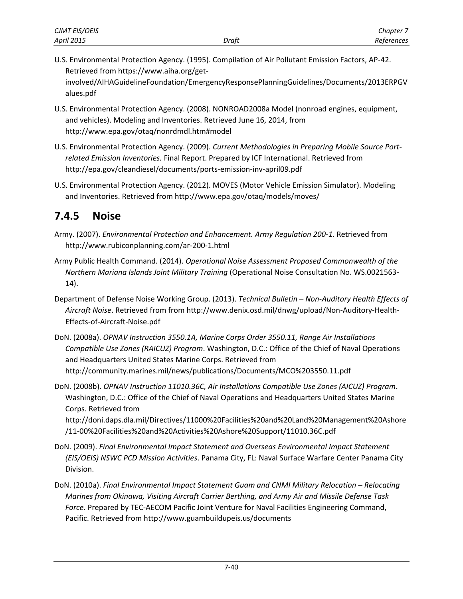- U.S. Environmental Protection Agency. (1995). Compilation of Air Pollutant Emission Factors, AP-42. Retrieved from https://www.aiha.org/getinvolved/AIHAGuidelineFoundation/EmergencyResponsePlanningGuidelines/Documents/2013ERPGV alues.pdf
- U.S. Environmental Protection Agency. (2008). NONROAD2008a Model (nonroad engines, equipment, and vehicles). Modeling and Inventories. Retrieved June 16, 2014, from http://www.epa.gov/otaq/nonrdmdl.htm#model
- U.S. Environmental Protection Agency. (2009). *Current Methodologies in Preparing Mobile Source Portrelated Emission Inventories.* Final Report. Prepared by ICF International. Retrieved from http://epa.gov/cleandiesel/documents/ports-emission-inv-april09.pdf
- U.S. Environmental Protection Agency. (2012). MOVES (Motor Vehicle Emission Simulator). Modeling and Inventories. Retrieved from http://www.epa.gov/otaq/models/moves/

#### **7.4.5 Noise**

- Army. (2007). *Environmental Protection and Enhancement. Army Regulation 200-1*. Retrieved from http://www.rubiconplanning.com/ar-200-1.html
- Army Public Health Command. (2014). *Operational Noise Assessment Proposed Commonwealth of the Northern Mariana Islands Joint Military Training* (Operational Noise Consultation No. WS.0021563- 14).
- Department of Defense Noise Working Group. (2013). *Technical Bulletin – Non-Auditory Health Effects of Aircraft Noise*. Retrieved from from http://www.denix.osd.mil/dnwg/upload/Non-Auditory-Health-Effects-of-Aircraft-Noise.pdf
- DoN. (2008a). *OPNAV Instruction 3550.1A, Marine Corps Order 3550.11, Range Air Installations Compatible Use Zones (RAICUZ) Program*. Washington, D.C.: Office of the Chief of Naval Operations and Headquarters United States Marine Corps. Retrieved from http://community.marines.mil/news/publications/Documents/MCO%203550.11.pdf
- DoN. (2008b). *OPNAV Instruction 11010.36C, Air Installations Compatible Use Zones (AICUZ) Program*. Washington, D.C.: Office of the Chief of Naval Operations and Headquarters United States Marine Corps. Retrieved from

http://doni.daps.dla.mil/Directives/11000%20Facilities%20and%20Land%20Management%20Ashore /11-00%20Facilities%20and%20Activities%20Ashore%20Support/11010.36C.pdf

- DoN. (2009). *Final Environmental Impact Statement and Overseas Environmental Impact Statement (EIS/OEIS) NSWC PCD Mission Activities*. Panama City, FL: Naval Surface Warfare Center Panama City Division.
- DoN. (2010a). *Final Environmental Impact Statement Guam and CNMI Military Relocation Relocating Marines from Okinawa, Visiting Aircraft Carrier Berthing, and Army Air and Missile Defense Task Force*. Prepared by TEC-AECOM Pacific Joint Venture for Naval Facilities Engineering Command, Pacific. Retrieved from http://www.guambuildupeis.us/documents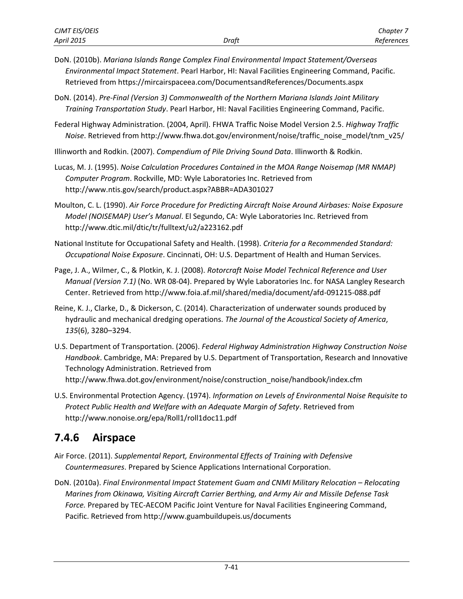- DoN. (2010b). *Mariana Islands Range Complex Final Environmental Impact Statement/Overseas Environmental Impact Statement*. Pearl Harbor, HI: Naval Facilities Engineering Command, Pacific. Retrieved from https://mircairspaceea.com/DocumentsandReferences/Documents.aspx
- DoN. (2014). *Pre-Final (Version 3) Commonwealth of the Northern Mariana Islands Joint Military Training Transportation Study*. Pearl Harbor, HI: Naval Facilities Engineering Command, Pacific.
- Federal Highway Administration. (2004, April). FHWA Traffic Noise Model Version 2.5. *Highway Traffic Noise*. Retrieved from http://www.fhwa.dot.gov/environment/noise/traffic\_noise\_model/tnm\_v25/

Illinworth and Rodkin. (2007). *Compendium of Pile Driving Sound Data*. Illinworth & Rodkin.

- Lucas, M. J. (1995). *Noise Calculation Procedures Contained in the MOA Range Noisemap (MR NMAP) Computer Program*. Rockville, MD: Wyle Laboratories Inc. Retrieved from http://www.ntis.gov/search/product.aspx?ABBR=ADA301027
- Moulton, C. L. (1990). *Air Force Procedure for Predicting Aircraft Noise Around Airbases: Noise Exposure Model (NOISEMAP) User's Manual*. El Segundo, CA: Wyle Laboratories Inc. Retrieved from http://www.dtic.mil/dtic/tr/fulltext/u2/a223162.pdf
- National Institute for Occupational Safety and Health. (1998). *Criteria for a Recommended Standard: Occupational Noise Exposure*. Cincinnati, OH: U.S. Department of Health and Human Services.
- Page, J. A., Wilmer, C., & Plotkin, K. J. (2008). *Rotorcraft Noise Model Technical Reference and User Manual (Version 7.1)* (No. WR 08-04). Prepared by Wyle Laboratories Inc. for NASA Langley Research Center. Retrieved from http://www.foia.af.mil/shared/media/document/afd-091215-088.pdf
- Reine, K. J., Clarke, D., & Dickerson, C. (2014). Characterization of underwater sounds produced by hydraulic and mechanical dredging operations. *The Journal of the Acoustical Society of America*, *135*(6), 3280–3294.
- U.S. Department of Transportation. (2006). *Federal Highway Administration Highway Construction Noise Handbook*. Cambridge, MA: Prepared by U.S. Department of Transportation, Research and Innovative Technology Administration. Retrieved from http://www.fhwa.dot.gov/environment/noise/construction\_noise/handbook/index.cfm
- U.S. Environmental Protection Agency. (1974). *Information on Levels of Environmental Noise Requisite to Protect Public Health and Welfare with an Adequate Margin of Safety*. Retrieved from http://www.nonoise.org/epa/Roll1/roll1doc11.pdf

#### **7.4.6 Airspace**

- Air Force. (2011). *Supplemental Report, Environmental Effects of Training with Defensive Countermeasures*. Prepared by Science Applications International Corporation.
- DoN. (2010a). *Final Environmental Impact Statement Guam and CNMI Military Relocation Relocating Marines from Okinawa, Visiting Aircraft Carrier Berthing, and Army Air and Missile Defense Task Force.* Prepared by TEC-AECOM Pacific Joint Venture for Naval Facilities Engineering Command, Pacific. Retrieved from http://www.guambuildupeis.us/documents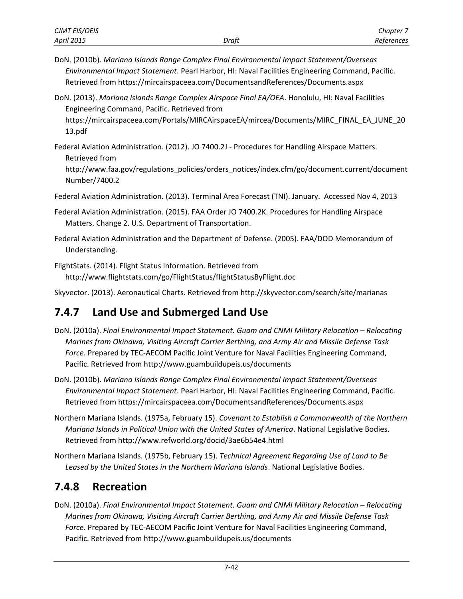DoN. (2010b). *Mariana Islands Range Complex Final Environmental Impact Statement/Overseas Environmental Impact Statement*. Pearl Harbor, HI: Naval Facilities Engineering Command, Pacific. Retrieved from https://mircairspaceea.com/DocumentsandReferences/Documents.aspx

DoN. (2013). *Mariana Islands Range Complex Airspace Final EA/OEA*. Honolulu, HI: Naval Facilities Engineering Command, Pacific. Retrieved from

https://mircairspaceea.com/Portals/MIRCAirspaceEA/mircea/Documents/MIRC\_FINAL\_EA\_JUNE\_20 13.pdf

Federal Aviation Administration. (2012). JO 7400.2J - Procedures for Handling Airspace Matters. Retrieved from

http://www.faa.gov/regulations\_policies/orders\_notices/index.cfm/go/document.current/document Number/7400.2

Federal Aviation Administration. (2013). Terminal Area Forecast (TNI). January. Accessed Nov 4, 2013

- Federal Aviation Administration. (2015). FAA Order JO 7400.2K. Procedures for Handling Airspace Matters. Change 2. U.S. Department of Transportation.
- Federal Aviation Administration and the Department of Defense. (2005). FAA/DOD Memorandum of Understanding.

FlightStats. (2014). Flight Status Information. Retrieved from http://www.flightstats.com/go/FlightStatus/flightStatusByFlight.doc

Skyvector. (2013). Aeronautical Charts. Retrieved from http://skyvector.com/search/site/marianas

#### **7.4.7 Land Use and Submerged Land Use**

- DoN. (2010a). *Final Environmental Impact Statement. Guam and CNMI Military Relocation Relocating Marines from Okinawa, Visiting Aircraft Carrier Berthing, and Army Air and Missile Defense Task Force.* Prepared by TEC-AECOM Pacific Joint Venture for Naval Facilities Engineering Command, Pacific. Retrieved from http://www.guambuildupeis.us/documents
- DoN. (2010b). *Mariana Islands Range Complex Final Environmental Impact Statement/Overseas Environmental Impact Statement*. Pearl Harbor, HI: Naval Facilities Engineering Command, Pacific. Retrieved from https://mircairspaceea.com/DocumentsandReferences/Documents.aspx
- Northern Mariana Islands. (1975a, February 15). *Covenant to Establish a Commonwealth of the Northern Mariana Islands in Political Union with the United States of America*. National Legislative Bodies. Retrieved from http://www.refworld.org/docid/3ae6b54e4.html
- Northern Mariana Islands. (1975b, February 15). *Technical Agreement Regarding Use of Land to Be Leased by the United States in the Northern Mariana Islands*. National Legislative Bodies.

#### **7.4.8 Recreation**

DoN. (2010a). *Final Environmental Impact Statement. Guam and CNMI Military Relocation – Relocating Marines from Okinawa, Visiting Aircraft Carrier Berthing, and Army Air and Missile Defense Task Force.* Prepared by TEC-AECOM Pacific Joint Venture for Naval Facilities Engineering Command, Pacific. Retrieved from http://www.guambuildupeis.us/documents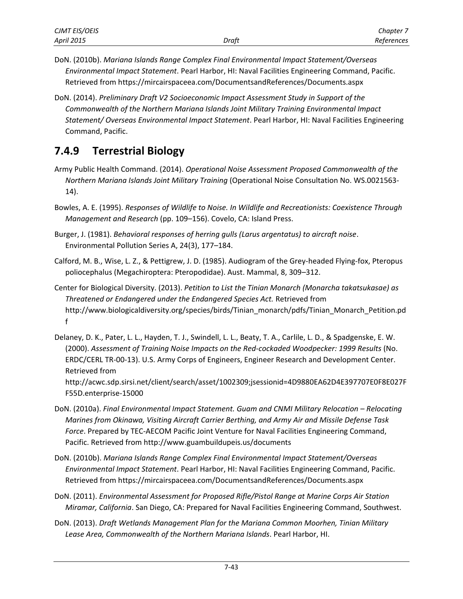| CJMT EIS/OEIS |       | Chapter 7  |
|---------------|-------|------------|
| April 2015    | Draft | References |

- DoN. (2010b). *Mariana Islands Range Complex Final Environmental Impact Statement/Overseas Environmental Impact Statement*. Pearl Harbor, HI: Naval Facilities Engineering Command, Pacific. Retrieved from https://mircairspaceea.com/DocumentsandReferences/Documents.aspx
- DoN. (2014). *Preliminary Draft V2 Socioeconomic Impact Assessment Study in Support of the Commonwealth of the Northern Mariana Islands Joint Military Training Environmental Impact Statement/ Overseas Environmental Impact Statement*. Pearl Harbor, HI: Naval Facilities Engineering Command, Pacific.

#### **7.4.9 Terrestrial Biology**

- Army Public Health Command. (2014). *Operational Noise Assessment Proposed Commonwealth of the Northern Mariana Islands Joint Military Training* (Operational Noise Consultation No. WS.0021563- 14).
- Bowles, A. E. (1995). *Responses of Wildlife to Noise. In Wildlife and Recreationists: Coexistence Through Management and Research* (pp. 109–156). Covelo, CA: Island Press.
- Burger, J. (1981). *Behavioral responses of herring gulls (Larus argentatus) to aircraft noise*. Environmental Pollution Series A, 24(3), 177–184.
- Calford, M. B., Wise, L. Z., & Pettigrew, J. D. (1985). Audiogram of the Grey-headed Flying-fox, Pteropus poliocephalus (Megachiroptera: Pteropodidae). Aust. Mammal, 8, 309–312.
- Center for Biological Diversity. (2013). *Petition to List the Tinian Monarch (Monarcha takatsukasae) as Threatened or Endangered under the Endangered Species Act.* Retrieved from http://www.biologicaldiversity.org/species/birds/Tinian\_monarch/pdfs/Tinian\_Monarch\_Petition.pd f
- Delaney, D. K., Pater, L. L., Hayden, T. J., Swindell, L. L., Beaty, T. A., Carlile, L. D., & Spadgenske, E. W. (2000). *Assessment of Training Noise Impacts on the Red-cockaded Woodpecker: 1999 Results* (No. ERDC/CERL TR-00-13). U.S. Army Corps of Engineers, Engineer Research and Development Center. Retrieved from http://acwc.sdp.sirsi.net/client/search/asset/1002309;jsessionid=4D9880EA62D4E397707E0F8E027F F55D.enterprise-15000
- DoN. (2010a). *Final Environmental Impact Statement. Guam and CNMI Military Relocation Relocating Marines from Okinawa, Visiting Aircraft Carrier Berthing, and Army Air and Missile Defense Task Force*. Prepared by TEC-AECOM Pacific Joint Venture for Naval Facilities Engineering Command, Pacific. Retrieved from http://www.guambuildupeis.us/documents
- DoN. (2010b). *Mariana Islands Range Complex Final Environmental Impact Statement/Overseas Environmental Impact Statement*. Pearl Harbor, HI: Naval Facilities Engineering Command, Pacific. Retrieved from https://mircairspaceea.com/DocumentsandReferences/Documents.aspx
- DoN. (2011). *Environmental Assessment for Proposed Rifle/Pistol Range at Marine Corps Air Station Miramar, California*. San Diego, CA: Prepared for Naval Facilities Engineering Command, Southwest.
- DoN. (2013). *Draft Wetlands Management Plan for the Mariana Common Moorhen, Tinian Military Lease Area, Commonwealth of the Northern Mariana Islands*. Pearl Harbor, HI.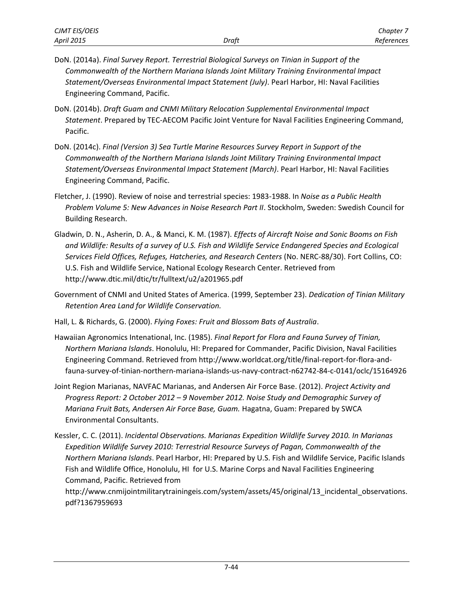- DoN. (2014a). *Final Survey Report. Terrestrial Biological Surveys on Tinian in Support of the Commonwealth of the Northern Mariana Islands Joint Military Training Environmental Impact Statement/Overseas Environmental Impact Statement (July)*. Pearl Harbor, HI: Naval Facilities Engineering Command, Pacific.
- DoN. (2014b). *Draft Guam and CNMI Military Relocation Supplemental Environmental Impact Statement*. Prepared by TEC-AECOM Pacific Joint Venture for Naval Facilities Engineering Command, Pacific.
- DoN. (2014c). *Final (Version 3) Sea Turtle Marine Resources Survey Report in Support of the Commonwealth of the Northern Mariana Islands Joint Military Training Environmental Impact Statement/Overseas Environmental Impact Statement (March)*. Pearl Harbor, HI: Naval Facilities Engineering Command, Pacific.
- Fletcher, J. (1990). Review of noise and terrestrial species: 1983-1988. In *Noise as a Public Health Problem Volume 5: New Advances in Noise Research Part II*. Stockholm, Sweden: Swedish Council for Building Research.
- Gladwin, D. N., Asherin, D. A., & Manci, K. M. (1987). *Effects of Aircraft Noise and Sonic Booms on Fish and Wildlife: Results of a survey of U.S. Fish and Wildlife Service Endangered Species and Ecological Services Field Offices, Refuges, Hatcheries, and Research Centers* (No. NERC-88/30). Fort Collins, CO: U.S. Fish and Wildlife Service, National Ecology Research Center. Retrieved from http://www.dtic.mil/dtic/tr/fulltext/u2/a201965.pdf
- Government of CNMI and United States of America. (1999, September 23). *Dedication of Tinian Military Retention Area Land for Wildlife Conservation.*
- Hall, L. & Richards, G. (2000). *Flying Foxes: Fruit and Blossom Bats of Australia*.
- Hawaiian Agronomics Intenational, Inc. (1985). *Final Report for Flora and Fauna Survey of Tinian, Northern Mariana Islands*. Honolulu, HI: Prepared for Commander, Pacific Division, Naval Facilities Engineering Command. Retrieved from http://www.worldcat.org/title/final-report-for-flora-andfauna-survey-of-tinian-northern-mariana-islands-us-navy-contract-n62742-84-c-0141/oclc/15164926
- Joint Region Marianas, NAVFAC Marianas, and Andersen Air Force Base. (2012). *Project Activity and Progress Report: 2 October 2012 – 9 November 2012. Noise Study and Demographic Survey of Mariana Fruit Bats, Andersen Air Force Base, Guam.* Hagatna, Guam: Prepared by SWCA Environmental Consultants.
- Kessler, C. C. (2011). *Incidental Observations. Marianas Expedition Wildlife Survey 2010. In Marianas Expedition Wildlife Survey 2010: Terrestrial Resource Surveys of Pagan, Commonwealth of the Northern Mariana Islands*. Pearl Harbor, HI: Prepared by U.S. Fish and Wildlife Service, Pacific Islands Fish and Wildlife Office, Honolulu, HI for U.S. Marine Corps and Naval Facilities Engineering Command, Pacific. Retrieved from

http://www.cnmijointmilitarytrainingeis.com/system/assets/45/original/13\_incidental\_observations. pdf?1367959693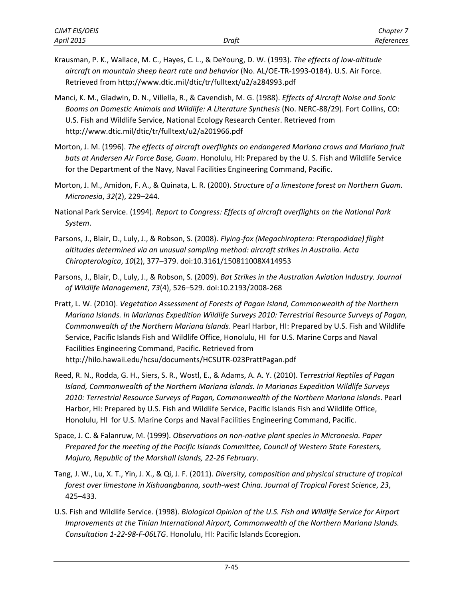- Krausman, P. K., Wallace, M. C., Hayes, C. L., & DeYoung, D. W. (1993). *The effects of low-altitude aircraft on mountain sheep heart rate and behavior* (No. AL/OE-TR-1993-0184). U.S. Air Force. Retrieved from http://www.dtic.mil/dtic/tr/fulltext/u2/a284993.pdf
- Manci, K. M., Gladwin, D. N., Villella, R., & Cavendish, M. G. (1988). *Effects of Aircraft Noise and Sonic Booms on Domestic Animals and Wildlife: A Literature Synthesis* (No. NERC-88/29). Fort Collins, CO: U.S. Fish and Wildlife Service, National Ecology Research Center. Retrieved from http://www.dtic.mil/dtic/tr/fulltext/u2/a201966.pdf
- Morton, J. M. (1996). *The effects of aircraft overflights on endangered Mariana crows and Mariana fruit bats at Andersen Air Force Base, Guam*. Honolulu, HI: Prepared by the U. S. Fish and Wildlife Service for the Department of the Navy, Naval Facilities Engineering Command, Pacific.
- Morton, J. M., Amidon, F. A., & Quinata, L. R. (2000). *Structure of a limestone forest on Northern Guam. Micronesia*, *32*(2), 229–244.
- National Park Service. (1994). *Report to Congress: Effects of aircraft overflights on the National Park System*.
- Parsons, J., Blair, D., Luly, J., & Robson, S. (2008). *Flying-fox (Megachiroptera: Pteropodidae) flight altitudes determined via an unusual sampling method: aircraft strikes in Australia. Acta Chiropterologica*, *10*(2), 377–379. doi:10.3161/150811008X414953
- Parsons, J., Blair, D., Luly, J., & Robson, S. (2009). *Bat Strikes in the Australian Aviation Industry. Journal of Wildlife Management*, *73*(4), 526–529. doi:10.2193/2008-268
- Pratt, L. W. (2010). *Vegetation Assessment of Forests of Pagan Island, Commonwealth of the Northern Mariana Islands. In Marianas Expedition Wildlife Surveys 2010: Terrestrial Resource Surveys of Pagan, Commonwealth of the Northern Mariana Islands*. Pearl Harbor, HI: Prepared by U.S. Fish and Wildlife Service, Pacific Islands Fish and Wildlife Office, Honolulu, HI for U.S. Marine Corps and Naval Facilities Engineering Command, Pacific. Retrieved from http://hilo.hawaii.edu/hcsu/documents/HCSUTR-023PrattPagan.pdf
- Reed, R. N., Rodda, G. H., Siers, S. R., Wostl, E., & Adams, A. A. Y. (2010). T*errestrial Reptiles of Pagan Island, Commonwealth of the Northern Mariana Islands. In Marianas Expedition Wildlife Surveys 2010: Terrestrial Resource Surveys of Pagan, Commonwealth of the Northern Mariana Islands*. Pearl Harbor, HI: Prepared by U.S. Fish and Wildlife Service, Pacific Islands Fish and Wildlife Office, Honolulu, HI for U.S. Marine Corps and Naval Facilities Engineering Command, Pacific.
- Space, J. C. & Falanruw, M. (1999). *Observations on non-native plant species in Micronesia. Paper Prepared for the meeting of the Pacific Islands Committee, Council of Western State Foresters, Majuro, Republic of the Marshall Islands, 22-26 February*.
- Tang, J. W., Lu, X. T., Yin, J. X., & Qi, J. F. (2011). *Diversity, composition and physical structure of tropical forest over limestone in Xishuangbanna, south-west China. Journal of Tropical Forest Science*, *23*, 425–433.
- U.S. Fish and Wildlife Service. (1998). *Biological Opinion of the U.S. Fish and Wildlife Service for Airport Improvements at the Tinian International Airport, Commonwealth of the Northern Mariana Islands. Consultation 1-22-98-F-06LTG*. Honolulu, HI: Pacific Islands Ecoregion.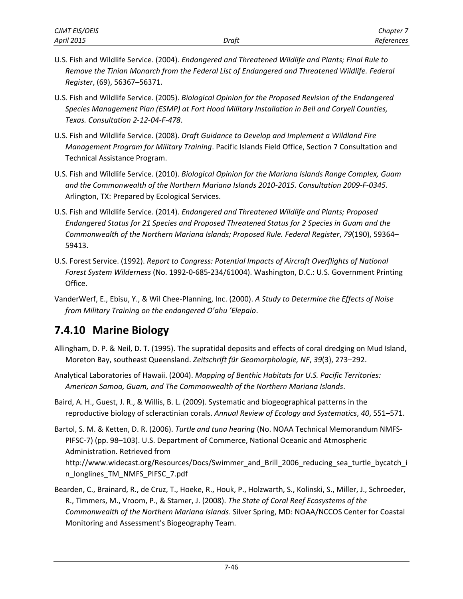- U.S. Fish and Wildlife Service. (2004). *Endangered and Threatened Wildlife and Plants; Final Rule to Remove the Tinian Monarch from the Federal List of Endangered and Threatened Wildlife. Federal Register*, (69), 56367–56371.
- U.S. Fish and Wildlife Service. (2005). *Biological Opinion for the Proposed Revision of the Endangered Species Management Plan (ESMP) at Fort Hood Military Installation in Bell and Coryell Counties, Texas. Consultation 2-12-04-F-478*.
- U.S. Fish and Wildlife Service. (2008). *Draft Guidance to Develop and Implement a Wildland Fire Management Program for Military Training*. Pacific Islands Field Office, Section 7 Consultation and Technical Assistance Program.
- U.S. Fish and Wildlife Service. (2010). *Biological Opinion for the Mariana Islands Range Complex, Guam and the Commonwealth of the Northern Mariana Islands 2010-2015. Consultation 2009-F-0345*. Arlington, TX: Prepared by Ecological Services.
- U.S. Fish and Wildlife Service. (2014). *Endangered and Threatened Wildlife and Plants; Proposed Endangered Status for 21 Species and Proposed Threatened Status for 2 Species in Guam and the Commonwealth of the Northern Mariana Islands; Proposed Rule. Federal Register*, *79*(190), 59364– 59413.
- U.S. Forest Service. (1992). *Report to Congress: Potential Impacts of Aircraft Overflights of National Forest System Wilderness* (No. 1992-0-685-234/61004). Washington, D.C.: U.S. Government Printing Office.
- VanderWerf, E., Ebisu, Y., & Wil Chee-Planning, Inc. (2000). *A Study to Determine the Effects of Noise from Military Training on the endangered O'ahu 'Elepaio*.

#### **7.4.10 Marine Biology**

- Allingham, D. P. & Neil, D. T. (1995). The supratidal deposits and effects of coral dredging on Mud Island, Moreton Bay, southeast Queensland. *Zeitschrift für Geomorphologie, NF*, *39*(3), 273–292.
- Analytical Laboratories of Hawaii. (2004). *Mapping of Benthic Habitats for U.S. Pacific Territories: American Samoa, Guam, and The Commonwealth of the Northern Mariana Islands*.
- Baird, A. H., Guest, J. R., & Willis, B. L. (2009). Systematic and biogeographical patterns in the reproductive biology of scleractinian corals. *Annual Review of Ecology and Systematics*, *40*, 551–571.
- Bartol, S. M. & Ketten, D. R. (2006). *Turtle and tuna hearing* (No. NOAA Technical Memorandum NMFS-PIFSC-7) (pp. 98–103). U.S. Department of Commerce, National Oceanic and Atmospheric Administration. Retrieved from http://www.widecast.org/Resources/Docs/Swimmer\_and\_Brill\_2006\_reducing\_sea\_turtle\_bycatch\_i n\_longlines\_TM\_NMFS\_PIFSC\_7.pdf
- Bearden, C., Brainard, R., de Cruz, T., Hoeke, R., Houk, P., Holzwarth, S., Kolinski, S., Miller, J., Schroeder, R., Timmers, M., Vroom, P., & Stamer, J. (2008). *The State of Coral Reef Ecosystems of the Commonwealth of the Northern Mariana Islands*. Silver Spring, MD: NOAA/NCCOS Center for Coastal Monitoring and Assessment's Biogeography Team.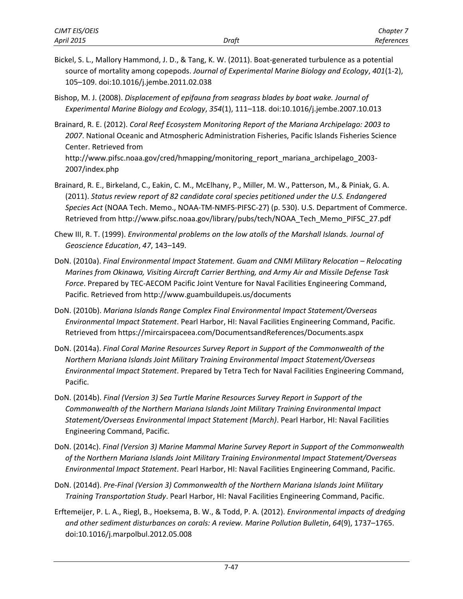- Bickel, S. L., Mallory Hammond, J. D., & Tang, K. W. (2011). Boat-generated turbulence as a potential source of mortality among copepods. *Journal of Experimental Marine Biology and Ecology*, *401*(1-2), 105–109. doi:10.1016/j.jembe.2011.02.038
- Bishop, M. J. (2008). *Displacement of epifauna from seagrass blades by boat wake. Journal of Experimental Marine Biology and Ecology*, *354*(1), 111–118. doi:10.1016/j.jembe.2007.10.013
- Brainard, R. E. (2012). *Coral Reef Ecosystem Monitoring Report of the Mariana Archipelago: 2003 to 2007*. National Oceanic and Atmospheric Administration Fisheries, Pacific Islands Fisheries Science Center. Retrieved from http://www.pifsc.noaa.gov/cred/hmapping/monitoring\_report\_mariana\_archipelago\_2003- 2007/index.php
- Brainard, R. E., Birkeland, C., Eakin, C. M., McElhany, P., Miller, M. W., Patterson, M., & Piniak, G. A. (2011). *Status review report of 82 candidate coral species petitioned under the U.S. Endangered Species Act* (NOAA Tech. Memo., NOAA-TM-NMFS-PIFSC-27) (p. 530). U.S. Department of Commerce. Retrieved from http://www.pifsc.noaa.gov/library/pubs/tech/NOAA\_Tech\_Memo\_PIFSC\_27.pdf
- Chew III, R. T. (1999). *Environmental problems on the low atolls of the Marshall Islands. Journal of Geoscience Education*, *47*, 143–149.
- DoN. (2010a). *Final Environmental Impact Statement. Guam and CNMI Military Relocation Relocating Marines from Okinawa, Visiting Aircraft Carrier Berthing, and Army Air and Missile Defense Task Force*. Prepared by TEC-AECOM Pacific Joint Venture for Naval Facilities Engineering Command, Pacific. Retrieved from http://www.guambuildupeis.us/documents
- DoN. (2010b). *Mariana Islands Range Complex Final Environmental Impact Statement/Overseas Environmental Impact Statement*. Pearl Harbor, HI: Naval Facilities Engineering Command, Pacific. Retrieved from https://mircairspaceea.com/DocumentsandReferences/Documents.aspx
- DoN. (2014a). *Final Coral Marine Resources Survey Report in Support of the Commonwealth of the Northern Mariana Islands Joint Military Training Environmental Impact Statement/Overseas Environmental Impact Statement*. Prepared by Tetra Tech for Naval Facilities Engineering Command, Pacific.
- DoN. (2014b). *Final (Version 3) Sea Turtle Marine Resources Survey Report in Support of the Commonwealth of the Northern Mariana Islands Joint Military Training Environmental Impact Statement/Overseas Environmental Impact Statement (March)*. Pearl Harbor, HI: Naval Facilities Engineering Command, Pacific.
- DoN. (2014c). *Final (Version 3) Marine Mammal Marine Survey Report in Support of the Commonwealth of the Northern Mariana Islands Joint Military Training Environmental Impact Statement/Overseas Environmental Impact Statement*. Pearl Harbor, HI: Naval Facilities Engineering Command, Pacific.
- DoN. (2014d). *Pre-Final (Version 3) Commonwealth of the Northern Mariana Islands Joint Military Training Transportation Study*. Pearl Harbor, HI: Naval Facilities Engineering Command, Pacific.
- Erftemeijer, P. L. A., Riegl, B., Hoeksema, B. W., & Todd, P. A. (2012). *Environmental impacts of dredging*  and other sediment disturbances on corals: A review. Marine Pollution Bulletin, 64(9), 1737-1765. doi:10.1016/j.marpolbul.2012.05.008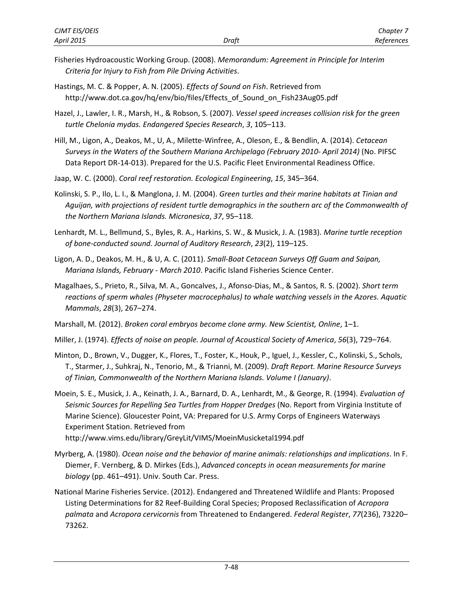| CJMT EIS/OEIS<br>April 2015                               | Draft                                                                                                                                                                                                                                                                                                      | Chapter 7<br>References |
|-----------------------------------------------------------|------------------------------------------------------------------------------------------------------------------------------------------------------------------------------------------------------------------------------------------------------------------------------------------------------------|-------------------------|
| Criteria for Injury to Fish from Pile Driving Activities. | Fisheries Hydroacoustic Working Group. (2008). Memorandum: Agreement in Principle for Interim                                                                                                                                                                                                              |                         |
|                                                           | Hastings, M. C. & Popper, A. N. (2005). <i>Effects of Sound on Fish</i> . Retrieved from<br>http://www.dot.ca.gov/hq/env/bio/files/Effects_of_Sound_on_Fish23Aug05.pdf                                                                                                                                     |                         |
|                                                           | Hazel, J., Lawler, I. R., Marsh, H., & Robson, S. (2007). Vessel speed increases collision risk for the green<br>turtle Chelonia mydas. Endangered Species Research, 3, 105-113.                                                                                                                           |                         |
|                                                           | Hill, M., Ligon, A., Deakos, M., U, A., Milette-Winfree, A., Oleson, E., & Bendlin, A. (2014). Cetacean<br>Surveys in the Waters of the Southern Mariana Archipelago (February 2010- April 2014) (No. PIFSC<br>Data Report DR-14-013). Prepared for the U.S. Pacific Fleet Environmental Readiness Office. |                         |
|                                                           | Jaap, W. C. (2000). Coral reef restoration. Ecological Engineering, 15, 345–364.                                                                                                                                                                                                                           |                         |
| the Northern Mariana Islands. Micronesica, 37, 95-118.    | Kolinski, S. P., Ilo, L. I., & Manglona, J. M. (2004). Green turtles and their marine habitats at Tinian and<br>Aguijan, with projections of resident turtle demographics in the southern arc of the Commonwealth of                                                                                       |                         |
|                                                           | Lenhardt, M. L., Bellmund, S., Byles, R. A., Harkins, S. W., & Musick, J. A. (1983). Marine turtle reception<br>of bone-conducted sound. Journal of Auditory Research, 23(2), 119-125.                                                                                                                     |                         |

Ligon, A. D., Deakos, M. H., & U, A. C. (2011). *Small-Boat Cetacean Surveys Off Guam and Saipan, Mariana Islands, February - March 2010*. Pacific Island Fisheries Science Center.

- Magalhaes, S., Prieto, R., Silva, M. A., Goncalves, J., Afonso-Dias, M., & Santos, R. S. (2002). *Short term reactions of sperm whales (Physeter macrocephalus) to whale watching vessels in the Azores. Aquatic Mammals*, *28*(3), 267–274.
- Marshall, M. (2012). *Broken coral embryos become clone army. New Scientist, Online*, 1–1.
- Miller, J. (1974). *Effects of noise on people. Journal of Acoustical Society of America*, *56*(3), 729–764.
- Minton, D., Brown, V., Dugger, K., Flores, T., Foster, K., Houk, P., Iguel, J., Kessler, C., Kolinski, S., Schols, T., Starmer, J., Suhkraj, N., Tenorio, M., & Trianni, M. (2009). *Draft Report. Marine Resource Surveys of Tinian, Commonwealth of the Northern Mariana Islands. Volume I (January)*.
- Moein, S. E., Musick, J. A., Keinath, J. A., Barnard, D. A., Lenhardt, M., & George, R. (1994). *Evaluation of Seismic Sources for Repelling Sea Turtles from Hopper Dredges* (No. Report from Virginia Institute of Marine Science). Gloucester Point, VA: Prepared for U.S. Army Corps of Engineers Waterways Experiment Station. Retrieved from http://www.vims.edu/library/GreyLit/VIMS/MoeinMusicketal1994.pdf
- Myrberg, A. (1980). *Ocean noise and the behavior of marine animals: relationships and implications*. In F. Diemer, F. Vernberg, & D. Mirkes (Eds.), *Advanced concepts in ocean measurements for marine biology* (pp. 461–491). Univ. South Car. Press.
- National Marine Fisheries Service. (2012). Endangered and Threatened Wildlife and Plants: Proposed Listing Determinations for 82 Reef-Building Coral Species; Proposed Reclassification of *Acropora palmata* and *Acropora cervicornis* from Threatened to Endangered. *Federal Register*, *77*(236), 73220– 73262.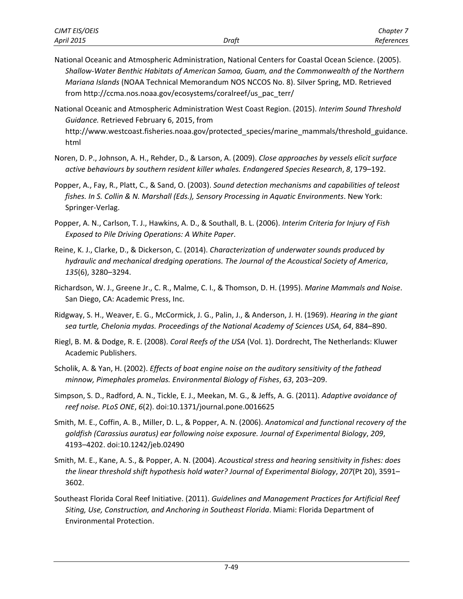- National Oceanic and Atmospheric Administration, National Centers for Coastal Ocean Science. (2005). *Shallow-Water Benthic Habitats of American Samoa, Guam, and the Commonwealth of the Northern Mariana Islands* (NOAA Technical Memorandum NOS NCCOS No. 8). Silver Spring, MD. Retrieved from http://ccma.nos.noaa.gov/ecosystems/coralreef/us\_pac\_terr/
- National Oceanic and Atmospheric Administration West Coast Region. (2015). *Interim Sound Threshold Guidance.* Retrieved February 6, 2015, from http://www.westcoast.fisheries.noaa.gov/protected\_species/marine\_mammals/threshold\_guidance. html
- Noren, D. P., Johnson, A. H., Rehder, D., & Larson, A. (2009). *Close approaches by vessels elicit surface active behaviours by southern resident killer whales. Endangered Species Research*, *8*, 179–192.
- Popper, A., Fay, R., Platt, C., & Sand, O. (2003). *Sound detection mechanisms and capabilities of teleost fishes. In S. Collin & N. Marshall (Eds.), Sensory Processing in Aquatic Environments*. New York: Springer-Verlag.
- Popper, A. N., Carlson, T. J., Hawkins, A. D., & Southall, B. L. (2006). *Interim Criteria for Injury of Fish Exposed to Pile Driving Operations: A White Paper*.
- Reine, K. J., Clarke, D., & Dickerson, C. (2014). *Characterization of underwater sounds produced by hydraulic and mechanical dredging operations. The Journal of the Acoustical Society of America*, *135*(6), 3280–3294.
- Richardson, W. J., Greene Jr., C. R., Malme, C. I., & Thomson, D. H. (1995). *Marine Mammals and Noise*. San Diego, CA: Academic Press, Inc.
- Ridgway, S. H., Weaver, E. G., McCormick, J. G., Palin, J., & Anderson, J. H. (1969). *Hearing in the giant sea turtle, Chelonia mydas. Proceedings of the National Academy of Sciences USA*, *64*, 884–890.
- Riegl, B. M. & Dodge, R. E. (2008). *Coral Reefs of the USA* (Vol. 1). Dordrecht, The Netherlands: Kluwer Academic Publishers.
- Scholik, A. & Yan, H. (2002). *Effects of boat engine noise on the auditory sensitivity of the fathead minnow, Pimephales promelas. Environmental Biology of Fishes*, *63*, 203–209.
- Simpson, S. D., Radford, A. N., Tickle, E. J., Meekan, M. G., & Jeffs, A. G. (2011). *Adaptive avoidance of reef noise. PLoS ONE*, *6*(2). doi:10.1371/journal.pone.0016625
- Smith, M. E., Coffin, A. B., Miller, D. L., & Popper, A. N. (2006). *Anatomical and functional recovery of the goldfish (Carassius auratus) ear following noise exposure. Journal of Experimental Biology*, *209*, 4193–4202. doi:10.1242/jeb.02490
- Smith, M. E., Kane, A. S., & Popper, A. N. (2004). *Acoustical stress and hearing sensitivity in fishes: does the linear threshold shift hypothesis hold water? Journal of Experimental Biology*, *207*(Pt 20), 3591– 3602.
- Southeast Florida Coral Reef Initiative. (2011). *Guidelines and Management Practices for Artificial Reef Siting, Use, Construction, and Anchoring in Southeast Florida*. Miami: Florida Department of Environmental Protection.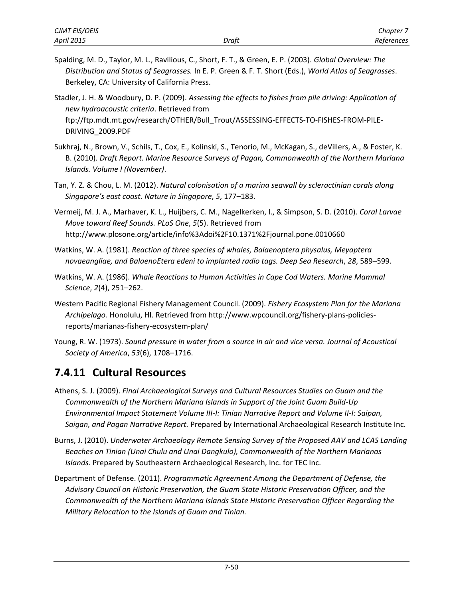Spalding, M. D., Taylor, M. L., Ravilious, C., Short, F. T., & Green, E. P. (2003). *Global Overview: The Distribution and Status of Seagrasses.* In E. P. Green & F. T. Short (Eds.), *World Atlas of Seagrasses*. Berkeley, CA: University of California Press.

Stadler, J. H. & Woodbury, D. P. (2009). *Assessing the effects to fishes from pile driving: Application of new hydroacoustic criteria*. Retrieved from ftp://ftp.mdt.mt.gov/research/OTHER/Bull\_Trout/ASSESSING-EFFECTS-TO-FISHES-FROM-PILE-DRIVING\_2009.PDF

- Sukhraj, N., Brown, V., Schils, T., Cox, E., Kolinski, S., Tenorio, M., McKagan, S., deVillers, A., & Foster, K. B. (2010). *Draft Report. Marine Resource Surveys of Pagan, Commonwealth of the Northern Mariana Islands. Volume I (November)*.
- Tan, Y. Z. & Chou, L. M. (2012). *Natural colonisation of a marina seawall by scleractinian corals along Singapore's east coast. Nature in Singapore*, *5*, 177–183.

Vermeij, M. J. A., Marhaver, K. L., Huijbers, C. M., Nagelkerken, I., & Simpson, S. D. (2010). *Coral Larvae Move toward Reef Sounds. PLoS One*, *5*(5). Retrieved from http://www.plosone.org/article/info%3Adoi%2F10.1371%2Fjournal.pone.0010660

- Watkins, W. A. (1981). *Reaction of three species of whales, Balaenoptera physalus, Meyaptera novaeangliae, and BalaenoEtera edeni to implanted radio tags. Deep Sea Research*, *28*, 589–599.
- Watkins, W. A. (1986). *Whale Reactions to Human Activities in Cape Cod Waters. Marine Mammal Science*, *2*(4), 251–262.
- Western Pacific Regional Fishery Management Council. (2009). *Fishery Ecosystem Plan for the Mariana Archipelago.* Honolulu, HI. Retrieved from http://www.wpcouncil.org/fishery-plans-policiesreports/marianas-fishery-ecosystem-plan/
- Young, R. W. (1973). *Sound pressure in water from a source in air and vice versa. Journal of Acoustical Society of America*, *53*(6), 1708–1716.

#### **7.4.11 Cultural Resources**

- Athens, S. J. (2009). *Final Archaeological Surveys and Cultural Resources Studies on Guam and the Commonwealth of the Northern Mariana Islands in Support of the Joint Guam Build-Up Environmental Impact Statement Volume III-I: Tinian Narrative Report and Volume II-I: Saipan, Saigan, and Pagan Narrative Report.* Prepared by International Archaeological Research Institute Inc.
- Burns, J. (2010). *Underwater Archaeology Remote Sensing Survey of the Proposed AAV and LCAS Landing Beaches on Tinian (Unai Chulu and Unai Dangkulo), Commonwealth of the Northern Marianas Islands.* Prepared by Southeastern Archaeological Research, Inc. for TEC Inc.
- Department of Defense. (2011). *Programmatic Agreement Among the Department of Defense, the Advisory Council on Historic Preservation, the Guam State Historic Preservation Officer, and the Commonwealth of the Northern Mariana Islands State Historic Preservation Officer Regarding the Military Relocation to the Islands of Guam and Tinian.*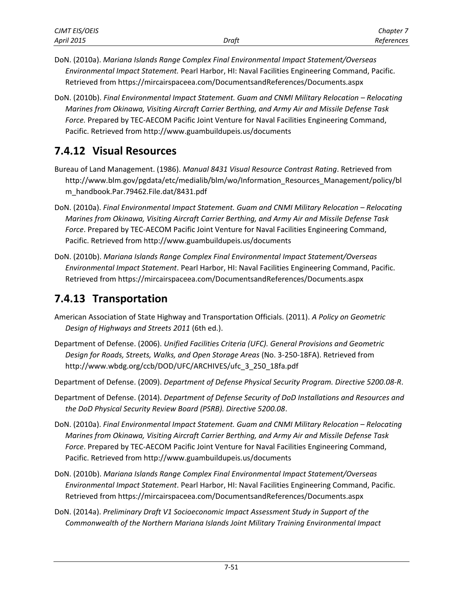| <b>CJMT EIS/OEIS</b> |       | Chapter 7  |
|----------------------|-------|------------|
| <b>April 2015</b>    | Draft | References |

- DoN. (2010a). *Mariana Islands Range Complex Final Environmental Impact Statement/Overseas Environmental Impact Statement.* Pearl Harbor, HI: Naval Facilities Engineering Command, Pacific. Retrieved from https://mircairspaceea.com/DocumentsandReferences/Documents.aspx
- DoN. (2010b). *Final Environmental Impact Statement. Guam and CNMI Military Relocation Relocating Marines from Okinawa, Visiting Aircraft Carrier Berthing, and Army Air and Missile Defense Task Force.* Prepared by TEC-AECOM Pacific Joint Venture for Naval Facilities Engineering Command, Pacific. Retrieved from http://www.guambuildupeis.us/documents

#### **7.4.12 Visual Resources**

- Bureau of Land Management. (1986). *Manual 8431 Visual Resource Contrast Rating*. Retrieved from http://www.blm.gov/pgdata/etc/medialib/blm/wo/Information\_Resources\_Management/policy/bl m\_handbook.Par.79462.File.dat/8431.pdf
- DoN. (2010a). *Final Environmental Impact Statement. Guam and CNMI Military Relocation Relocating Marines from Okinawa, Visiting Aircraft Carrier Berthing, and Army Air and Missile Defense Task Force*. Prepared by TEC-AECOM Pacific Joint Venture for Naval Facilities Engineering Command, Pacific. Retrieved from http://www.guambuildupeis.us/documents
- DoN. (2010b). *Mariana Islands Range Complex Final Environmental Impact Statement/Overseas Environmental Impact Statement*. Pearl Harbor, HI: Naval Facilities Engineering Command, Pacific. Retrieved from https://mircairspaceea.com/DocumentsandReferences/Documents.aspx

#### **7.4.13 Transportation**

- American Association of State Highway and Transportation Officials. (2011). *A Policy on Geometric Design of Highways and Streets 2011* (6th ed.).
- Department of Defense. (2006). *Unified Facilities Criteria (UFC). General Provisions and Geometric Design for Roads, Streets, Walks, and Open Storage Areas* (No. 3-250-18FA). Retrieved from http://www.wbdg.org/ccb/DOD/UFC/ARCHIVES/ufc\_3\_250\_18fa.pdf
- Department of Defense. (2009). *Department of Defense Physical Security Program. Directive 5200.08-R*.
- Department of Defense. (2014). *Department of Defense Security of DoD Installations and Resources and the DoD Physical Security Review Board (PSRB). Directive 5200.08*.
- DoN. (2010a). *Final Environmental Impact Statement. Guam and CNMI Military Relocation Relocating Marines from Okinawa, Visiting Aircraft Carrier Berthing, and Army Air and Missile Defense Task Force*. Prepared by TEC-AECOM Pacific Joint Venture for Naval Facilities Engineering Command, Pacific. Retrieved from http://www.guambuildupeis.us/documents
- DoN. (2010b). *Mariana Islands Range Complex Final Environmental Impact Statement/Overseas Environmental Impact Statement*. Pearl Harbor, HI: Naval Facilities Engineering Command, Pacific. Retrieved from https://mircairspaceea.com/DocumentsandReferences/Documents.aspx
- DoN. (2014a). *Preliminary Draft V1 Socioeconomic Impact Assessment Study in Support of the Commonwealth of the Northern Mariana Islands Joint Military Training Environmental Impact*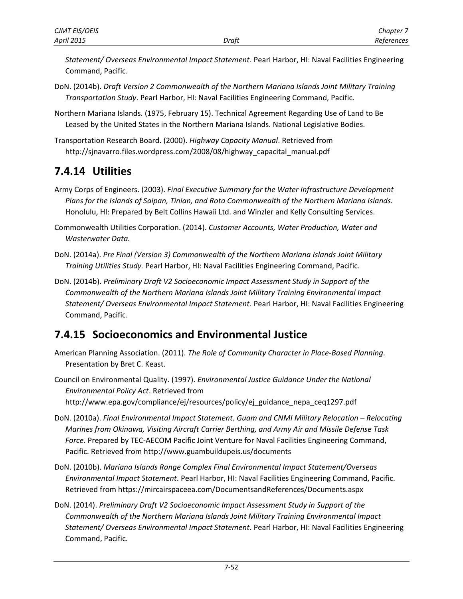*Statement/ Overseas Environmental Impact Statement*. Pearl Harbor, HI: Naval Facilities Engineering Command, Pacific.

- DoN. (2014b). *Draft Version 2 Commonwealth of the Northern Mariana Islands Joint Military Training Transportation Study*. Pearl Harbor, HI: Naval Facilities Engineering Command, Pacific.
- Northern Mariana Islands. (1975, February 15). Technical Agreement Regarding Use of Land to Be Leased by the United States in the Northern Mariana Islands. National Legislative Bodies.
- Transportation Research Board. (2000). *Highway Capacity Manual*. Retrieved from http://sjnavarro.files.wordpress.com/2008/08/highway\_capacital\_manual.pdf

#### **7.4.14 Utilities**

- Army Corps of Engineers. (2003). *Final Executive Summary for the Water Infrastructure Development Plans for the Islands of Saipan, Tinian, and Rota Commonwealth of the Northern Mariana Islands.*  Honolulu, HI: Prepared by Belt Collins Hawaii Ltd. and Winzler and Kelly Consulting Services.
- Commonwealth Utilities Corporation. (2014). *Customer Accounts, Water Production, Water and Wasterwater Data.*
- DoN. (2014a). *Pre Final (Version 3) Commonwealth of the Northern Mariana Islands Joint Military Training Utilities Study.* Pearl Harbor, HI: Naval Facilities Engineering Command, Pacific.
- DoN. (2014b). *Preliminary Draft V2 Socioeconomic Impact Assessment Study in Support of the Commonwealth of the Northern Mariana Islands Joint Military Training Environmental Impact Statement/ Overseas Environmental Impact Statement.* Pearl Harbor, HI: Naval Facilities Engineering Command, Pacific.

#### **7.4.15 Socioeconomics and Environmental Justice**

American Planning Association. (2011). *The Role of Community Character in Place-Based Planning*. Presentation by Bret C. Keast.

Council on Environmental Quality. (1997). *Environmental Justice Guidance Under the National Environmental Policy Act*. Retrieved from http://www.epa.gov/compliance/ej/resources/policy/ej\_guidance\_nepa\_ceq1297.pdf

- DoN. (2010a). *Final Environmental Impact Statement. Guam and CNMI Military Relocation Relocating Marines from Okinawa, Visiting Aircraft Carrier Berthing, and Army Air and Missile Defense Task Force*. Prepared by TEC-AECOM Pacific Joint Venture for Naval Facilities Engineering Command, Pacific. Retrieved from http://www.guambuildupeis.us/documents
- DoN. (2010b). *Mariana Islands Range Complex Final Environmental Impact Statement/Overseas Environmental Impact Statement*. Pearl Harbor, HI: Naval Facilities Engineering Command, Pacific. Retrieved from https://mircairspaceea.com/DocumentsandReferences/Documents.aspx
- DoN. (2014). *Preliminary Draft V2 Socioeconomic Impact Assessment Study in Support of the Commonwealth of the Northern Mariana Islands Joint Military Training Environmental Impact Statement/ Overseas Environmental Impact Statement*. Pearl Harbor, HI: Naval Facilities Engineering Command, Pacific.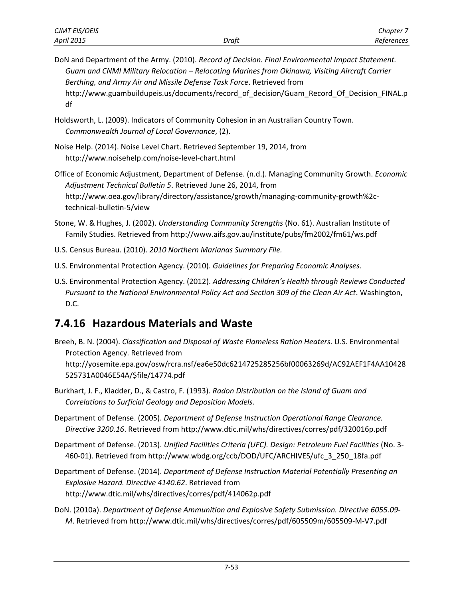| CJMT EIS/OEIS     |       | Chapter 7  |
|-------------------|-------|------------|
| <b>April 2015</b> | Draft | References |

DoN and Department of the Army. (2010). *Record of Decision. Final Environmental Impact Statement. Guam and CNMI Military Relocation – Relocating Marines from Okinawa, Visiting Aircraft Carrier Berthing, and Army Air and Missile Defense Task Force*. Retrieved from http://www.guambuildupeis.us/documents/record\_of\_decision/Guam\_Record\_Of\_Decision\_FINAL.p df

- Holdsworth, L. (2009). Indicators of Community Cohesion in an Australian Country Town. *Commonwealth Journal of Local Governance*, (2).
- Noise Help. (2014). Noise Level Chart. Retrieved September 19, 2014, from http://www.noisehelp.com/noise-level-chart.html
- Office of Economic Adjustment, Department of Defense. (n.d.). Managing Community Growth. *Economic Adjustment Technical Bulletin 5*. Retrieved June 26, 2014, from http://www.oea.gov/library/directory/assistance/growth/managing-community-growth%2ctechnical-bulletin-5/view
- Stone, W. & Hughes, J. (2002). *Understanding Community Strengths* (No. 61). Australian Institute of Family Studies. Retrieved from http://www.aifs.gov.au/institute/pubs/fm2002/fm61/ws.pdf
- U.S. Census Bureau. (2010). *2010 Northern Marianas Summary File.*
- U.S. Environmental Protection Agency. (2010). *Guidelines for Preparing Economic Analyses*.
- U.S. Environmental Protection Agency. (2012). *Addressing Children's Health through Reviews Conducted Pursuant to the National Environmental Policy Act and Section 309 of the Clean Air Act*. Washington, D.C.

#### **7.4.16 Hazardous Materials and Waste**

- Breeh, B. N. (2004). *Classification and Disposal of Waste Flameless Ration Heaters*. U.S. Environmental Protection Agency. Retrieved from http://yosemite.epa.gov/osw/rcra.nsf/ea6e50dc6214725285256bf00063269d/AC92AEF1F4AA10428 525731A0046E54A/\$file/14774.pdf
- Burkhart, J. F., Kladder, D., & Castro, F. (1993). *Radon Distribution on the Island of Guam and Correlations to Surficial Geology and Deposition Models*.
- Department of Defense. (2005). *Department of Defense Instruction Operational Range Clearance. Directive 3200.16*. Retrieved from http://www.dtic.mil/whs/directives/corres/pdf/320016p.pdf
- Department of Defense. (2013). *Unified Facilities Criteria (UFC). Design: Petroleum Fuel Facilities* (No. 3- 460-01). Retrieved from http://www.wbdg.org/ccb/DOD/UFC/ARCHIVES/ufc\_3\_250\_18fa.pdf
- Department of Defense. (2014). *Department of Defense Instruction Material Potentially Presenting an Explosive Hazard. Directive 4140.62*. Retrieved from http://www.dtic.mil/whs/directives/corres/pdf/414062p.pdf
- DoN. (2010a). *Department of Defense Ammunition and Explosive Safety Submission. Directive 6055.09- M*. Retrieved from http://www.dtic.mil/whs/directives/corres/pdf/605509m/605509-M-V7.pdf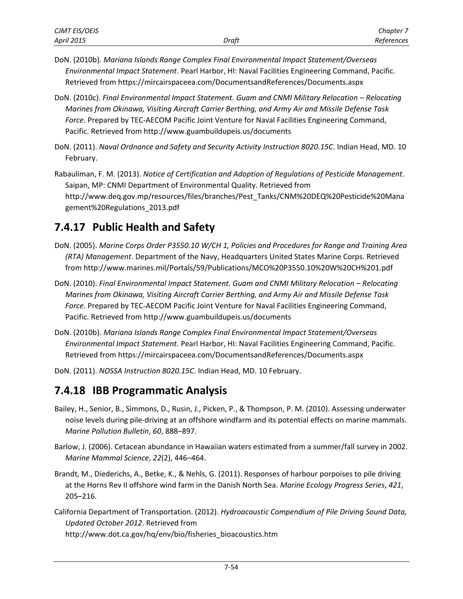- DoN. (2010b). *Mariana Islands Range Complex Final Environmental Impact Statement/Overseas Environmental Impact Statement*. Pearl Harbor, HI: Naval Facilities Engineering Command, Pacific. Retrieved from https://mircairspaceea.com/DocumentsandReferences/Documents.aspx
- DoN. (2010c). *Final Environmental Impact Statement. Guam and CNMI Military Relocation Relocating Marines from Okinawa, Visiting Aircraft Carrier Berthing, and Army Air and Missile Defense Task Force*. Prepared by TEC-AECOM Pacific Joint Venture for Naval Facilities Engineering Command, Pacific. Retrieved from http://www.guambuildupeis.us/documents
- DoN. (2011). *Naval Ordnance and Safety and Security Activity Instruction 8020.15C*. Indian Head, MD. 10 February.
- Rabauliman, F. M. (2013). *Notice of Certification and Adoption of Regulations of Pesticide Management*. Saipan, MP: CNMI Department of Environmental Quality. Retrieved from http://www.deq.gov.mp/resources/files/branches/Pest\_Tanks/CNM%20DEQ%20Pesticide%20Mana gement%20Regulations\_2013.pdf

#### **7.4.17 Public Health and Safety**

- DoN. (2005). *Marine Corps Order P3550.10 W/CH 1, Policies and Procedures for Range and Training Area (RTA) Management*. Department of the Navy, Headquarters United States Marine Corps. Retrieved from http://www.marines.mil/Portals/59/Publications/MCO%20P3550.10%20W%20CH%201.pdf
- DoN. (2010). *Final Environmental Impact Statement. Guam and CNMI Military Relocation Relocating Marines from Okinawa, Visiting Aircraft Carrier Berthing, and Army Air and Missile Defense Task Force*. Prepared by TEC-AECOM Pacific Joint Venture for Naval Facilities Engineering Command, Pacific. Retrieved from http://www.guambuildupeis.us/documents
- DoN. (2010b). *Mariana Islands Range Complex Final Environmental Impact Statement/Overseas Environmental Impact Statement*. Pearl Harbor, HI: Naval Facilities Engineering Command, Pacific. Retrieved from https://mircairspaceea.com/DocumentsandReferences/Documents.aspx
- DoN. (2011). *NOSSA Instruction 8020.15C*. Indian Head, MD. 10 February.

#### **7.4.18 IBB Programmatic Analysis**

- Bailey, H., Senior, B., Simmons, D., Rusin, J., Picken, P., & Thompson, P. M. (2010). Assessing underwater noise levels during pile-driving at an offshore windfarm and its potential effects on marine mammals. *Marine Pollution Bulletin*, *60*, 888–897.
- Barlow, J. (2006). Cetacean abundance in Hawaiian waters estimated from a summer/fall survey in 2002. *Marine Mammal Science*, *22*(2), 446–464.
- Brandt, M., Diederichs, A., Betke, K., & Nehls, G. (2011). Responses of harbour porpoises to pile driving at the Horns Rev II offshore wind farm in the Danish North Sea. *Marine Ecology Progress Series*, *421*, 205–216.
- California Department of Transportation. (2012). *Hydroacoustic Compendium of Pile Driving Sound Data, Updated October 2012*. Retrieved from http://www.dot.ca.gov/hq/env/bio/fisheries\_bioacoustics.htm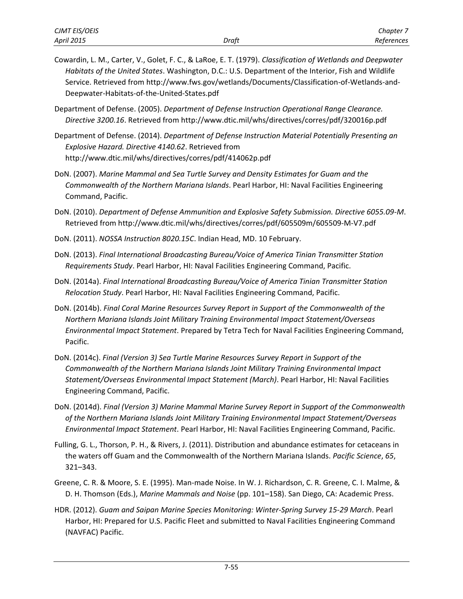- Cowardin, L. M., Carter, V., Golet, F. C., & LaRoe, E. T. (1979). *Classification of Wetlands and Deepwater Habitats of the United States*. Washington, D.C.: U.S. Department of the Interior, Fish and Wildlife Service. Retrieved from http://www.fws.gov/wetlands/Documents/Classification-of-Wetlands-and-Deepwater-Habitats-of-the-United-States.pdf
- Department of Defense. (2005). *Department of Defense Instruction Operational Range Clearance. Directive 3200.16*. Retrieved from http://www.dtic.mil/whs/directives/corres/pdf/320016p.pdf
- Department of Defense. (2014). *Department of Defense Instruction Material Potentially Presenting an Explosive Hazard. Directive 4140.62*. Retrieved from http://www.dtic.mil/whs/directives/corres/pdf/414062p.pdf
- DoN. (2007). *Marine Mammal and Sea Turtle Survey and Density Estimates for Guam and the Commonwealth of the Northern Mariana Islands*. Pearl Harbor, HI: Naval Facilities Engineering Command, Pacific.
- DoN. (2010). *Department of Defense Ammunition and Explosive Safety Submission. Directive 6055.09-M*. Retrieved from http://www.dtic.mil/whs/directives/corres/pdf/605509m/605509-M-V7.pdf
- DoN. (2011). *NOSSA Instruction 8020.15C*. Indian Head, MD. 10 February.
- DoN. (2013). *Final International Broadcasting Bureau/Voice of America Tinian Transmitter Station Requirements Study*. Pearl Harbor, HI: Naval Facilities Engineering Command, Pacific.
- DoN. (2014a). *Final International Broadcasting Bureau/Voice of America Tinian Transmitter Station Relocation Study*. Pearl Harbor, HI: Naval Facilities Engineering Command, Pacific.
- DoN. (2014b). *Final Coral Marine Resources Survey Report in Support of the Commonwealth of the Northern Mariana Islands Joint Military Training Environmental Impact Statement/Overseas Environmental Impact Statement*. Prepared by Tetra Tech for Naval Facilities Engineering Command, Pacific.
- DoN. (2014c). *Final (Version 3) Sea Turtle Marine Resources Survey Report in Support of the Commonwealth of the Northern Mariana Islands Joint Military Training Environmental Impact Statement/Overseas Environmental Impact Statement (March)*. Pearl Harbor, HI: Naval Facilities Engineering Command, Pacific.
- DoN. (2014d). *Final (Version 3) Marine Mammal Marine Survey Report in Support of the Commonwealth of the Northern Mariana Islands Joint Military Training Environmental Impact Statement/Overseas Environmental Impact Statement*. Pearl Harbor, HI: Naval Facilities Engineering Command, Pacific.
- Fulling, G. L., Thorson, P. H., & Rivers, J. (2011). Distribution and abundance estimates for cetaceans in the waters off Guam and the Commonwealth of the Northern Mariana Islands. *Pacific Science*, *65*, 321–343.
- Greene, C. R. & Moore, S. E. (1995). Man-made Noise. In W. J. Richardson, C. R. Greene, C. I. Malme, & D. H. Thomson (Eds.), *Marine Mammals and Noise* (pp. 101–158). San Diego, CA: Academic Press.
- HDR. (2012). *Guam and Saipan Marine Species Monitoring: Winter-Spring Survey 15-29 March*. Pearl Harbor, HI: Prepared for U.S. Pacific Fleet and submitted to Naval Facilities Engineering Command (NAVFAC) Pacific.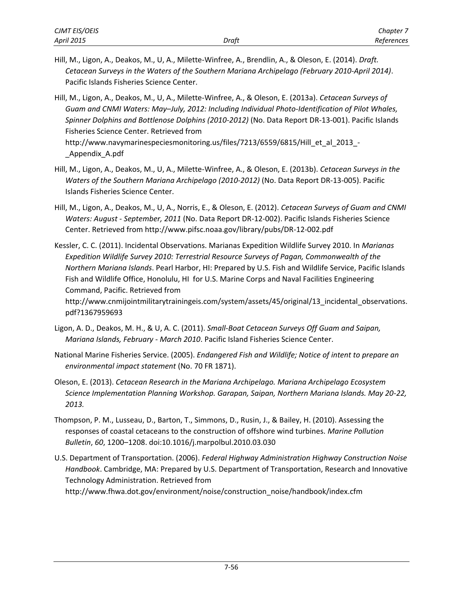Hill, M., Ligon, A., Deakos, M., U, A., Milette-Winfree, A., Brendlin, A., & Oleson, E. (2014). *Draft. Cetacean Surveys in the Waters of the Southern Mariana Archipelago (February 2010‐April 2014)*. Pacific Islands Fisheries Science Center.

Hill, M., Ligon, A., Deakos, M., U, A., Milette-Winfree, A., & Oleson, E. (2013a). *Cetacean Surveys of Guam and CNMI Waters: May–July, 2012: Including Individual Photo-Identification of Pilot Whales, Spinner Dolphins and Bottlenose Dolphins (2010-2012)* (No. Data Report DR-13-001). Pacific Islands Fisheries Science Center. Retrieved from http://www.navymarinespeciesmonitoring.us/files/7213/6559/6815/Hill\_et\_al\_2013\_-\_Appendix\_A.pdf

- Hill, M., Ligon, A., Deakos, M., U, A., Milette-Winfree, A., & Oleson, E. (2013b). *Cetacean Surveys in the Waters of the Southern Mariana Archipelago (2010‐2012)* (No. Data Report DR-13-005). Pacific Islands Fisheries Science Center.
- Hill, M., Ligon, A., Deakos, M., U, A., Norris, E., & Oleson, E. (2012). *Cetacean Surveys of Guam and CNMI Waters: August - September, 2011* (No. Data Report DR-12-002). Pacific Islands Fisheries Science Center. Retrieved from http://www.pifsc.noaa.gov/library/pubs/DR-12-002.pdf
- Kessler, C. C. (2011). Incidental Observations. Marianas Expedition Wildlife Survey 2010. In *Marianas Expedition Wildlife Survey 2010: Terrestrial Resource Surveys of Pagan, Commonwealth of the Northern Mariana Islands*. Pearl Harbor, HI: Prepared by U.S. Fish and Wildlife Service, Pacific Islands Fish and Wildlife Office, Honolulu, HI for U.S. Marine Corps and Naval Facilities Engineering Command, Pacific. Retrieved from http://www.cnmijointmilitarytrainingeis.com/system/assets/45/original/13 incidental observations. pdf?1367959693
- Ligon, A. D., Deakos, M. H., & U, A. C. (2011). *Small-Boat Cetacean Surveys Off Guam and Saipan, Mariana Islands, February - March 2010*. Pacific Island Fisheries Science Center.
- National Marine Fisheries Service. (2005). *Endangered Fish and Wildlife; Notice of intent to prepare an environmental impact statement* (No. 70 FR 1871).
- Oleson, E. (2013). *Cetacean Research in the Mariana Archipelago. Mariana Archipelago Ecosystem Science Implementation Planning Workshop. Garapan, Saipan, Northern Mariana Islands. May 20-22, 2013.*
- Thompson, P. M., Lusseau, D., Barton, T., Simmons, D., Rusin, J., & Bailey, H. (2010). Assessing the responses of coastal cetaceans to the construction of offshore wind turbines. *Marine Pollution Bulletin*, *60*, 1200–1208. doi:10.1016/j.marpolbul.2010.03.030
- U.S. Department of Transportation. (2006). *Federal Highway Administration Highway Construction Noise Handbook*. Cambridge, MA: Prepared by U.S. Department of Transportation, Research and Innovative Technology Administration. Retrieved from http://www.fhwa.dot.gov/environment/noise/construction\_noise/handbook/index.cfm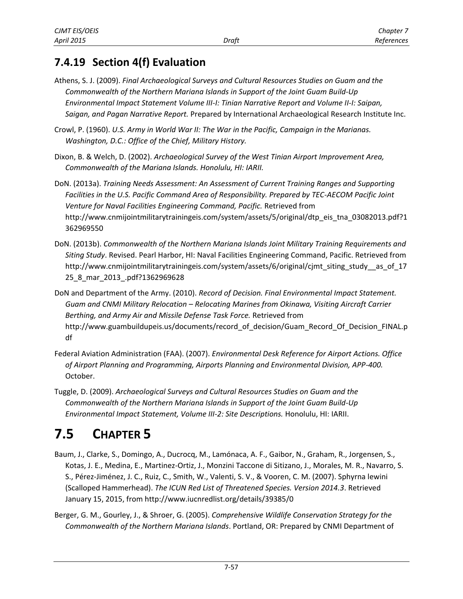#### **7.4.19 Section 4(f) Evaluation**

- Athens, S. J. (2009). *Final Archaeological Surveys and Cultural Resources Studies on Guam and the Commonwealth of the Northern Mariana Islands in Support of the Joint Guam Build-Up Environmental Impact Statement Volume III-I: Tinian Narrative Report and Volume II-I: Saipan, Saigan, and Pagan Narrative Report.* Prepared by International Archaeological Research Institute Inc.
- Crowl, P. (1960). *U.S. Army in World War II: The War in the Pacific, Campaign in the Marianas. Washington, D.C.: Office of the Chief, Military History.*
- Dixon, B. & Welch, D. (2002). *Archaeological Survey of the West Tinian Airport Improvement Area, Commonwealth of the Mariana Islands. Honolulu, HI: IARII.*
- DoN. (2013a). *Training Needs Assessment: An Assessment of Current Training Ranges and Supporting Facilities in the U.S. Pacific Command Area of Responsibility. Prepared by TEC-AECOM Pacific Joint Venture for Naval Facilities Engineering Command, Pacific.* Retrieved from http://www.cnmijointmilitarytrainingeis.com/system/assets/5/original/dtp\_eis\_tna\_03082013.pdf?1 362969550
- DoN. (2013b). *Commonwealth of the Northern Mariana Islands Joint Military Training Requirements and Siting Study*. Revised. Pearl Harbor, HI: Naval Facilities Engineering Command, Pacific. Retrieved from http://www.cnmijointmilitarytrainingeis.com/system/assets/6/original/cjmt\_siting\_study\_\_as\_of\_17 25\_8\_mar\_2013\_.pdf?1362969628
- DoN and Department of the Army. (2010). *Record of Decision. Final Environmental Impact Statement. Guam and CNMI Military Relocation – Relocating Marines from Okinawa, Visiting Aircraft Carrier Berthing, and Army Air and Missile Defense Task Force.* Retrieved from http://www.guambuildupeis.us/documents/record\_of\_decision/Guam\_Record\_Of\_Decision\_FINAL.p df
- Federal Aviation Administration (FAA). (2007). *Environmental Desk Reference for Airport Actions. Office of Airport Planning and Programming, Airports Planning and Environmental Division, APP-400.*  October.
- Tuggle, D. (2009). *Archaeological Surveys and Cultural Resources Studies on Guam and the Commonwealth of the Northern Mariana Islands in Support of the Joint Guam Build-Up Environmental Impact Statement, Volume III-2: Site Descriptions.* Honolulu, HI: IARII.

## <span id="page-58-0"></span>**7.5 CHAPTER 5**

- Baum, J., Clarke, S., Domingo, A., Ducrocq, M., Lamónaca, A. F., Gaibor, N., Graham, R., Jorgensen, S., Kotas, J. E., Medina, E., Martinez-Ortiz, J., Monzini Taccone di Sitizano, J., Morales, M. R., Navarro, S. S., Pérez-Jiménez, J. C., Ruiz, C., Smith, W., Valenti, S. V., & Vooren, C. M. (2007). Sphyrna lewini (Scalloped Hammerhead). *The ICUN Red List of Threatened Species. Version 2014.3*. Retrieved January 15, 2015, from http://www.iucnredlist.org/details/39385/0
- Berger, G. M., Gourley, J., & Shroer, G. (2005). *Comprehensive Wildlife Conservation Strategy for the Commonwealth of the Northern Mariana Islands*. Portland, OR: Prepared by CNMI Department of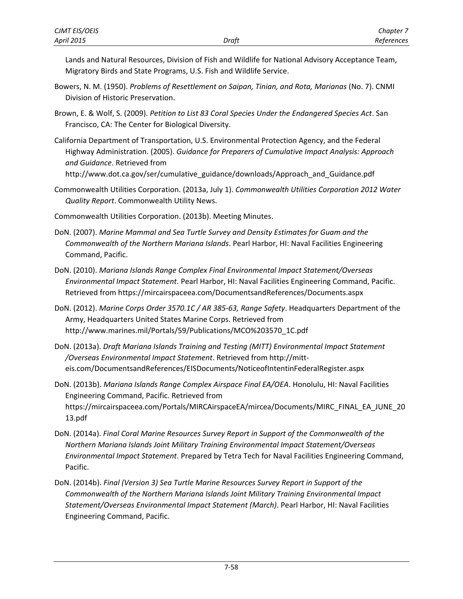Lands and Natural Resources, Division of Fish and Wildlife for National Advisory Acceptance Team, Migratory Birds and State Programs, U.S. Fish and Wildlife Service.

- Bowers, N. M. (1950). *Problems of Resettlement on Saipan, Tinian, and Rota, Marianas* (No. 7). CNMI Division of Historic Preservation.
- Brown, E. & Wolf, S. (2009). *Petition to List 83 Coral Species Under the Endangered Species Act*. San Francisco, CA: The Center for Biological Diversity.
- California Department of Transportation, U.S. Environmental Protection Agency, and the Federal Highway Administration. (2005). *Guidance for Preparers of Cumulative Impact Analysis: Approach and Guidance*. Retrieved from http://www.dot.ca.gov/ser/cumulative\_guidance/downloads/Approach\_and\_Guidance.pdf
- Commonwealth Utilities Corporation. (2013a, July 1). *Commonwealth Utilities Corporation 2012 Water Quality Report*. Commonwealth Utility News.
- Commonwealth Utilities Corporation. (2013b). Meeting Minutes.
- DoN. (2007). *Marine Mammal and Sea Turtle Survey and Density Estimates for Guam and the Commonwealth of the Northern Mariana Islands*. Pearl Harbor, HI: Naval Facilities Engineering Command, Pacific.
- DoN. (2010). *Mariana Islands Range Complex Final Environmental Impact Statement/Overseas Environmental Impact Statement*. Pearl Harbor, HI: Naval Facilities Engineering Command, Pacific. Retrieved from https://mircairspaceea.com/DocumentsandReferences/Documents.aspx
- DoN. (2012). *Marine Corps Order 3570.1C / AR 385-63, Range Safety*. Headquarters Department of the Army, Headquarters United States Marine Corps. Retrieved from http://www.marines.mil/Portals/59/Publications/MCO%203570\_1C.pdf
- DoN. (2013a). *Draft Mariana Islands Training and Testing (MITT) Environmental Impact Statement /Overseas Environmental Impact Statement*. Retrieved from http://mitteis.com/DocumentsandReferences/EISDocuments/NoticeofIntentinFederalRegister.aspx
- DoN. (2013b). *Mariana Islands Range Complex Airspace Final EA/OEA*. Honolulu, HI: Naval Facilities Engineering Command, Pacific. Retrieved from https://mircairspaceea.com/Portals/MIRCAirspaceEA/mircea/Documents/MIRC\_FINAL\_EA\_JUNE\_20 13.pdf
- DoN. (2014a). *Final Coral Marine Resources Survey Report in Support of the Commonwealth of the Northern Mariana Islands Joint Military Training Environmental Impact Statement/Overseas Environmental Impact Statement*. Prepared by Tetra Tech for Naval Facilities Engineering Command, Pacific.
- DoN. (2014b). *Final (Version 3) Sea Turtle Marine Resources Survey Report in Support of the Commonwealth of the Northern Mariana Islands Joint Military Training Environmental Impact Statement/Overseas Environmental Impact Statement (March)*. Pearl Harbor, HI: Naval Facilities Engineering Command, Pacific.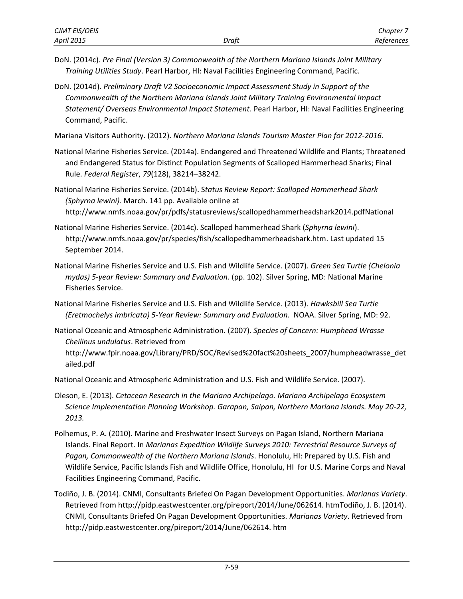- DoN. (2014c). *Pre Final (Version 3) Commonwealth of the Northern Mariana Islands Joint Military Training Utilities Study*. Pearl Harbor, HI: Naval Facilities Engineering Command, Pacific.
- DoN. (2014d). *Preliminary Draft V2 Socioeconomic Impact Assessment Study in Support of the Commonwealth of the Northern Mariana Islands Joint Military Training Environmental Impact Statement/ Overseas Environmental Impact Statement*. Pearl Harbor, HI: Naval Facilities Engineering Command, Pacific.
- Mariana Visitors Authority. (2012). *Northern Mariana Islands Tourism Master Plan for 2012-2016*.
- National Marine Fisheries Service. (2014a). Endangered and Threatened Wildlife and Plants; Threatened and Endangered Status for Distinct Population Segments of Scalloped Hammerhead Sharks; Final Rule. *Federal Register*, *79*(128), 38214–38242.

National Marine Fisheries Service. (2014b). S*tatus Review Report: Scalloped Hammerhead Shark (Sphyrna lewini).* March. 141 pp. Available online at http://www.nmfs.noaa.gov/pr/pdfs/statusreviews/scallopedhammerheadshark2014.pdfNational

- National Marine Fisheries Service. (2014c). Scalloped hammerhead Shark (*Sphyrna lewini*). http://www.nmfs.noaa.gov/pr/species/fish/scallopedhammerheadshark.htm. Last updated 15 September 2014.
- National Marine Fisheries Service and U.S. Fish and Wildlife Service. (2007). *Green Sea Turtle (Chelonia mydas) 5-year Review: Summary and Evaluation.* (pp. 102). Silver Spring, MD: National Marine Fisheries Service.
- National Marine Fisheries Service and U.S. Fish and Wildlife Service. (2013). *Hawksbill Sea Turtle (Eretmochelys imbricata) 5-Year Review: Summary and Evaluation.* NOAA. Silver Spring, MD: 92.
- National Oceanic and Atmospheric Administration. (2007). *Species of Concern: Humphead Wrasse Cheilinus undulatus*. Retrieved from http://www.fpir.noaa.gov/Library/PRD/SOC/Revised%20fact%20sheets\_2007/humpheadwrasse\_det ailed.pdf
- National Oceanic and Atmospheric Administration and U.S. Fish and Wildlife Service. (2007).
- Oleson, E. (2013). *Cetacean Research in the Mariana Archipelago. Mariana Archipelago Ecosystem Science Implementation Planning Workshop. Garapan, Saipan, Northern Mariana Islands. May 20-22, 2013.*
- Polhemus, P. A. (2010). Marine and Freshwater Insect Surveys on Pagan Island, Northern Mariana Islands. Final Report. In *Marianas Expedition Wildlife Surveys 2010: Terrestrial Resource Surveys of Pagan, Commonwealth of the Northern Mariana Islands*. Honolulu, HI: Prepared by U.S. Fish and Wildlife Service, Pacific Islands Fish and Wildlife Office, Honolulu, HI for U.S. Marine Corps and Naval Facilities Engineering Command, Pacific.
- Todiño, J. B. (2014). CNMI, Consultants Briefed On Pagan Development Opportunities. *Marianas Variety*. Retrieved from http://pidp.eastwestcenter.org/pireport/2014/June/062614. htmTodiño, J. B. (2014). CNMI, Consultants Briefed On Pagan Development Opportunities. *Marianas Variety*. Retrieved from http://pidp.eastwestcenter.org/pireport/2014/June/062614. htm